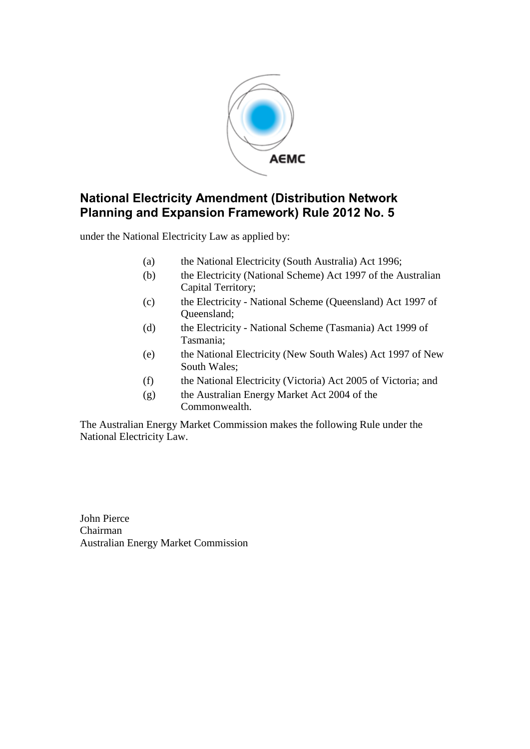

under the National Electricity Law as applied by:

- (a) the National Electricity (South Australia) Act 1996;
- (b) the Electricity (National Scheme) Act 1997 of the Australian Capital Territory;
- (c) the Electricity National Scheme (Queensland) Act 1997 of Queensland;
- (d) the Electricity National Scheme (Tasmania) Act 1999 of Tasmania;
- (e) the National Electricity (New South Wales) Act 1997 of New South Wales;
- (f) the National Electricity (Victoria) Act 2005 of Victoria; and
- (g) the Australian Energy Market Act 2004 of the Commonwealth.

The Australian Energy Market Commission makes the following Rule under the National Electricity Law.

John Pierce Chairman Australian Energy Market Commission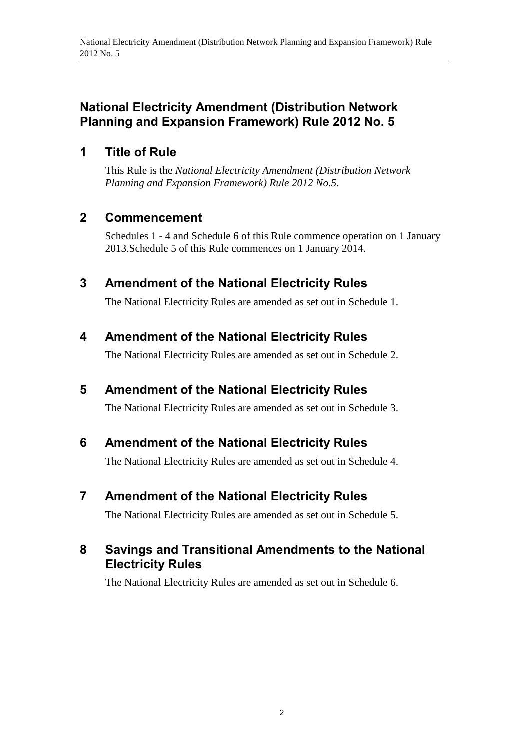## **1 Title of Rule**

This Rule is the *National Electricity Amendment (Distribution Network Planning and Expansion Framework) Rule 2012 No.5*.

## **2 Commencement**

Schedules 1 - 4 and Schedule 6 of this Rule commence operation on 1 January 2013.Schedule 5 of this Rule commences on 1 January 2014.

# **3 Amendment of the National Electricity Rules**

The National Electricity Rules are amended as set out in Schedule 1.

# **4 Amendment of the National Electricity Rules**

The National Electricity Rules are amended as set out in Schedule 2.

# **5 Amendment of the National Electricity Rules**

The National Electricity Rules are amended as set out in Schedule 3.

# **6 Amendment of the National Electricity Rules**

The National Electricity Rules are amended as set out in Schedule 4.

# **7 Amendment of the National Electricity Rules**

The National Electricity Rules are amended as set out in [Schedule 5.](#page-88-0)

# **8 Savings and Transitional Amendments to the National Electricity Rules**

The National Electricity Rules are amended as set out in Schedule 6.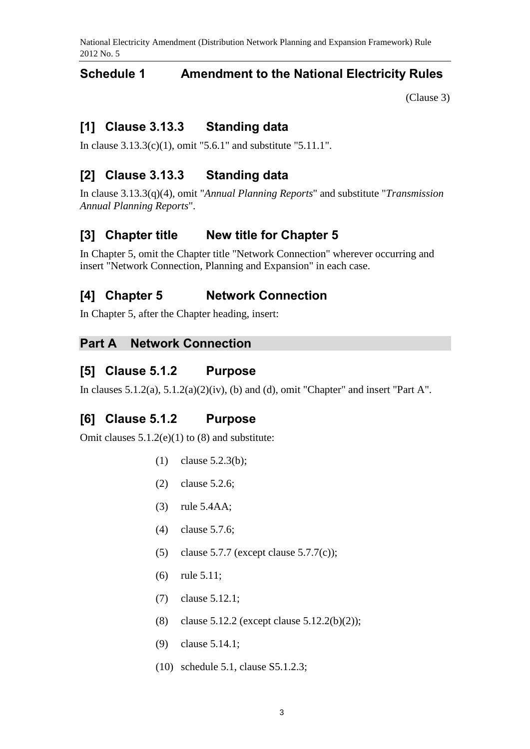## **Schedule 1 Amendment to the National Electricity Rules**

(Clause 3)

## **[1] Clause 3.13.3 Standing data**

In clause 3.13.3(c)(1), omit "5.6.1" and substitute "5.11.1".

## **[2] Clause 3.13.3 Standing data**

In clause 3.13.3(q)(4), omit "*Annual Planning Reports*" and substitute "*Transmission Annual Planning Reports*".

## **[3] Chapter title New title for Chapter 5**

In Chapter 5, omit the Chapter title "Network Connection" wherever occurring and insert "Network Connection, Planning and Expansion" in each case.

## **[4] Chapter 5 Network Connection**

In Chapter 5, after the Chapter heading, insert:

### **Part A Network Connection**

### **[5] Clause 5.1.2 Purpose**

In clauses  $5.1.2(a)$ ,  $5.1.2(a)(2)(iv)$ , (b) and (d), omit "Chapter" and insert "Part A".

## **[6] Clause 5.1.2 Purpose**

Omit clauses 5.1.2(e)(1) to (8) and substitute:

- (1) clause 5.2.3(b);
- (2) clause 5.2.6;
- (3) rule 5.4AA;
- (4) clause 5.7.6;
- (5) clause 5.7.7 (except clause 5.7.7(c));
- (6) rule 5.11;
- (7) clause 5.12.1;
- (8) clause 5.12.2 (except clause 5.12.2(b)(2));
- (9) clause 5.14.1;
- (10) schedule 5.1, clause S5.1.2.3;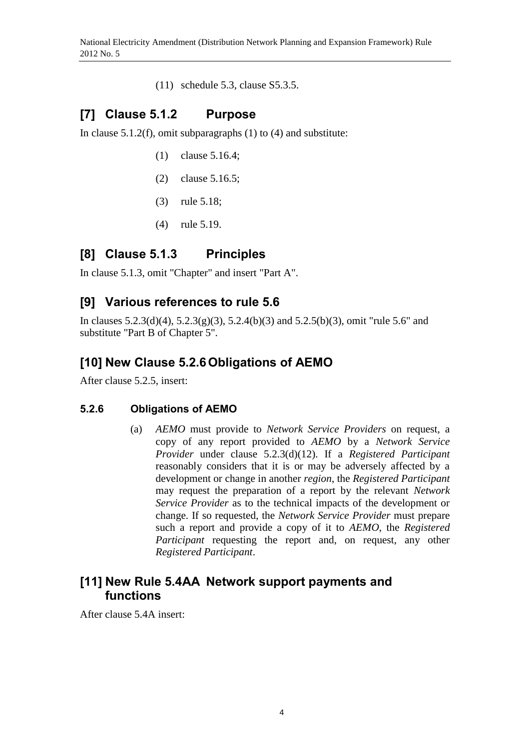(11) schedule 5.3, clause S5.3.5.

# **[7] Clause 5.1.2 Purpose**

In clause  $5.1.2(f)$ , omit subparagraphs (1) to (4) and substitute:

- (1) clause 5.16.4;
- (2) clause 5.16.5;
- (3) rule 5.18;
- (4) rule 5.19.

## **[8] Clause 5.1.3 Principles**

In clause 5.1.3, omit "Chapter" and insert "Part A".

## **[9] Various references to rule 5.6**

In clauses 5.2.3(d)(4), 5.2.3(g)(3), 5.2.4(b)(3) and 5.2.5(b)(3), omit "rule 5.6" and substitute "Part B of Chapter 5".

# **[10] New Clause 5.2.6Obligations of AEMO**

After clause 5.2.5, insert:

## **5.2.6 Obligations of AEMO**

(a) *AEMO* must provide to *Network Service Providers* on request, a copy of any report provided to *AEMO* by a *Network Service Provider* under clause 5.2.3(d)(12). If a *Registered Participant* reasonably considers that it is or may be adversely affected by a development or change in another *region*, the *Registered Participant* may request the preparation of a report by the relevant *Network Service Provider* as to the technical impacts of the development or change. If so requested, the *Network Service Provider* must prepare such a report and provide a copy of it to *AEMO*, the *Registered Participant* requesting the report and, on request, any other *Registered Participant*.

## **[11] New Rule 5.4AA Network support payments and functions**

After clause 5.4A insert: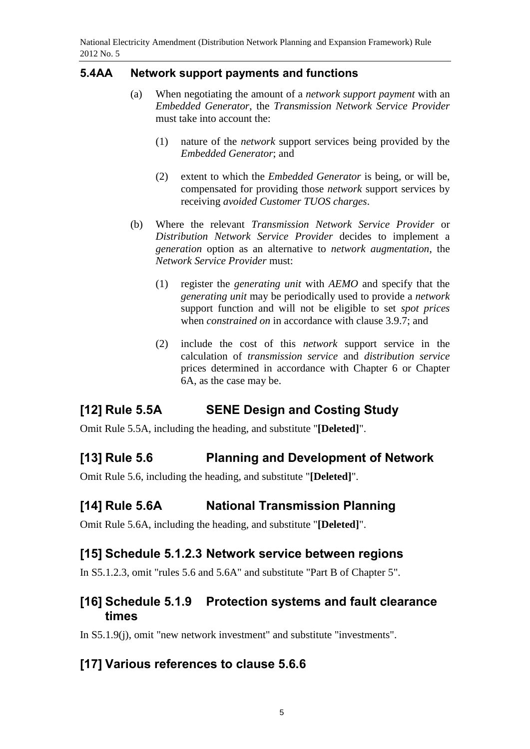### **5.4AA Network support payments and functions**

- (a) When negotiating the amount of a *network support payment* with an *Embedded Generator*, the *Transmission Network Service Provider* must take into account the:
	- (1) nature of the *network* support services being provided by the *Embedded Generator*; and
	- (2) extent to which the *Embedded Generator* is being, or will be, compensated for providing those *network* support services by receiving *avoided Customer TUOS charges*.
- (b) Where the relevant *Transmission Network Service Provider* or *Distribution Network Service Provider* decides to implement a *generation* option as an alternative to *network augmentation*, the *Network Service Provider* must:
	- (1) register the *generating unit* with *AEMO* and specify that the *generating unit* may be periodically used to provide a *network* support function and will not be eligible to set *spot prices* when *constrained on* in accordance with clause 3.9.7; and
	- (2) include the cost of this *network* support service in the calculation of *transmission service* and *distribution service* prices determined in accordance with Chapter 6 or Chapter 6A, as the case may be.

# **[12] Rule 5.5A SENE Design and Costing Study**

Omit Rule 5.5A, including the heading, and substitute "**[Deleted]**".

# **[13] Rule 5.6 Planning and Development of Network**

Omit Rule 5.6, including the heading, and substitute "**[Deleted]**".

# **[14] Rule 5.6A National Transmission Planning**

Omit Rule 5.6A, including the heading, and substitute "**[Deleted]**".

# **[15] Schedule 5.1.2.3 Network service between regions**

In S5.1.2.3, omit "rules 5.6 and 5.6A" and substitute "Part B of Chapter 5".

## **[16] Schedule 5.1.9 Protection systems and fault clearance times**

In S5.1.9(j), omit "new network investment" and substitute "investments".

# **[17] Various references to clause 5.6.6**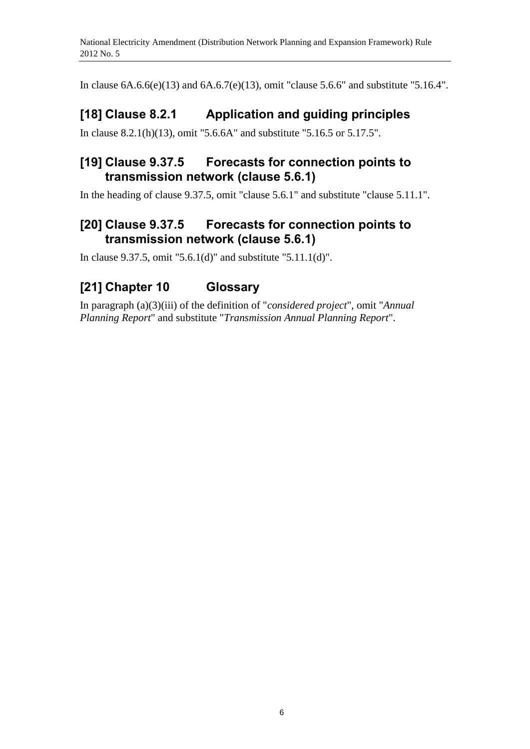In clause 6A.6.6(e)(13) and 6A.6.7(e)(13), omit "clause 5.6.6" and substitute "5.16.4".

# **[18] Clause 8.2.1 Application and guiding principles**

In clause 8.2.1(h)(13), omit "5.6.6A" and substitute "5.16.5 or 5.17.5".

# **[19] Clause 9.37.5 Forecasts for connection points to transmission network (clause 5.6.1)**

In the heading of clause 9.37.5, omit "clause 5.6.1" and substitute "clause 5.11.1".

# **[20] Clause 9.37.5 Forecasts for connection points to transmission network (clause 5.6.1)**

In clause 9.37.5, omit "5.6.1(d)" and substitute "5.11.1(d)".

# **[21] Chapter 10 Glossary**

In paragraph (a)(3)(iii) of the definition of "*considered project*", omit "*Annual Planning Report*" and substitute "*Transmission Annual Planning Report*".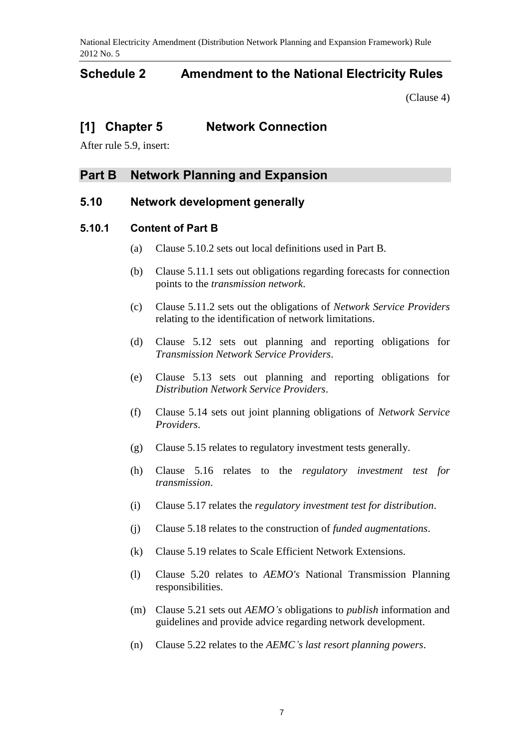## **Schedule 2 Amendment to the National Electricity Rules**

(Clause 4)

## **[1] Chapter 5 Network Connection**

After rule 5.9, insert:

### **Part B Network Planning and Expansion**

### **5.10 Network development generally**

### **5.10.1 Content of Part B**

- (a) Clause 5.10.2 sets out local definitions used in Part B.
- (b) Clause 5.11.1 sets out obligations regarding forecasts for connection points to the *transmission network*.
- (c) Clause 5.11.2 sets out the obligations of *Network Service Providers* relating to the identification of network limitations.
- (d) Clause 5.12 sets out planning and reporting obligations for *Transmission Network Service Providers*.
- (e) Clause 5.13 sets out planning and reporting obligations for *Distribution Network Service Providers*.
- (f) Clause 5.14 sets out joint planning obligations of *Network Service Providers*.
- (g) Clause 5.15 relates to regulatory investment tests generally.
- (h) Clause 5.16 relates to the *regulatory investment test for transmission*.
- (i) Clause 5.17 relates the *regulatory investment test for distribution*.
- (j) Clause 5.18 relates to the construction of *funded augmentations*.
- (k) Clause 5.19 relates to Scale Efficient Network Extensions.
- (l) Clause 5.20 relates to *AEMO's* National Transmission Planning responsibilities.
- (m) Clause 5.21 sets out *AEMO's* obligations to *publish* information and guidelines and provide advice regarding network development.
- (n) Clause 5.22 relates to the *AEMC's last resort planning powers*.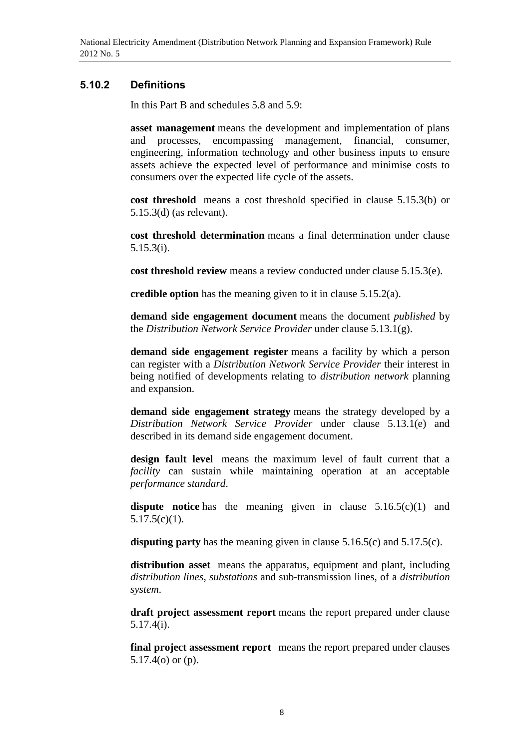### **5.10.2 Definitions**

In this Part B and schedules 5.8 and 5.9:

**asset management** means the development and implementation of plans and processes, encompassing management, financial, consumer, engineering, information technology and other business inputs to ensure assets achieve the expected level of performance and minimise costs to consumers over the expected life cycle of the assets.

**cost threshold** means a cost threshold specified in clause 5.15.3(b) or 5.15.3(d) (as relevant).

**cost threshold determination** means a final determination under clause 5.15.3(i).

**cost threshold review** means a review conducted under clause 5.15.3(e).

**credible option** has the meaning given to it in clause 5.15.2(a).

**demand side engagement document** means the document *published* by the *Distribution Network Service Provider* under clause 5.13.1(g).

**demand side engagement register** means a facility by which a person can register with a *Distribution Network Service Provider* their interest in being notified of developments relating to *distribution network* planning and expansion.

**demand side engagement strategy** means the strategy developed by a *Distribution Network Service Provider* under clause 5.13.1(e) and described in its demand side engagement document.

**design fault level** means the maximum level of fault current that a *facility* can sustain while maintaining operation at an acceptable *performance standard*.

dispute notice has the meaning given in clause 5.16.5(c)(1) and 5.17.5(c)(1).

**disputing party** has the meaning given in clause 5.16.5(c) and 5.17.5(c).

**distribution asset** means the apparatus, equipment and plant, including *distribution lines*, *substations* and sub-transmission lines, of a *distribution system*.

**draft project assessment report** means the report prepared under clause 5.17.4(i).

**final project assessment report** means the report prepared under clauses 5.17.4(o) or (p).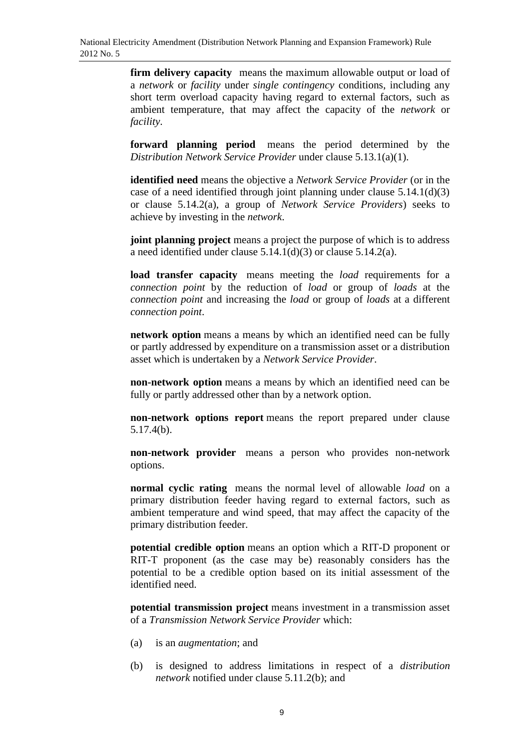**firm delivery capacity** means the maximum allowable output or load of a *network* or *facility* under *single contingency* conditions, including any short term overload capacity having regard to external factors, such as ambient temperature, that may affect the capacity of the *network* or *facility*.

**forward planning period** means the period determined by the *Distribution Network Service Provider* under clause 5.13.1(a)(1).

**identified need** means the objective a *Network Service Provider* (or in the case of a need identified through joint planning under clause 5.14.1(d)(3) or clause 5.14.2(a), a group of *Network Service Providers*) seeks to achieve by investing in the *network*.

**joint planning project** means a project the purpose of which is to address a need identified under clause 5.14.1(d)(3) or clause 5.14.2(a).

**load transfer capacity** means meeting the *load* requirements for a *connection point* by the reduction of *load* or group of *loads* at the *connection point* and increasing the *load* or group of *loads* at a different *connection point*.

**network option** means a means by which an identified need can be fully or partly addressed by expenditure on a transmission asset or a distribution asset which is undertaken by a *Network Service Provider*.

**non-network option** means a means by which an identified need can be fully or partly addressed other than by a network option.

**non-network options report** means the report prepared under clause 5.17.4(b).

**non-network provider** means a person who provides non-network options.

**normal cyclic rating** means the normal level of allowable *load* on a primary distribution feeder having regard to external factors, such as ambient temperature and wind speed, that may affect the capacity of the primary distribution feeder.

**potential credible option** means an option which a RIT-D proponent or RIT-T proponent (as the case may be) reasonably considers has the potential to be a credible option based on its initial assessment of the identified need.

**potential transmission project** means investment in a transmission asset of a *Transmission Network Service Provider* which:

- (a) is an *augmentation*; and
- (b) is designed to address limitations in respect of a *distribution network* notified under clause 5.11.2(b); and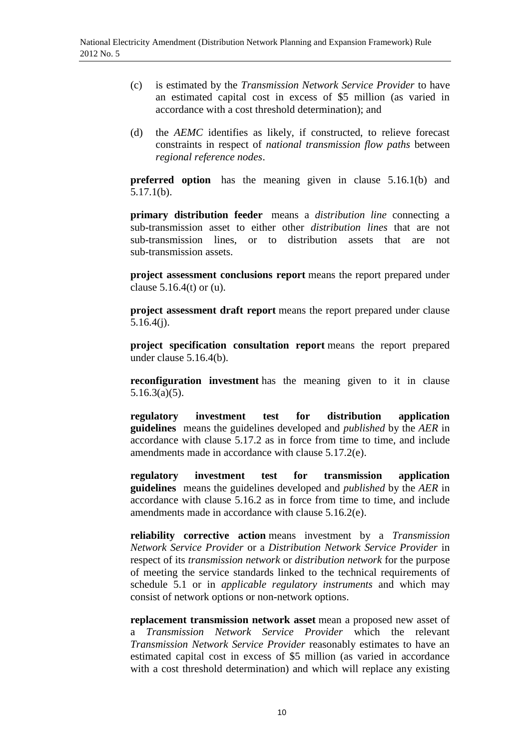- (c) is estimated by the *Transmission Network Service Provider* to have an estimated capital cost in excess of \$5 million (as varied in accordance with a cost threshold determination); and
- (d) the *AEMC* identifies as likely, if constructed, to relieve forecast constraints in respect of *national transmission flow paths* between *regional reference nodes*.

**preferred option** has the meaning given in clause 5.16.1(b) and 5.17.1(b).

**primary distribution feeder** means a *distribution line* connecting a sub-transmission asset to either other *distribution lines* that are not sub-transmission lines, or to distribution assets that are not sub-transmission assets.

**project assessment conclusions report** means the report prepared under clause  $5.16.4(t)$  or (u).

**project assessment draft report** means the report prepared under clause 5.16.4(j).

**project specification consultation report** means the report prepared under clause 5.16.4(b).

**reconfiguration investment** has the meaning given to it in clause 5.16.3(a)(5).

**regulatory investment test for distribution application guidelines** means the guidelines developed and *published* by the *AER* in accordance with clause 5.17.2 as in force from time to time, and include amendments made in accordance with clause 5.17.2(e).

**regulatory investment test for transmission application guidelines** means the guidelines developed and *published* by the *AER* in accordance with clause 5.16.2 as in force from time to time, and include amendments made in accordance with clause 5.16.2(e).

**reliability corrective action** means investment by a *Transmission Network Service Provider* or a *Distribution Network Service Provider* in respect of its *transmission network* or *distribution network* for the purpose of meeting the service standards linked to the technical requirements of schedule 5.1 or in *applicable regulatory instruments* and which may consist of network options or non-network options.

**replacement transmission network asset** mean a proposed new asset of a *Transmission Network Service Provider* which the relevant *Transmission Network Service Provider* reasonably estimates to have an estimated capital cost in excess of \$5 million (as varied in accordance with a cost threshold determination) and which will replace any existing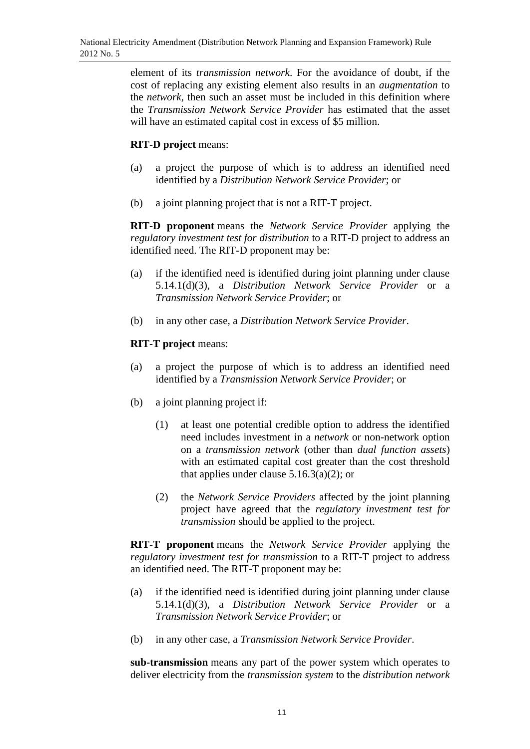element of its *transmission network*. For the avoidance of doubt, if the cost of replacing any existing element also results in an *augmentation* to the *network*, then such an asset must be included in this definition where the *Transmission Network Service Provider* has estimated that the asset will have an estimated capital cost in excess of \$5 million.

### **RIT-D project** means:

- (a) a project the purpose of which is to address an identified need identified by a *Distribution Network Service Provider*; or
- (b) a joint planning project that is not a RIT-T project.

**RIT-D proponent** means the *Network Service Provider* applying the *regulatory investment test for distribution* to a RIT-D project to address an identified need. The RIT-D proponent may be:

- (a) if the identified need is identified during joint planning under clause 5.14.1(d)(3), a *Distribution Network Service Provider* or a *Transmission Network Service Provider*; or
- (b) in any other case, a *Distribution Network Service Provider*.

### **RIT-T project** means:

- (a) a project the purpose of which is to address an identified need identified by a *Transmission Network Service Provider*; or
- (b) a joint planning project if:
	- (1) at least one potential credible option to address the identified need includes investment in a *network* or non-network option on a *transmission network* (other than *dual function assets*) with an estimated capital cost greater than the cost threshold that applies under clause  $5.16.3(a)(2)$ ; or
	- (2) the *Network Service Providers* affected by the joint planning project have agreed that the *regulatory investment test for transmission* should be applied to the project.

**RIT-T proponent** means the *Network Service Provider* applying the *regulatory investment test for transmission* to a RIT-T project to address an identified need. The RIT-T proponent may be:

- (a) if the identified need is identified during joint planning under clause 5.14.1(d)(3), a *Distribution Network Service Provider* or a *Transmission Network Service Provider*; or
- (b) in any other case, a *Transmission Network Service Provider*.

**sub-transmission** means any part of the power system which operates to deliver electricity from the *transmission system* to the *distribution network*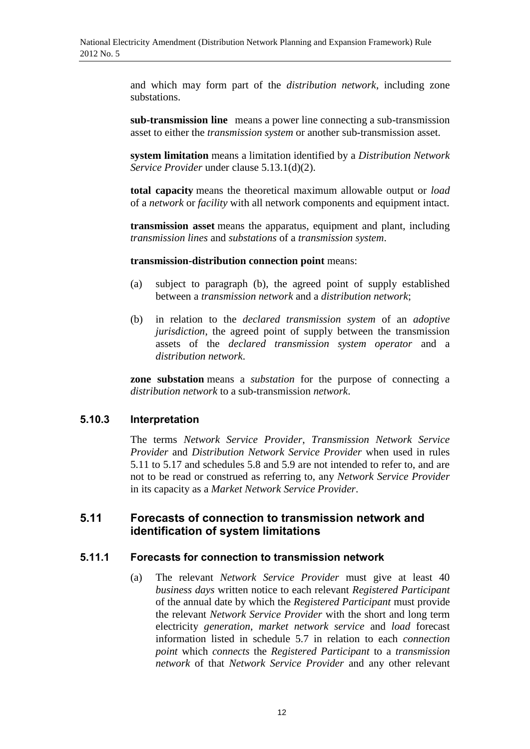and which may form part of the *distribution network*, including zone substations.

**sub-transmission line** means a power line connecting a sub-transmission asset to either the *transmission system* or another sub-transmission asset.

**system limitation** means a limitation identified by a *Distribution Network Service Provider* under clause 5.13.1(d)(2).

**total capacity** means the theoretical maximum allowable output or *load* of a *network* or *facility* with all network components and equipment intact.

**transmission asset** means the apparatus, equipment and plant, including *transmission lines* and *substations* of a *transmission system*.

#### **transmission-distribution connection point** means:

- (a) subject to paragraph (b), the agreed point of supply established between a *transmission network* and a *distribution network*;
- (b) in relation to the *declared transmission system* of an *adoptive jurisdiction*, the agreed point of supply between the transmission assets of the *declared transmission system operator* and a *distribution network*.

**zone substation** means a *substation* for the purpose of connecting a *distribution network* to a sub-transmission *network*.

#### **5.10.3 Interpretation**

The terms *Network Service Provider*, *Transmission Network Service Provider* and *Distribution Network Service Provider* when used in rules 5.11 to 5.17 and schedules 5.8 and 5.9 are not intended to refer to, and are not to be read or construed as referring to, any *Network Service Provider* in its capacity as a *Market Network Service Provider*.

### **5.11 Forecasts of connection to transmission network and identification of system limitations**

#### **5.11.1 Forecasts for connection to transmission network**

(a) The relevant *Network Service Provider* must give at least 40 *business days* written notice to each relevant *Registered Participant* of the annual date by which the *Registered Participant* must provide the relevant *Network Service Provider* with the short and long term electricity *generation*, *market network service* and *load* forecast information listed in schedule 5.7 in relation to each *connection point* which *connects* the *Registered Participant* to a *transmission network* of that *Network Service Provider* and any other relevant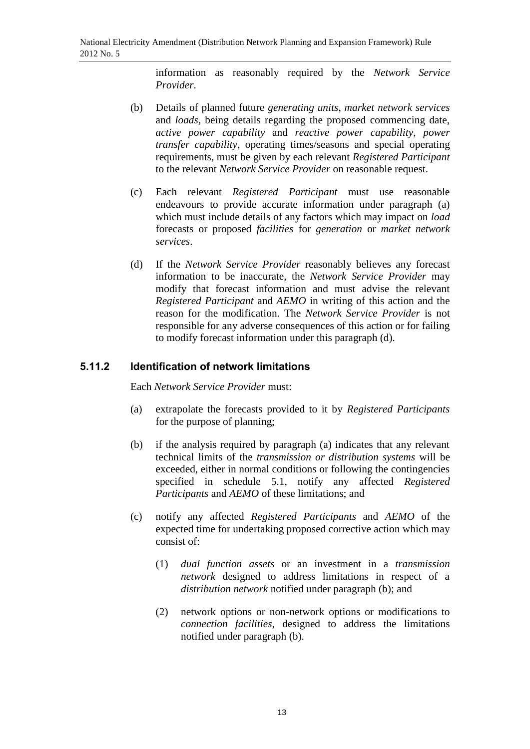information as reasonably required by the *Network Service Provider*.

- (b) Details of planned future *generating units*, *market network services*  and *loads*, being details regarding the proposed commencing date, *active power capability* and *reactive power capability*, *power transfer capability*, operating times/seasons and special operating requirements, must be given by each relevant *Registered Participant* to the relevant *Network Service Provider* on reasonable request.
- (c) Each relevant *Registered Participant* must use reasonable endeavours to provide accurate information under paragraph (a) which must include details of any factors which may impact on *load*  forecasts or proposed *facilities* for *generation* or *market network services*.
- (d) If the *Network Service Provider* reasonably believes any forecast information to be inaccurate, the *Network Service Provider* may modify that forecast information and must advise the relevant *Registered Participant* and *AEMO* in writing of this action and the reason for the modification. The *Network Service Provider* is not responsible for any adverse consequences of this action or for failing to modify forecast information under this paragraph (d).

### **5.11.2 Identification of network limitations**

Each *Network Service Provider* must:

- (a) extrapolate the forecasts provided to it by *Registered Participants*  for the purpose of planning;
- (b) if the analysis required by paragraph (a) indicates that any relevant technical limits of the *transmission or distribution systems* will be exceeded, either in normal conditions or following the contingencies specified in schedule 5.1, notify any affected *Registered Participants* and *AEMO* of these limitations; and
- (c) notify any affected *Registered Participants* and *AEMO* of the expected time for undertaking proposed corrective action which may consist of:
	- (1) *dual function assets* or an investment in a *transmission network* designed to address limitations in respect of a *distribution network* notified under paragraph (b); and
	- (2) network options or non-network options or modifications to *connection facilities*, designed to address the limitations notified under paragraph (b).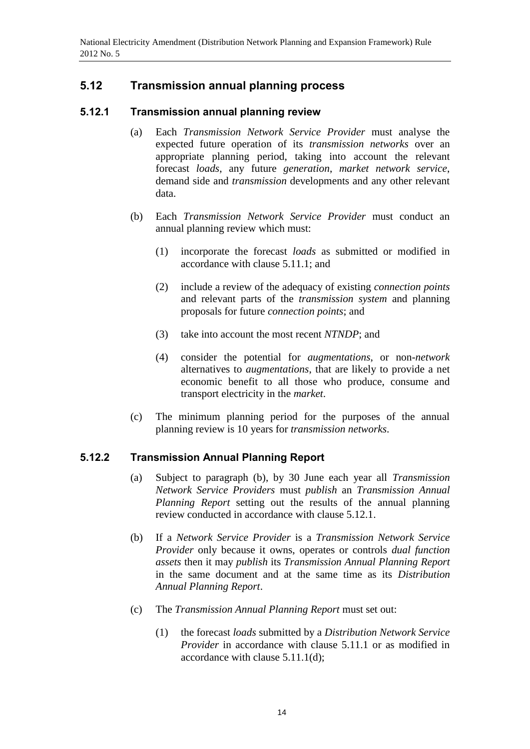## **5.12 Transmission annual planning process**

### **5.12.1 Transmission annual planning review**

- (a) Each *Transmission Network Service Provider* must analyse the expected future operation of its *transmission networks* over an appropriate planning period, taking into account the relevant forecast *loads*, any future *generation*, *market network service*, demand side and *transmission* developments and any other relevant data.
- (b) Each *Transmission Network Service Provider* must conduct an annual planning review which must:
	- (1) incorporate the forecast *loads* as submitted or modified in accordance with clause 5.11.1; and
	- (2) include a review of the adequacy of existing *connection points*  and relevant parts of the *transmission system* and planning proposals for future *connection points*; and
	- (3) take into account the most recent *NTNDP*; and
	- (4) consider the potential for *augmentations*, or non-*network* alternatives to *augmentations*, that are likely to provide a net economic benefit to all those who produce, consume and transport electricity in the *market*.
- (c) The minimum planning period for the purposes of the annual planning review is 10 years for *transmission networks*.

### **5.12.2 Transmission Annual Planning Report**

- (a) Subject to paragraph (b), by 30 June each year all *Transmission Network Service Providers* must *publish* an *Transmission Annual Planning Report* setting out the results of the annual planning review conducted in accordance with clause 5.12.1.
- (b) If a *Network Service Provider* is a *Transmission Network Service Provider* only because it owns, operates or controls *dual function assets* then it may *publish* its *Transmission Annual Planning Report*  in the same document and at the same time as its *Distribution Annual Planning Report*.
- (c) The *Transmission Annual Planning Report* must set out:
	- (1) the forecast *loads* submitted by a *Distribution Network Service Provider* in accordance with clause 5.11.1 or as modified in accordance with clause 5.11.1(d);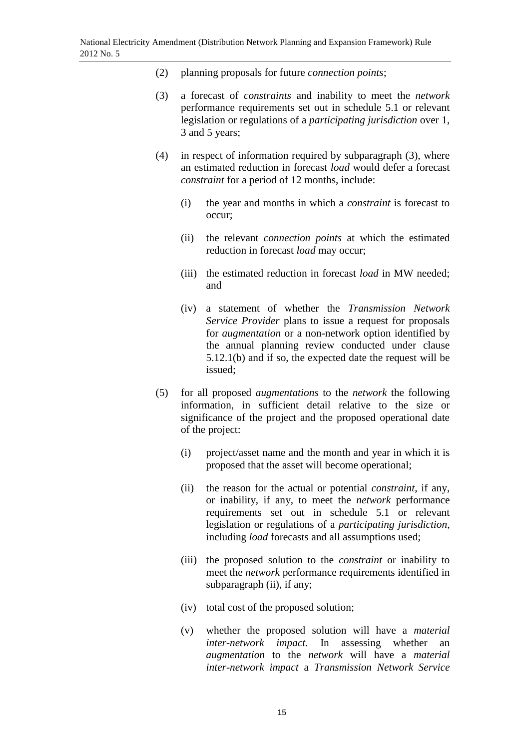- (2) planning proposals for future *connection points*;
- (3) a forecast of *constraints* and inability to meet the *network* performance requirements set out in schedule 5.1 or relevant legislation or regulations of a *participating jurisdiction* over 1, 3 and 5 years;
- (4) in respect of information required by subparagraph (3), where an estimated reduction in forecast *load* would defer a forecast *constraint* for a period of 12 months, include:
	- (i) the year and months in which a *constraint* is forecast to occur;
	- (ii) the relevant *connection points* at which the estimated reduction in forecast *load* may occur;
	- (iii) the estimated reduction in forecast *load* in MW needed; and
	- (iv) a statement of whether the *Transmission Network Service Provider* plans to issue a request for proposals for *augmentation* or a non-network option identified by the annual planning review conducted under clause 5.12.1(b) and if so, the expected date the request will be issued;
- (5) for all proposed *augmentations* to the *network* the following information, in sufficient detail relative to the size or significance of the project and the proposed operational date of the project:
	- (i) project/asset name and the month and year in which it is proposed that the asset will become operational;
	- (ii) the reason for the actual or potential *constraint*, if any, or inability, if any, to meet the *network* performance requirements set out in schedule 5.1 or relevant legislation or regulations of a *participating jurisdiction,* including *load* forecasts and all assumptions used;
	- (iii) the proposed solution to the *constraint* or inability to meet the *network* performance requirements identified in subparagraph (ii), if any;
	- (iv) total cost of the proposed solution;
	- (v) whether the proposed solution will have a *material inter-network impact.* In assessing whether an *augmentation* to the *network* will have a *material inter-network impact* a *Transmission Network Service*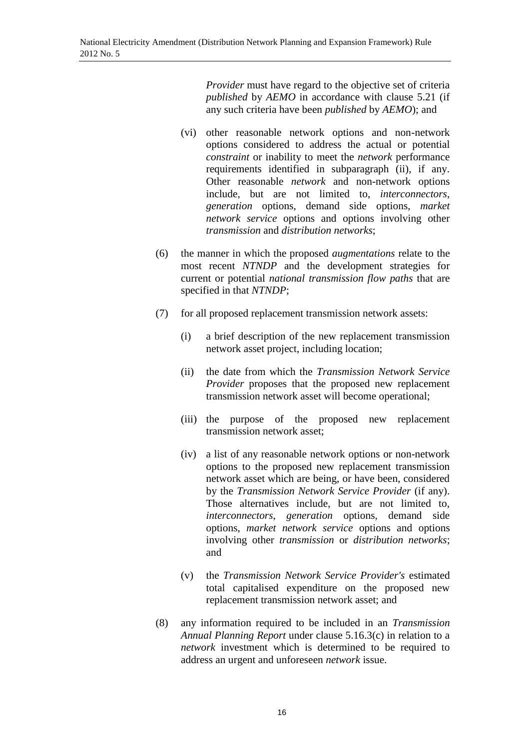*Provider* must have regard to the objective set of criteria *published* by *AEMO* in accordance with clause 5.21 (if any such criteria have been *published* by *AEMO*); and

- (vi) other reasonable network options and non-network options considered to address the actual or potential *constraint* or inability to meet the *network* performance requirements identified in subparagraph (ii), if any. Other reasonable *network* and non-network options include, but are not limited to, *interconnectors*, *generation* options, demand side options, *market network service* options and options involving other *transmission* and *distribution networks*;
- (6) the manner in which the proposed *augmentations* relate to the most recent *NTNDP* and the development strategies for current or potential *national transmission flow paths* that are specified in that *NTNDP*;
- (7) for all proposed replacement transmission network assets:
	- (i) a brief description of the new replacement transmission network asset project, including location;
	- (ii) the date from which the *Transmission Network Service Provider* proposes that the proposed new replacement transmission network asset will become operational;
	- (iii) the purpose of the proposed new replacement transmission network asset;
	- (iv) a list of any reasonable network options or non-network options to the proposed new replacement transmission network asset which are being, or have been, considered by the *Transmission Network Service Provider* (if any). Those alternatives include, but are not limited to, *interconnectors*, *generation* options, demand side options, *market network service* options and options involving other *transmission* or *distribution networks*; and
	- (v) the *Transmission Network Service Provider's* estimated total capitalised expenditure on the proposed new replacement transmission network asset; and
- (8) any information required to be included in an *Transmission Annual Planning Report* under clause 5.16.3(c) in relation to a *network* investment which is determined to be required to address an urgent and unforeseen *network* issue.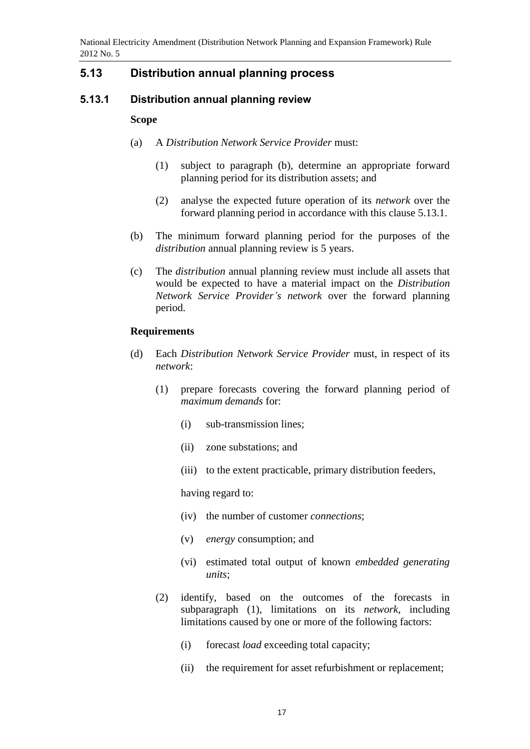## **5.13 Distribution annual planning process**

### **5.13.1 Distribution annual planning review**

#### **Scope**

- (a) A *Distribution Network Service Provider* must:
	- (1) subject to paragraph (b), determine an appropriate forward planning period for its distribution assets; and
	- (2) analyse the expected future operation of its *network* over the forward planning period in accordance with this clause 5.13.1.
- (b) The minimum forward planning period for the purposes of the *distribution* annual planning review is 5 years.
- (c) The *distribution* annual planning review must include all assets that would be expected to have a material impact on the *Distribution Network Service Provider's network* over the forward planning period.

### **Requirements**

- (d) Each *Distribution Network Service Provider* must, in respect of its *network*:
	- (1) prepare forecasts covering the forward planning period of *maximum demands* for:
		- (i) sub-transmission lines;
		- (ii) zone substations; and
		- (iii) to the extent practicable, primary distribution feeders,

having regard to:

- (iv) the number of customer *connections*;
- (v) *energy* consumption; and
- (vi) estimated total output of known *embedded generating units*;
- (2) identify, based on the outcomes of the forecasts in subparagraph (1), limitations on its *network*, including limitations caused by one or more of the following factors:
	- (i) forecast *load* exceeding total capacity;
	- (ii) the requirement for asset refurbishment or replacement;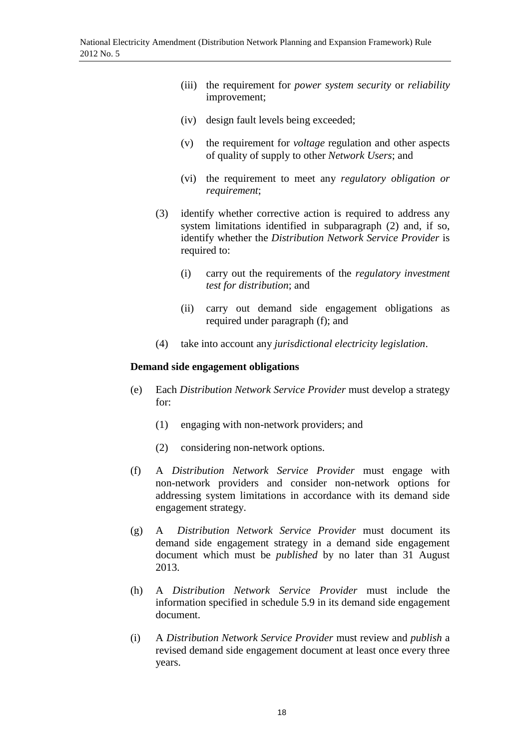- (iii) the requirement for *power system security* or *reliability*  improvement;
- (iv) design fault levels being exceeded;
- (v) the requirement for *voltage* regulation and other aspects of quality of supply to other *Network Users*; and
- (vi) the requirement to meet any *regulatory obligation or requirement*;
- (3) identify whether corrective action is required to address any system limitations identified in subparagraph (2) and, if so, identify whether the *Distribution Network Service Provider* is required to:
	- (i) carry out the requirements of the *regulatory investment test for distribution*; and
	- (ii) carry out demand side engagement obligations as required under paragraph (f); and
- (4) take into account any *jurisdictional electricity legislation*.

#### **Demand side engagement obligations**

- (e) Each *Distribution Network Service Provider* must develop a strategy for:
	- (1) engaging with non-network providers; and
	- (2) considering non-network options.
- (f) A *Distribution Network Service Provider* must engage with non-network providers and consider non-network options for addressing system limitations in accordance with its demand side engagement strategy.
- (g) A *Distribution Network Service Provider* must document its demand side engagement strategy in a demand side engagement document which must be *published* by no later than 31 August 2013.
- (h) A *Distribution Network Service Provider* must include the information specified in schedule 5.9 in its demand side engagement document.
- (i) A *Distribution Network Service Provider* must review and *publish* a revised demand side engagement document at least once every three years.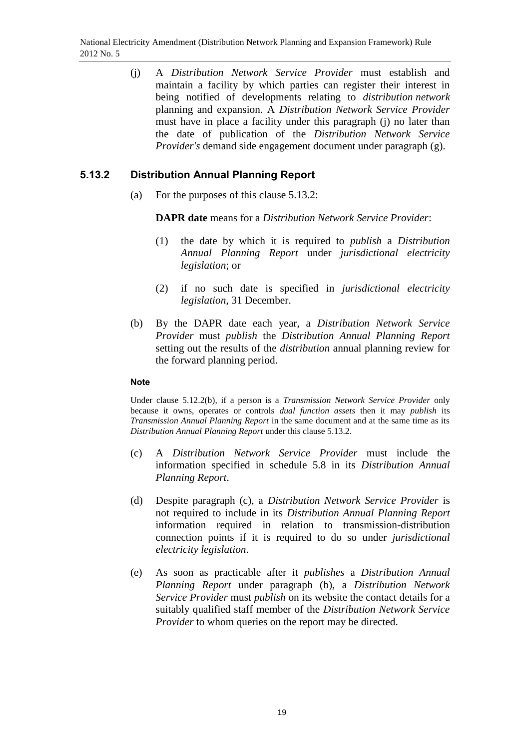(j) A *Distribution Network Service Provider* must establish and maintain a facility by which parties can register their interest in being notified of developments relating to *distribution network* planning and expansion. A *Distribution Network Service Provider*  must have in place a facility under this paragraph (j) no later than the date of publication of the *Distribution Network Service Provider's* demand side engagement document under paragraph (g).

### **5.13.2 Distribution Annual Planning Report**

(a) For the purposes of this clause 5.13.2:

**DAPR date** means for a *Distribution Network Service Provider*:

- (1) the date by which it is required to *publish* a *Distribution Annual Planning Report* under *jurisdictional electricity legislation*; or
- (2) if no such date is specified in *jurisdictional electricity legislation*, 31 December.
- (b) By the DAPR date each year, a *Distribution Network Service Provider* must *publish* the *Distribution Annual Planning Report*  setting out the results of the *distribution* annual planning review for the forward planning period.

#### **Note**

Under clause 5.12.2(b), if a person is a *Transmission Network Service Provider* only because it owns, operates or controls *dual function assets* then it may *publish* its *Transmission Annual Planning Report* in the same document and at the same time as its *Distribution Annual Planning Report* under this clause 5.13.2.

- (c) A *Distribution Network Service Provider* must include the information specified in schedule 5.8 in its *Distribution Annual Planning Report*.
- (d) Despite paragraph (c), a *Distribution Network Service Provider* is not required to include in its *Distribution Annual Planning Report* information required in relation to transmission-distribution connection points if it is required to do so under *jurisdictional electricity legislation*.
- (e) As soon as practicable after it *publishes* a *Distribution Annual Planning Report* under paragraph (b), a *Distribution Network Service Provider* must *publish* on its website the contact details for a suitably qualified staff member of the *Distribution Network Service Provider* to whom queries on the report may be directed.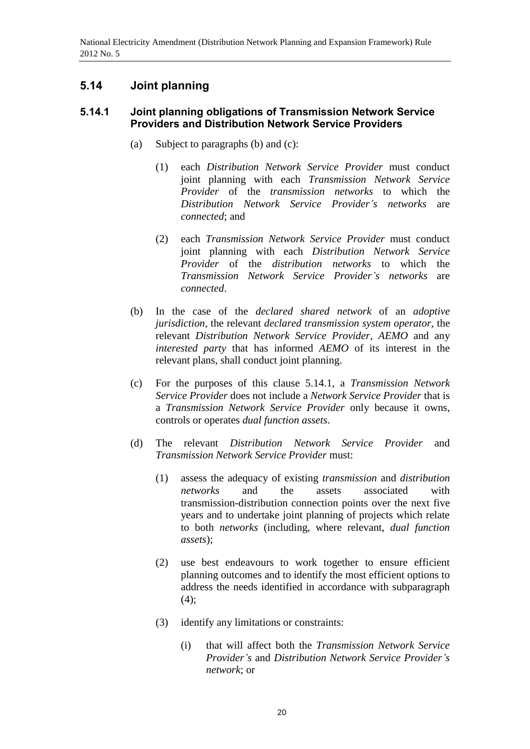## **5.14 Joint planning**

### **5.14.1 Joint planning obligations of Transmission Network Service Providers and Distribution Network Service Providers**

- (a) Subject to paragraphs (b) and (c):
	- (1) each *Distribution Network Service Provider* must conduct joint planning with each *Transmission Network Service Provider* of the *transmission networks* to which the *Distribution Network Service Provider's networks* are *connected*; and
	- (2) each *Transmission Network Service Provider* must conduct joint planning with each *Distribution Network Service Provider* of the *distribution networks* to which the *Transmission Network Service Provider's networks* are *connected*.
- (b) In the case of the *declared shared network* of an *adoptive jurisdiction*, the relevant *declared transmission system operator*, the relevant *Distribution Network Service Provider*, *AEMO* and any *interested party* that has informed *AEMO* of its interest in the relevant plans, shall conduct joint planning.
- (c) For the purposes of this clause 5.14.1, a *Transmission Network Service Provider* does not include a *Network Service Provider* that is a *Transmission Network Service Provider* only because it owns, controls or operates *dual function assets*.
- (d) The relevant *Distribution Network Service Provider* and *Transmission Network Service Provider* must:
	- (1) assess the adequacy of existing *transmission* and *distribution networks* and the assets associated with transmission-distribution connection points over the next five years and to undertake joint planning of projects which relate to both *networks* (including, where relevant, *dual function assets*);
	- (2) use best endeavours to work together to ensure efficient planning outcomes and to identify the most efficient options to address the needs identified in accordance with subparagraph  $(4)$ ;
	- (3) identify any limitations or constraints:
		- (i) that will affect both the *Transmission Network Service Provider's* and *Distribution Network Service Provider's network*; or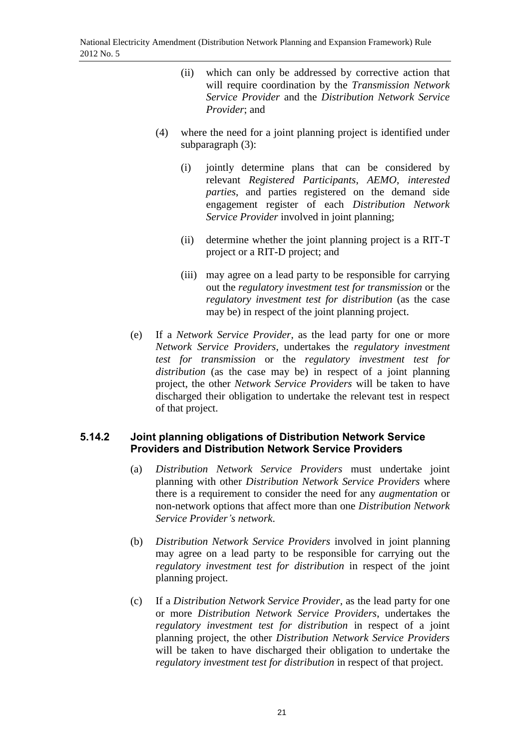- (ii) which can only be addressed by corrective action that will require coordination by the *Transmission Network Service Provider* and the *Distribution Network Service Provider*; and
- (4) where the need for a joint planning project is identified under subparagraph (3):
	- (i) jointly determine plans that can be considered by relevant *Registered Participants*, *AEMO*, *interested parties*, and parties registered on the demand side engagement register of each *Distribution Network Service Provider* involved in joint planning;
	- (ii) determine whether the joint planning project is a RIT-T project or a RIT-D project; and
	- (iii) may agree on a lead party to be responsible for carrying out the *regulatory investment test for transmission* or the *regulatory investment test for distribution* (as the case may be) in respect of the joint planning project.
- (e) If a *Network Service Provider*, as the lead party for one or more *Network Service Providers*, undertakes the *regulatory investment test for transmission* or the *regulatory investment test for distribution* (as the case may be) in respect of a joint planning project, the other *Network Service Providers* will be taken to have discharged their obligation to undertake the relevant test in respect of that project.

### **5.14.2 Joint planning obligations of Distribution Network Service Providers and Distribution Network Service Providers**

- (a) *Distribution Network Service Providers* must undertake joint planning with other *Distribution Network Service Providers* where there is a requirement to consider the need for any *augmentation* or non-network options that affect more than one *Distribution Network Service Provider's network*.
- (b) *Distribution Network Service Providers* involved in joint planning may agree on a lead party to be responsible for carrying out the *regulatory investment test for distribution* in respect of the joint planning project.
- (c) If a *Distribution Network Service Provider*, as the lead party for one or more *Distribution Network Service Providers*, undertakes the *regulatory investment test for distribution* in respect of a joint planning project, the other *Distribution Network Service Providers* will be taken to have discharged their obligation to undertake the *regulatory investment test for distribution* in respect of that project.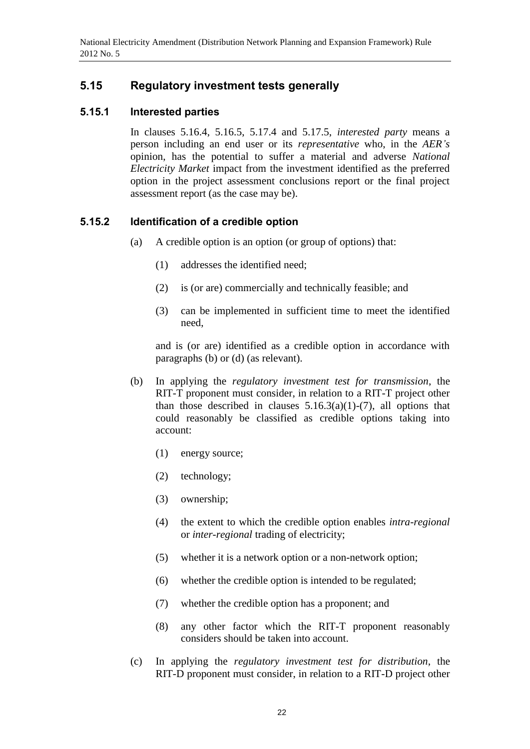## **5.15 Regulatory investment tests generally**

### **5.15.1 Interested parties**

In clauses 5.16.4, 5.16.5, 5.17.4 and 5.17.5, *interested party* means a person including an end user or its *representative* who, in the *AER's* opinion, has the potential to suffer a material and adverse *National Electricity Market* impact from the investment identified as the preferred option in the project assessment conclusions report or the final project assessment report (as the case may be).

### **5.15.2 Identification of a credible option**

- (a) A credible option is an option (or group of options) that:
	- (1) addresses the identified need;
	- (2) is (or are) commercially and technically feasible; and
	- (3) can be implemented in sufficient time to meet the identified need,

and is (or are) identified as a credible option in accordance with paragraphs (b) or (d) (as relevant).

- (b) In applying the *regulatory investment test for transmission*, the RIT-T proponent must consider, in relation to a RIT-T project other than those described in clauses  $5.16.3(a)(1)-(7)$ , all options that could reasonably be classified as credible options taking into account:
	- (1) energy source;
	- (2) technology;
	- (3) ownership;
	- (4) the extent to which the credible option enables *intra-regional* or *inter-regional* trading of electricity;
	- (5) whether it is a network option or a non-network option;
	- (6) whether the credible option is intended to be regulated;
	- (7) whether the credible option has a proponent; and
	- (8) any other factor which the RIT-T proponent reasonably considers should be taken into account.
- (c) In applying the *regulatory investment test for distribution*, the RIT-D proponent must consider, in relation to a RIT-D project other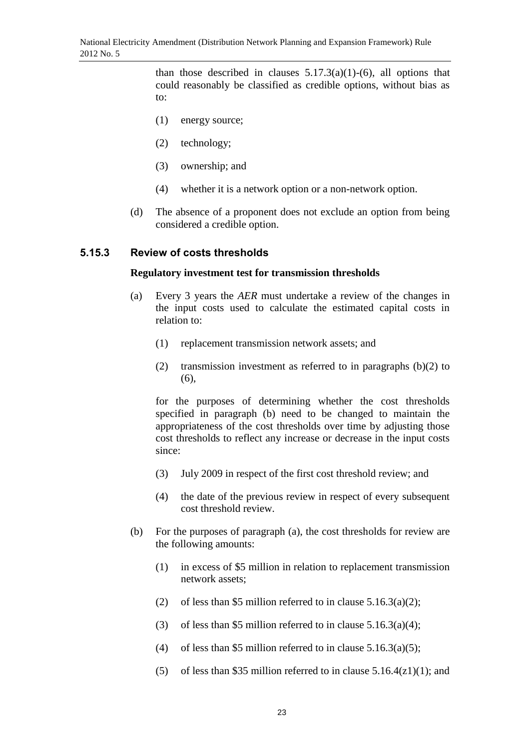than those described in clauses  $5.17.3(a)(1)-(6)$ , all options that could reasonably be classified as credible options, without bias as to:

- (1) energy source;
- (2) technology;
- (3) ownership; and
- (4) whether it is a network option or a non-network option.
- (d) The absence of a proponent does not exclude an option from being considered a credible option.

#### **5.15.3 Review of costs thresholds**

#### **Regulatory investment test for transmission thresholds**

- (a) Every 3 years the *AER* must undertake a review of the changes in the input costs used to calculate the estimated capital costs in relation to:
	- (1) replacement transmission network assets; and
	- (2) transmission investment as referred to in paragraphs  $(b)(2)$  to (6),

for the purposes of determining whether the cost thresholds specified in paragraph (b) need to be changed to maintain the appropriateness of the cost thresholds over time by adjusting those cost thresholds to reflect any increase or decrease in the input costs since:

- (3) July 2009 in respect of the first cost threshold review; and
- (4) the date of the previous review in respect of every subsequent cost threshold review.
- (b) For the purposes of paragraph (a), the cost thresholds for review are the following amounts:
	- (1) in excess of \$5 million in relation to replacement transmission network assets;
	- (2) of less than \$5 million referred to in clause  $5.16.3(a)(2)$ ;
	- (3) of less than \$5 million referred to in clause  $5.16.3(a)(4)$ ;
	- (4) of less than \$5 million referred to in clause  $5.16.3(a)(5)$ ;
	- (5) of less than \$35 million referred to in clause  $5.16.4(z1)(1)$ ; and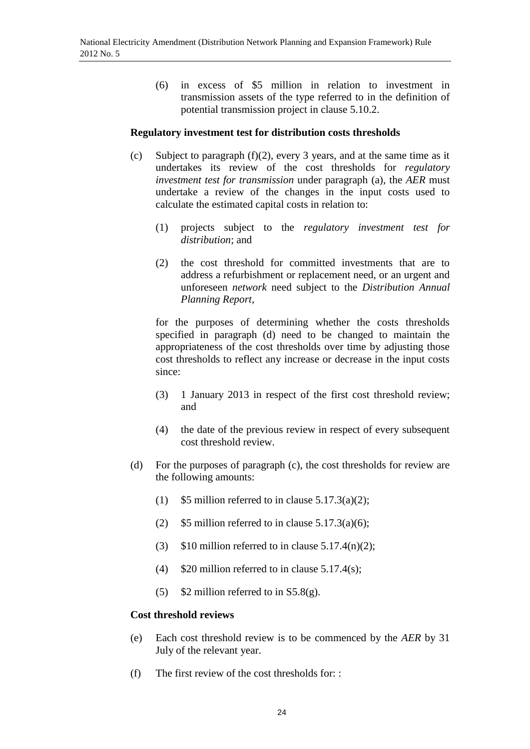(6) in excess of \$5 million in relation to investment in transmission assets of the type referred to in the definition of potential transmission project in clause 5.10.2.

### **Regulatory investment test for distribution costs thresholds**

- (c) Subject to paragraph (f)(2), every 3 years, and at the same time as it undertakes its review of the cost thresholds for *regulatory investment test for transmission* under paragraph (a), the *AER* must undertake a review of the changes in the input costs used to calculate the estimated capital costs in relation to:
	- (1) projects subject to the *regulatory investment test for distribution*; and
	- (2) the cost threshold for committed investments that are to address a refurbishment or replacement need, or an urgent and unforeseen *network* need subject to the *Distribution Annual Planning Report*,

for the purposes of determining whether the costs thresholds specified in paragraph (d) need to be changed to maintain the appropriateness of the cost thresholds over time by adjusting those cost thresholds to reflect any increase or decrease in the input costs since:

- (3) 1 January 2013 in respect of the first cost threshold review; and
- (4) the date of the previous review in respect of every subsequent cost threshold review.
- (d) For the purposes of paragraph (c), the cost thresholds for review are the following amounts:
	- (1)  $$5$  million referred to in clause  $5.17.3(a)(2);$
	- (2)  $$5$  million referred to in clause  $5.17.3(a)(6)$ ;
	- (3)  $$10$  million referred to in clause 5.17.4(n)(2);
	- (4)  $$20$  million referred to in clause 5.17.4(s);
	- (5)  $$2$  million referred to in S5.8(g).

#### **Cost threshold reviews**

- (e) Each cost threshold review is to be commenced by the *AER* by 31 July of the relevant year.
- (f) The first review of the cost thresholds for: :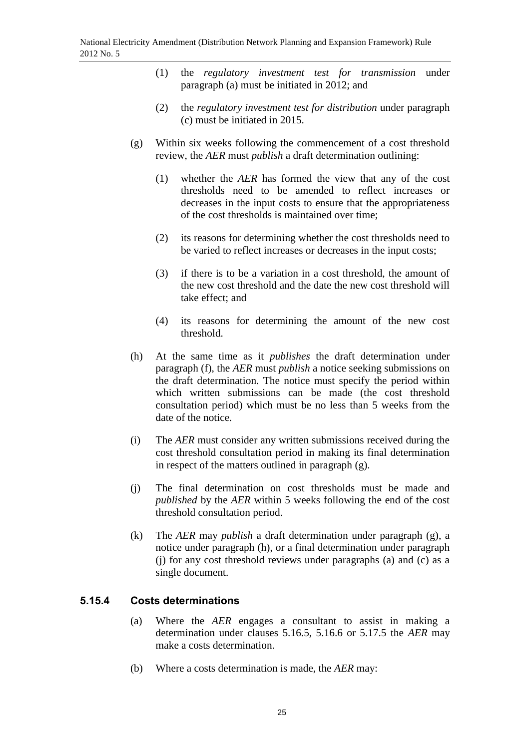- (1) the *regulatory investment test for transmission* under paragraph (a) must be initiated in 2012; and
- (2) the *regulatory investment test for distribution* under paragraph (c) must be initiated in 2015.
- (g) Within six weeks following the commencement of a cost threshold review, the *AER* must *publish* a draft determination outlining:
	- (1) whether the *AER* has formed the view that any of the cost thresholds need to be amended to reflect increases or decreases in the input costs to ensure that the appropriateness of the cost thresholds is maintained over time;
	- (2) its reasons for determining whether the cost thresholds need to be varied to reflect increases or decreases in the input costs;
	- (3) if there is to be a variation in a cost threshold, the amount of the new cost threshold and the date the new cost threshold will take effect; and
	- (4) its reasons for determining the amount of the new cost threshold.
- (h) At the same time as it *publishes* the draft determination under paragraph (f), the *AER* must *publish* a notice seeking submissions on the draft determination. The notice must specify the period within which written submissions can be made (the cost threshold consultation period) which must be no less than 5 weeks from the date of the notice.
- (i) The *AER* must consider any written submissions received during the cost threshold consultation period in making its final determination in respect of the matters outlined in paragraph (g).
- (j) The final determination on cost thresholds must be made and *published* by the *AER* within 5 weeks following the end of the cost threshold consultation period.
- (k) The *AER* may *publish* a draft determination under paragraph (g), a notice under paragraph (h), or a final determination under paragraph (j) for any cost threshold reviews under paragraphs (a) and (c) as a single document.

## **5.15.4 Costs determinations**

- (a) Where the *AER* engages a consultant to assist in making a determination under clauses 5.16.5, 5.16.6 or 5.17.5 the *AER* may make a costs determination.
- (b) Where a costs determination is made, the *AER* may: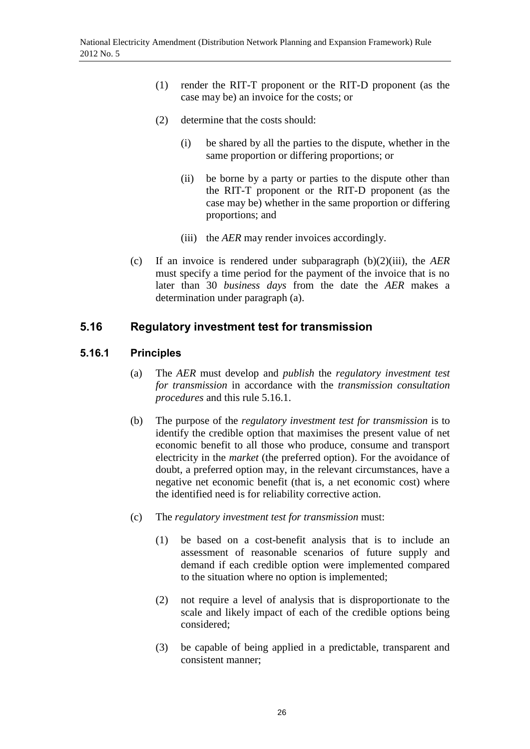- (1) render the RIT-T proponent or the RIT-D proponent (as the case may be) an invoice for the costs; or
- (2) determine that the costs should:
	- (i) be shared by all the parties to the dispute, whether in the same proportion or differing proportions; or
	- (ii) be borne by a party or parties to the dispute other than the RIT-T proponent or the RIT-D proponent (as the case may be) whether in the same proportion or differing proportions; and
	- (iii) the *AER* may render invoices accordingly.
- (c) If an invoice is rendered under subparagraph (b)(2)(iii), the *AER*  must specify a time period for the payment of the invoice that is no later than 30 *business days* from the date the *AER* makes a determination under paragraph (a).

### **5.16 Regulatory investment test for transmission**

### **5.16.1 Principles**

- (a) The *AER* must develop and *publish* the *regulatory investment test for transmission* in accordance with the *transmission consultation procedures* and this rule 5.16.1.
- (b) The purpose of the *regulatory investment test for transmission* is to identify the credible option that maximises the present value of net economic benefit to all those who produce, consume and transport electricity in the *market* (the preferred option). For the avoidance of doubt, a preferred option may, in the relevant circumstances, have a negative net economic benefit (that is, a net economic cost) where the identified need is for reliability corrective action.
- (c) The *regulatory investment test for transmission* must:
	- (1) be based on a cost-benefit analysis that is to include an assessment of reasonable scenarios of future supply and demand if each credible option were implemented compared to the situation where no option is implemented;
	- (2) not require a level of analysis that is disproportionate to the scale and likely impact of each of the credible options being considered;
	- (3) be capable of being applied in a predictable, transparent and consistent manner;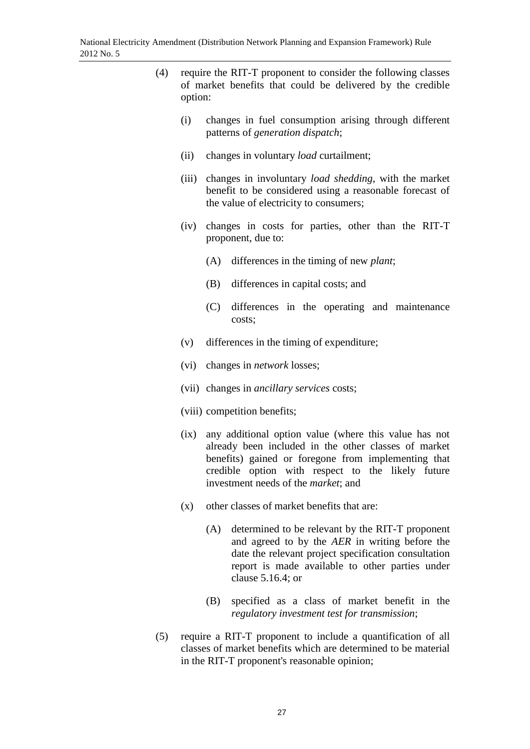- (4) require the RIT-T proponent to consider the following classes of market benefits that could be delivered by the credible option: (i) changes in fuel consumption arising through different patterns of *generation dispatch*; (ii) changes in voluntary *load* curtailment; (iii) changes in involuntary *load shedding*, with the market benefit to be considered using a reasonable forecast of the value of electricity to consumers; (iv) changes in costs for parties, other than the RIT-T proponent, due to: (A) differences in the timing of new *plant*; (B) differences in capital costs; and (C) differences in the operating and maintenance costs; (v) differences in the timing of expenditure; (vi) changes in *network* losses; (vii) changes in *ancillary services* costs; (viii) competition benefits; (ix) any additional option value (where this value has not already been included in the other classes of market benefits) gained or foregone from implementing that credible option with respect to the likely future investment needs of the *market*; and (x) other classes of market benefits that are: (A) determined to be relevant by the RIT-T proponent and agreed to by the *AER* in writing before the date the relevant project specification consultation report is made available to other parties under clause 5.16.4; or (B) specified as a class of market benefit in the *regulatory investment test for transmission*;
	- (5) require a RIT-T proponent to include a quantification of all classes of market benefits which are determined to be material in the RIT-T proponent's reasonable opinion;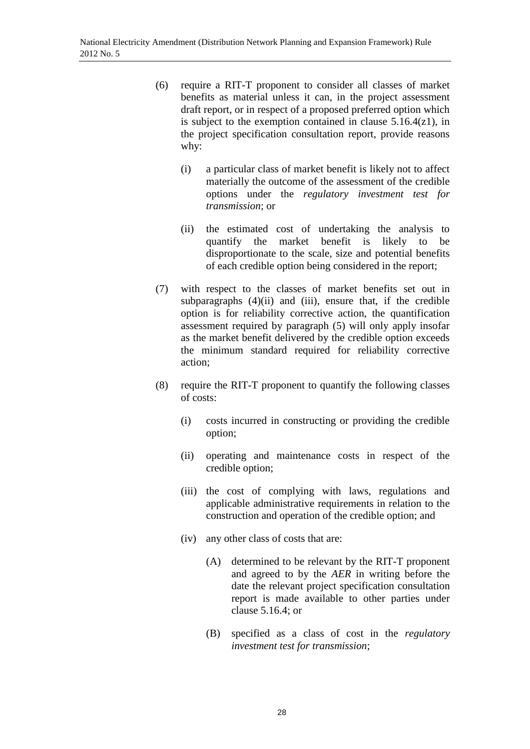- (6) require a RIT-T proponent to consider all classes of market benefits as material unless it can, in the project assessment draft report, or in respect of a proposed preferred option which is subject to the exemption contained in clause  $5.16.4(z1)$ , in the project specification consultation report, provide reasons why:
	- (i) a particular class of market benefit is likely not to affect materially the outcome of the assessment of the credible options under the *regulatory investment test for transmission*; or
	- (ii) the estimated cost of undertaking the analysis to quantify the market benefit is likely to be disproportionate to the scale, size and potential benefits of each credible option being considered in the report;
- (7) with respect to the classes of market benefits set out in subparagraphs  $(4)(ii)$  and  $(iii)$ , ensure that, if the credible option is for reliability corrective action, the quantification assessment required by paragraph (5) will only apply insofar as the market benefit delivered by the credible option exceeds the minimum standard required for reliability corrective action;
- (8) require the RIT-T proponent to quantify the following classes of costs:
	- (i) costs incurred in constructing or providing the credible option;
	- (ii) operating and maintenance costs in respect of the credible option;
	- (iii) the cost of complying with laws, regulations and applicable administrative requirements in relation to the construction and operation of the credible option; and
	- (iv) any other class of costs that are:
		- (A) determined to be relevant by the RIT-T proponent and agreed to by the *AER* in writing before the date the relevant project specification consultation report is made available to other parties under clause 5.16.4; or
		- (B) specified as a class of cost in the *regulatory investment test for transmission*;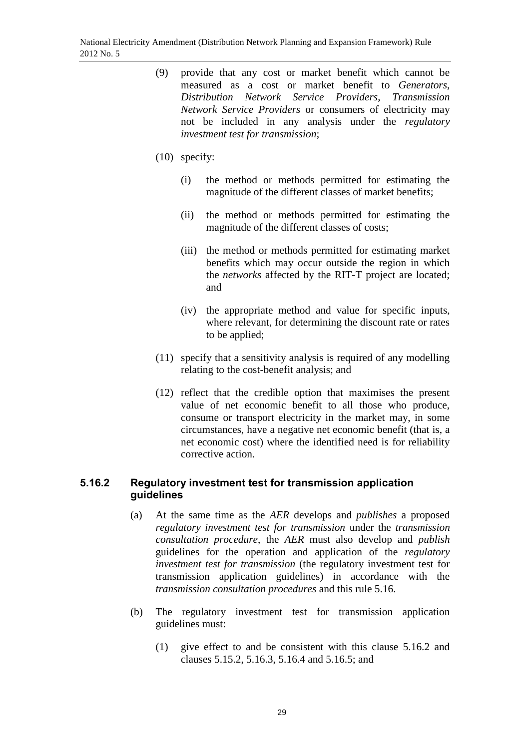- (9) provide that any cost or market benefit which cannot be measured as a cost or market benefit to *Generators*, *Distribution Network Service Providers*, *Transmission Network Service Providers* or consumers of electricity may not be included in any analysis under the *regulatory investment test for transmission*;
- (10) specify:
	- (i) the method or methods permitted for estimating the magnitude of the different classes of market benefits;
	- (ii) the method or methods permitted for estimating the magnitude of the different classes of costs;
	- (iii) the method or methods permitted for estimating market benefits which may occur outside the region in which the *networks* affected by the RIT-T project are located; and
	- (iv) the appropriate method and value for specific inputs, where relevant, for determining the discount rate or rates to be applied;
- (11) specify that a sensitivity analysis is required of any modelling relating to the cost-benefit analysis; and
- (12) reflect that the credible option that maximises the present value of net economic benefit to all those who produce, consume or transport electricity in the market may, in some circumstances, have a negative net economic benefit (that is, a net economic cost) where the identified need is for reliability corrective action.

### **5.16.2 Regulatory investment test for transmission application guidelines**

- (a) At the same time as the *AER* develops and *publishes* a proposed *regulatory investment test for transmission* under the *transmission consultation procedure*, the *AER* must also develop and *publish* guidelines for the operation and application of the *regulatory investment test for transmission* (the regulatory investment test for transmission application guidelines) in accordance with the *transmission consultation procedures* and this rule 5.16.
- (b) The regulatory investment test for transmission application guidelines must:
	- (1) give effect to and be consistent with this clause 5.16.2 and clauses 5.15.2, 5.16.3, 5.16.4 and 5.16.5; and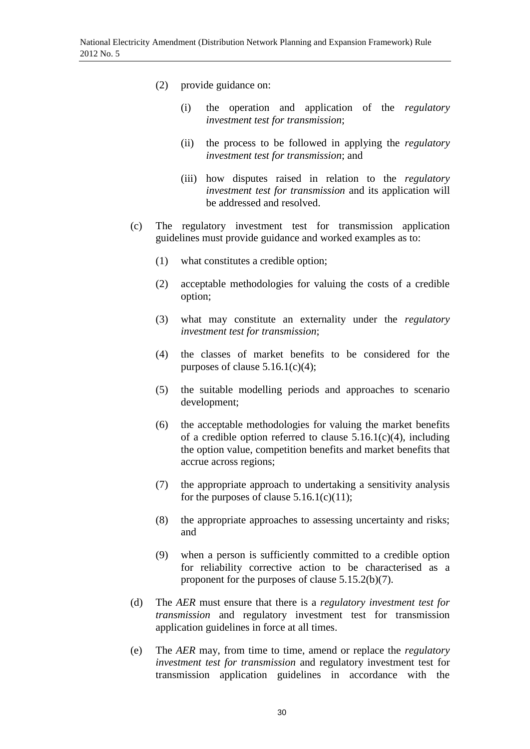- (2) provide guidance on:
	- (i) the operation and application of the *regulatory investment test for transmission*;
	- (ii) the process to be followed in applying the *regulatory investment test for transmission*; and
	- (iii) how disputes raised in relation to the *regulatory investment test for transmission* and its application will be addressed and resolved.
- (c) The regulatory investment test for transmission application guidelines must provide guidance and worked examples as to:
	- (1) what constitutes a credible option;
	- (2) acceptable methodologies for valuing the costs of a credible option;
	- (3) what may constitute an externality under the *regulatory investment test for transmission*;
	- (4) the classes of market benefits to be considered for the purposes of clause  $5.16.1(c)(4)$ ;
	- (5) the suitable modelling periods and approaches to scenario development;
	- (6) the acceptable methodologies for valuing the market benefits of a credible option referred to clause  $5.16.1(c)(4)$ , including the option value, competition benefits and market benefits that accrue across regions;
	- (7) the appropriate approach to undertaking a sensitivity analysis for the purposes of clause  $5.16.1(c)(11)$ ;
	- (8) the appropriate approaches to assessing uncertainty and risks; and
	- (9) when a person is sufficiently committed to a credible option for reliability corrective action to be characterised as a proponent for the purposes of clause 5.15.2(b)(7).
- (d) The *AER* must ensure that there is a *regulatory investment test for transmission* and regulatory investment test for transmission application guidelines in force at all times.
- (e) The *AER* may, from time to time, amend or replace the *regulatory investment test for transmission* and regulatory investment test for transmission application guidelines in accordance with the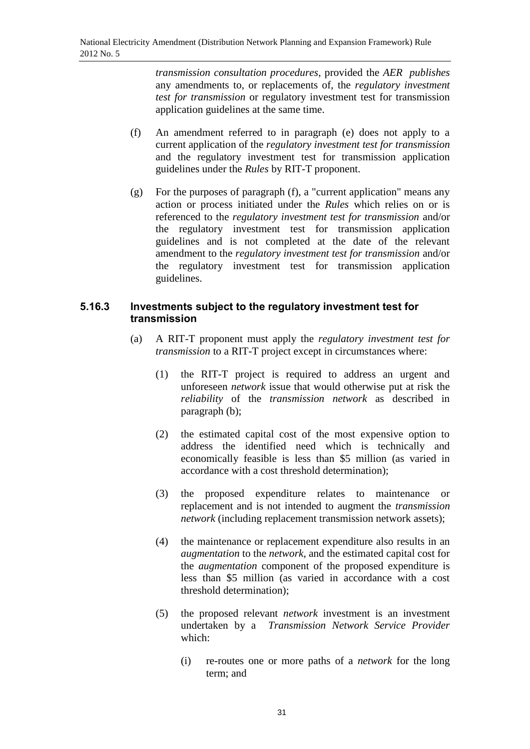*transmission consultation procedures*, provided the *AER publishes* any amendments to, or replacements of, the *regulatory investment test for transmission* or regulatory investment test for transmission application guidelines at the same time.

- (f) An amendment referred to in paragraph (e) does not apply to a current application of the *regulatory investment test for transmission*  and the regulatory investment test for transmission application guidelines under the *Rules* by RIT-T proponent.
- (g) For the purposes of paragraph (f), a "current application" means any action or process initiated under the *Rules* which relies on or is referenced to the *regulatory investment test for transmission* and/or the regulatory investment test for transmission application guidelines and is not completed at the date of the relevant amendment to the *regulatory investment test for transmission* and/or the regulatory investment test for transmission application guidelines.

### **5.16.3 Investments subject to the regulatory investment test for transmission**

- (a) A RIT-T proponent must apply the *regulatory investment test for transmission* to a RIT-T project except in circumstances where:
	- (1) the RIT-T project is required to address an urgent and unforeseen *network* issue that would otherwise put at risk the *reliability* of the *transmission network* as described in paragraph (b);
	- (2) the estimated capital cost of the most expensive option to address the identified need which is technically and economically feasible is less than \$5 million (as varied in accordance with a cost threshold determination);
	- (3) the proposed expenditure relates to maintenance or replacement and is not intended to augment the *transmission network* (including replacement transmission network assets);
	- (4) the maintenance or replacement expenditure also results in an *augmentation* to the *network*, and the estimated capital cost for the *augmentation* component of the proposed expenditure is less than \$5 million (as varied in accordance with a cost threshold determination);
	- (5) the proposed relevant *network* investment is an investment undertaken by a *Transmission Network Service Provider* which:
		- (i) re-routes one or more paths of a *network* for the long term; and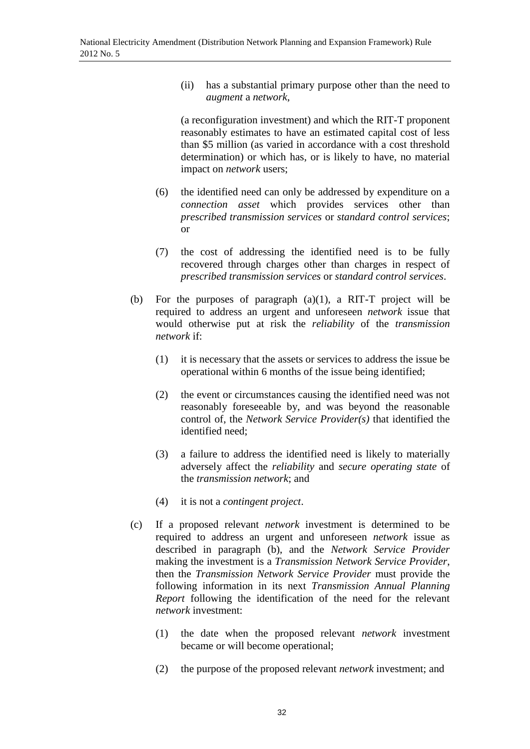(ii) has a substantial primary purpose other than the need to *augment* a *network*,

(a reconfiguration investment) and which the RIT-T proponent reasonably estimates to have an estimated capital cost of less than \$5 million (as varied in accordance with a cost threshold determination) or which has, or is likely to have, no material impact on *network* users;

- (6) the identified need can only be addressed by expenditure on a *connection asset* which provides services other than *prescribed transmission services* or *standard control services*; or
- (7) the cost of addressing the identified need is to be fully recovered through charges other than charges in respect of *prescribed transmission services* or *standard control services*.
- (b) For the purposes of paragraph (a)(1), a RIT-T project will be required to address an urgent and unforeseen *network* issue that would otherwise put at risk the *reliability* of the *transmission network* if:
	- (1) it is necessary that the assets or services to address the issue be operational within 6 months of the issue being identified;
	- (2) the event or circumstances causing the identified need was not reasonably foreseeable by, and was beyond the reasonable control of, the *Network Service Provider(s)* that identified the identified need;
	- (3) a failure to address the identified need is likely to materially adversely affect the *reliability* and *secure operating state* of the *transmission network*; and
	- (4) it is not a *contingent project*.
- (c) If a proposed relevant *network* investment is determined to be required to address an urgent and unforeseen *network* issue as described in paragraph (b), and the *Network Service Provider* making the investment is a *Transmission Network Service Provider*, then the *Transmission Network Service Provider* must provide the following information in its next *Transmission Annual Planning Report* following the identification of the need for the relevant *network* investment:
	- (1) the date when the proposed relevant *network* investment became or will become operational;
	- (2) the purpose of the proposed relevant *network* investment; and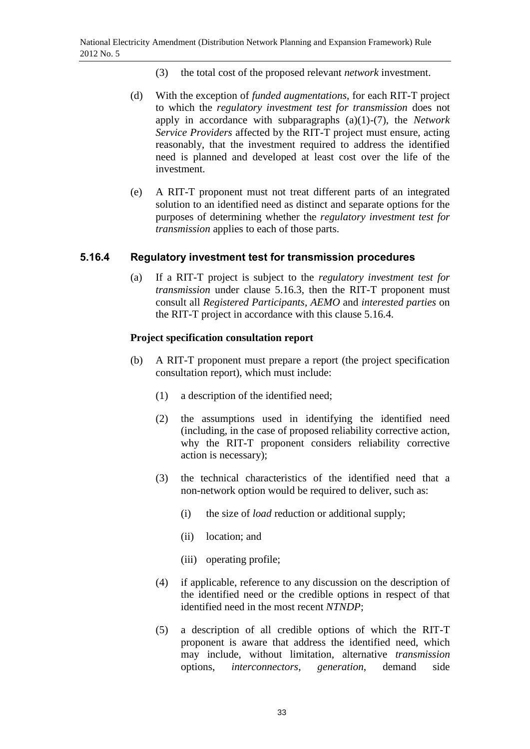- (3) the total cost of the proposed relevant *network* investment.
- (d) With the exception of *funded augmentations*, for each RIT-T project to which the *regulatory investment test for transmission* does not apply in accordance with subparagraphs (a)(1)-(7), the *Network Service Providers* affected by the RIT-T project must ensure, acting reasonably, that the investment required to address the identified need is planned and developed at least cost over the life of the investment.
- (e) A RIT-T proponent must not treat different parts of an integrated solution to an identified need as distinct and separate options for the purposes of determining whether the *regulatory investment test for transmission* applies to each of those parts.

### **5.16.4 Regulatory investment test for transmission procedures**

(a) If a RIT-T project is subject to the *regulatory investment test for transmission* under clause 5.16.3, then the RIT-T proponent must consult all *Registered Participants*, *AEMO* and *interested parties* on the RIT-T project in accordance with this clause 5.16.4.

### **Project specification consultation report**

- (b) A RIT-T proponent must prepare a report (the project specification consultation report), which must include:
	- (1) a description of the identified need;
	- (2) the assumptions used in identifying the identified need (including, in the case of proposed reliability corrective action, why the RIT-T proponent considers reliability corrective action is necessary);
	- (3) the technical characteristics of the identified need that a non-network option would be required to deliver, such as:
		- (i) the size of *load* reduction or additional supply;
		- (ii) location; and
		- (iii) operating profile;
	- (4) if applicable, reference to any discussion on the description of the identified need or the credible options in respect of that identified need in the most recent *NTNDP*;
	- (5) a description of all credible options of which the RIT-T proponent is aware that address the identified need, which may include, without limitation, alternative *transmission*  options, *interconnectors*, *generation*, demand side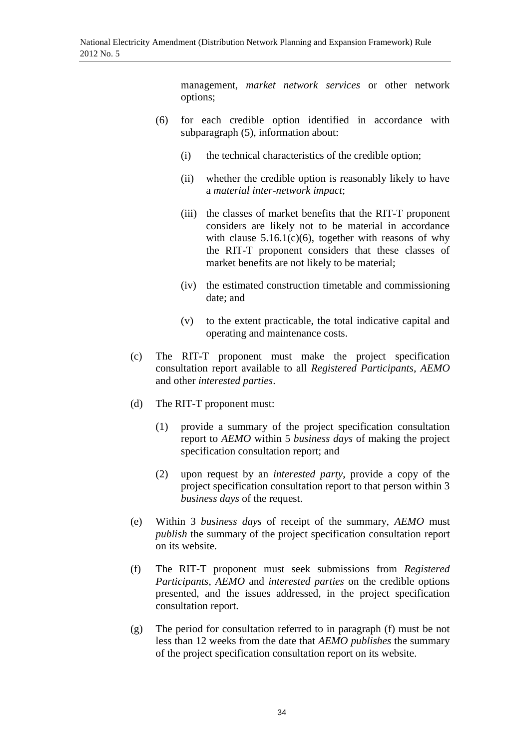management, *market network services* or other network options;

- (6) for each credible option identified in accordance with subparagraph (5), information about:
	- (i) the technical characteristics of the credible option;
	- (ii) whether the credible option is reasonably likely to have a *material inter-network impact*;
	- (iii) the classes of market benefits that the RIT-T proponent considers are likely not to be material in accordance with clause  $5.16.1(c)(6)$ , together with reasons of why the RIT-T proponent considers that these classes of market benefits are not likely to be material;
	- (iv) the estimated construction timetable and commissioning date; and
	- (v) to the extent practicable, the total indicative capital and operating and maintenance costs.
- (c) The RIT-T proponent must make the project specification consultation report available to all *Registered Participants*, *AEMO* and other *interested parties*.
- (d) The RIT-T proponent must:
	- (1) provide a summary of the project specification consultation report to *AEMO* within 5 *business days* of making the project specification consultation report; and
	- (2) upon request by an *interested party*, provide a copy of the project specification consultation report to that person within 3 *business days* of the request.
- (e) Within 3 *business days* of receipt of the summary, *AEMO* must *publish* the summary of the project specification consultation report on its website.
- (f) The RIT-T proponent must seek submissions from *Registered Participants*, *AEMO* and *interested parties* on the credible options presented, and the issues addressed, in the project specification consultation report.
- (g) The period for consultation referred to in paragraph (f) must be not less than 12 weeks from the date that *AEMO publishes* the summary of the project specification consultation report on its website.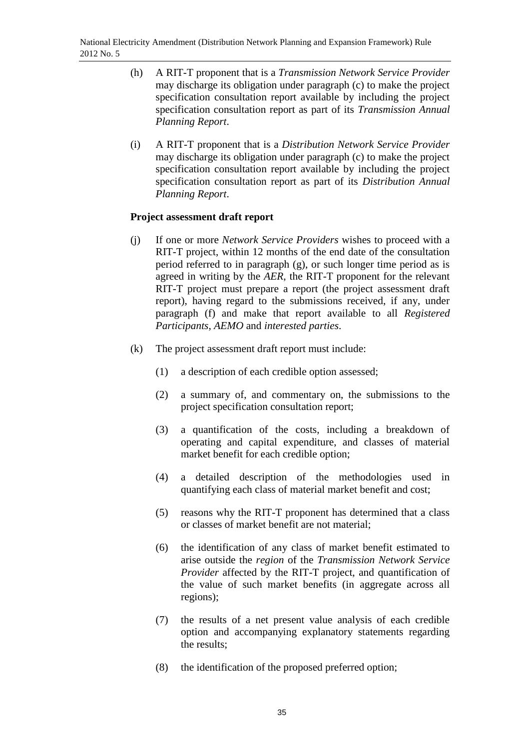- (h) A RIT-T proponent that is a *Transmission Network Service Provider* may discharge its obligation under paragraph (c) to make the project specification consultation report available by including the project specification consultation report as part of its *Transmission Annual Planning Report*.
- (i) A RIT-T proponent that is a *Distribution Network Service Provider* may discharge its obligation under paragraph (c) to make the project specification consultation report available by including the project specification consultation report as part of its *Distribution Annual Planning Report*.

### **Project assessment draft report**

- (j) If one or more *Network Service Providers* wishes to proceed with a RIT-T project, within 12 months of the end date of the consultation period referred to in paragraph (g), or such longer time period as is agreed in writing by the *AER*, the RIT-T proponent for the relevant RIT-T project must prepare a report (the project assessment draft report), having regard to the submissions received, if any, under paragraph (f) and make that report available to all *Registered Participants*, *AEMO* and *interested parties*.
- (k) The project assessment draft report must include:
	- (1) a description of each credible option assessed;
	- (2) a summary of, and commentary on, the submissions to the project specification consultation report;
	- (3) a quantification of the costs, including a breakdown of operating and capital expenditure, and classes of material market benefit for each credible option;
	- (4) a detailed description of the methodologies used in quantifying each class of material market benefit and cost;
	- (5) reasons why the RIT-T proponent has determined that a class or classes of market benefit are not material;
	- (6) the identification of any class of market benefit estimated to arise outside the *region* of the *Transmission Network Service Provider* affected by the RIT-T project, and quantification of the value of such market benefits (in aggregate across all regions);
	- (7) the results of a net present value analysis of each credible option and accompanying explanatory statements regarding the results;
	- (8) the identification of the proposed preferred option;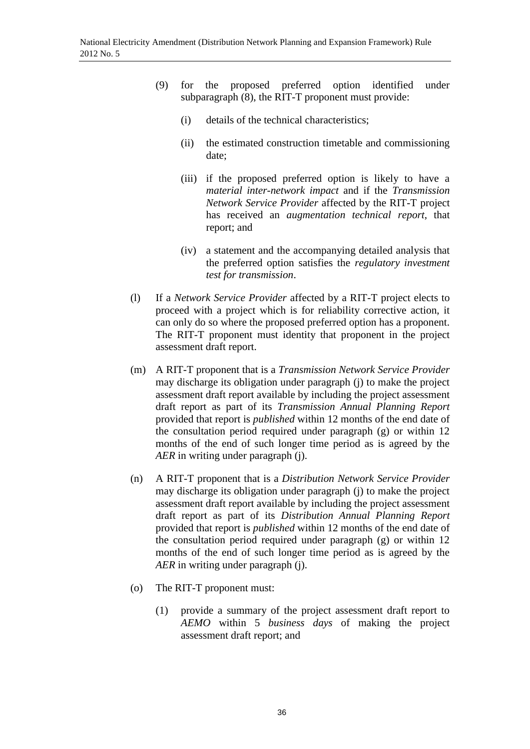- (9) for the proposed preferred option identified under subparagraph (8), the RIT-T proponent must provide:
	- (i) details of the technical characteristics;
	- (ii) the estimated construction timetable and commissioning date;
	- (iii) if the proposed preferred option is likely to have a *material inter-network impact* and if the *Transmission Network Service Provider* affected by the RIT-T project has received an *augmentation technical report*, that report; and
	- (iv) a statement and the accompanying detailed analysis that the preferred option satisfies the *regulatory investment test for transmission*.
- (l) If a *Network Service Provider* affected by a RIT-T project elects to proceed with a project which is for reliability corrective action, it can only do so where the proposed preferred option has a proponent. The RIT-T proponent must identity that proponent in the project assessment draft report.
- (m) A RIT-T proponent that is a *Transmission Network Service Provider* may discharge its obligation under paragraph (j) to make the project assessment draft report available by including the project assessment draft report as part of its *Transmission Annual Planning Report* provided that report is *published* within 12 months of the end date of the consultation period required under paragraph (g) or within 12 months of the end of such longer time period as is agreed by the *AER* in writing under paragraph (j).
- (n) A RIT-T proponent that is a *Distribution Network Service Provider* may discharge its obligation under paragraph (j) to make the project assessment draft report available by including the project assessment draft report as part of its *Distribution Annual Planning Report* provided that report is *published* within 12 months of the end date of the consultation period required under paragraph (g) or within 12 months of the end of such longer time period as is agreed by the *AER* in writing under paragraph (j).
- (o) The RIT-T proponent must:
	- (1) provide a summary of the project assessment draft report to *AEMO* within 5 *business days* of making the project assessment draft report; and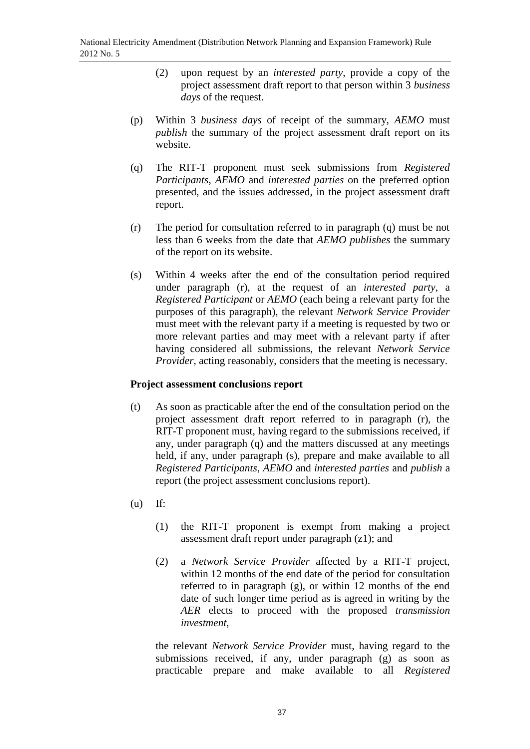- (2) upon request by an *interested party*, provide a copy of the project assessment draft report to that person within 3 *business days* of the request.
- (p) Within 3 *business days* of receipt of the summary, *AEMO* must *publish* the summary of the project assessment draft report on its website.
- (q) The RIT-T proponent must seek submissions from *Registered Participants*, *AEMO* and *interested parties* on the preferred option presented, and the issues addressed, in the project assessment draft report.
- (r) The period for consultation referred to in paragraph (q) must be not less than 6 weeks from the date that *AEMO publishes* the summary of the report on its website.
- (s) Within 4 weeks after the end of the consultation period required under paragraph (r), at the request of an *interested party*, a *Registered Participant* or *AEMO* (each being a relevant party for the purposes of this paragraph), the relevant *Network Service Provider* must meet with the relevant party if a meeting is requested by two or more relevant parties and may meet with a relevant party if after having considered all submissions, the relevant *Network Service Provider*, acting reasonably, considers that the meeting is necessary.

## **Project assessment conclusions report**

- (t) As soon as practicable after the end of the consultation period on the project assessment draft report referred to in paragraph (r), the RIT-T proponent must, having regard to the submissions received, if any, under paragraph (q) and the matters discussed at any meetings held, if any, under paragraph (s), prepare and make available to all *Registered Participants*, *AEMO* and *interested parties* and *publish* a report (the project assessment conclusions report).
- (u) If:
	- (1) the RIT-T proponent is exempt from making a project assessment draft report under paragraph (z1); and
	- (2) a *Network Service Provider* affected by a RIT-T project, within 12 months of the end date of the period for consultation referred to in paragraph (g), or within 12 months of the end date of such longer time period as is agreed in writing by the *AER* elects to proceed with the proposed *transmission investment*,

the relevant *Network Service Provider* must, having regard to the submissions received, if any, under paragraph (g) as soon as practicable prepare and make available to all *Registered*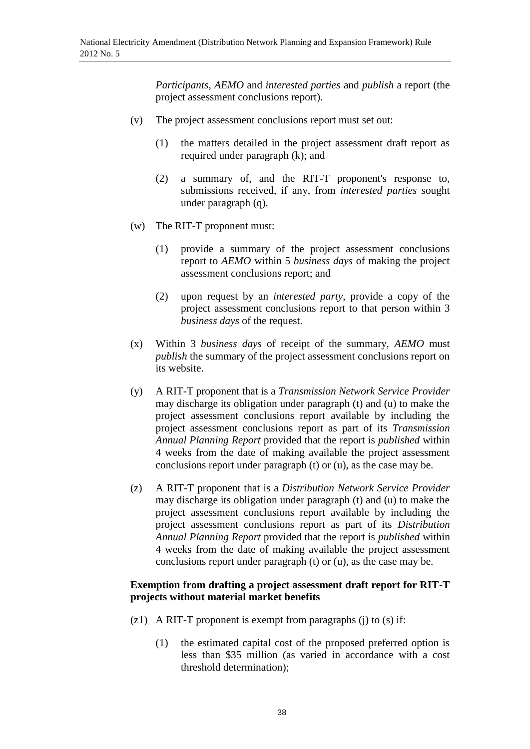*Participants*, *AEMO* and *interested parties* and *publish* a report (the project assessment conclusions report).

- (v) The project assessment conclusions report must set out:
	- (1) the matters detailed in the project assessment draft report as required under paragraph (k); and
	- (2) a summary of, and the RIT-T proponent's response to, submissions received, if any, from *interested parties* sought under paragraph (q).
- (w) The RIT-T proponent must:
	- (1) provide a summary of the project assessment conclusions report to *AEMO* within 5 *business days* of making the project assessment conclusions report; and
	- (2) upon request by an *interested party*, provide a copy of the project assessment conclusions report to that person within 3 *business days* of the request.
- (x) Within 3 *business days* of receipt of the summary, *AEMO* must *publish* the summary of the project assessment conclusions report on its website.
- (y) A RIT-T proponent that is a *Transmission Network Service Provider*  may discharge its obligation under paragraph (t) and (u) to make the project assessment conclusions report available by including the project assessment conclusions report as part of its *Transmission Annual Planning Report* provided that the report is *published* within 4 weeks from the date of making available the project assessment conclusions report under paragraph (t) or (u), as the case may be.
- (z) A RIT-T proponent that is a *Distribution Network Service Provider* may discharge its obligation under paragraph (t) and (u) to make the project assessment conclusions report available by including the project assessment conclusions report as part of its *Distribution Annual Planning Report* provided that the report is *published* within 4 weeks from the date of making available the project assessment conclusions report under paragraph (t) or (u), as the case may be.

### **Exemption from drafting a project assessment draft report for RIT-T projects without material market benefits**

- (z1) A RIT-T proponent is exempt from paragraphs (j) to (s) if:
	- (1) the estimated capital cost of the proposed preferred option is less than \$35 million (as varied in accordance with a cost threshold determination);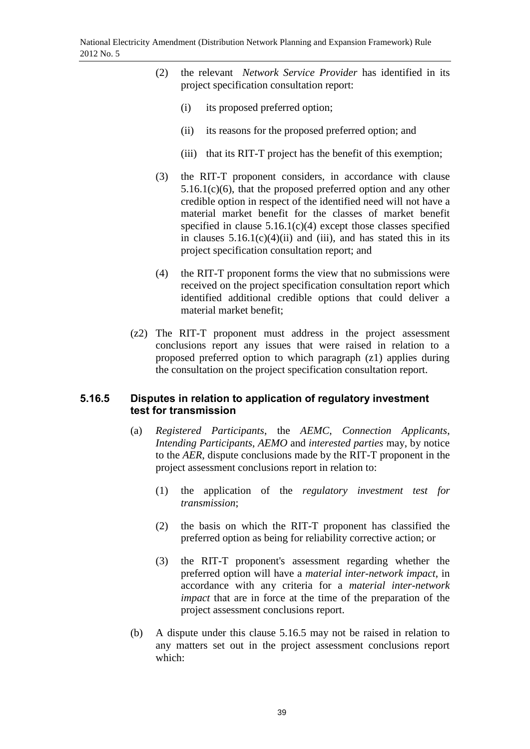- (2) the relevant *Network Service Provider* has identified in its project specification consultation report:
	- (i) its proposed preferred option;
	- (ii) its reasons for the proposed preferred option; and
	- (iii) that its RIT-T project has the benefit of this exemption;
- (3) the RIT-T proponent considers, in accordance with clause 5.16.1(c)(6), that the proposed preferred option and any other credible option in respect of the identified need will not have a material market benefit for the classes of market benefit specified in clause  $5.16.1(c)(4)$  except those classes specified in clauses  $5.16.1(c)(4)(ii)$  and (iii), and has stated this in its project specification consultation report; and
- (4) the RIT-T proponent forms the view that no submissions were received on the project specification consultation report which identified additional credible options that could deliver a material market benefit;
- (z2) The RIT-T proponent must address in the project assessment conclusions report any issues that were raised in relation to a proposed preferred option to which paragraph (z1) applies during the consultation on the project specification consultation report.

## **5.16.5 Disputes in relation to application of regulatory investment test for transmission**

- (a) *Registered Participants*, the *AEMC*, *Connection Applicants*, *Intending Participants*, *AEMO* and *interested parties* may, by notice to the *AER*, dispute conclusions made by the RIT-T proponent in the project assessment conclusions report in relation to:
	- (1) the application of the *regulatory investment test for transmission*;
	- (2) the basis on which the RIT-T proponent has classified the preferred option as being for reliability corrective action; or
	- (3) the RIT-T proponent's assessment regarding whether the preferred option will have a *material inter-network impact*, in accordance with any criteria for a *material inter-network impact* that are in force at the time of the preparation of the project assessment conclusions report.
- (b) A dispute under this clause 5.16.5 may not be raised in relation to any matters set out in the project assessment conclusions report which: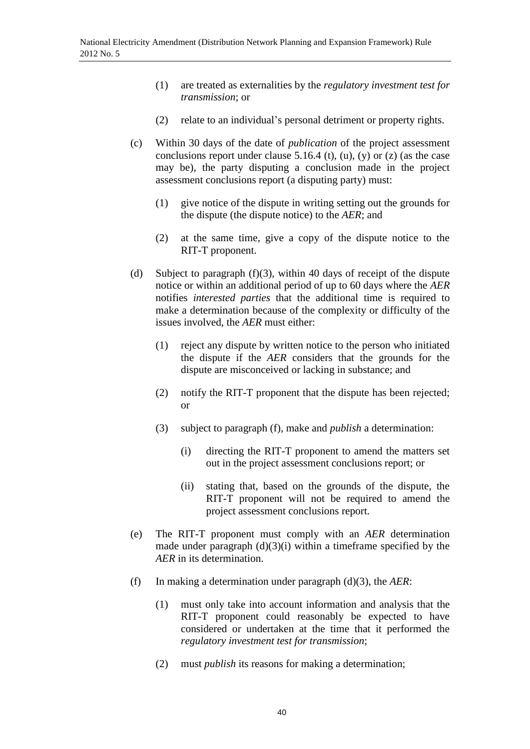- (1) are treated as externalities by the *regulatory investment test for transmission*; or
- (2) relate to an individual's personal detriment or property rights.
- (c) Within 30 days of the date of *publication* of the project assessment conclusions report under clause  $5.16.4$  (t), (u), (y) or (z) (as the case may be), the party disputing a conclusion made in the project assessment conclusions report (a disputing party) must:
	- (1) give notice of the dispute in writing setting out the grounds for the dispute (the dispute notice) to the *AER*; and
	- (2) at the same time, give a copy of the dispute notice to the RIT-T proponent.
- (d) Subject to paragraph (f)(3), within 40 days of receipt of the dispute notice or within an additional period of up to 60 days where the *AER* notifies *interested parties* that the additional time is required to make a determination because of the complexity or difficulty of the issues involved, the *AER* must either:
	- (1) reject any dispute by written notice to the person who initiated the dispute if the *AER* considers that the grounds for the dispute are misconceived or lacking in substance; and
	- (2) notify the RIT-T proponent that the dispute has been rejected; or
	- (3) subject to paragraph (f), make and *publish* a determination:
		- (i) directing the RIT-T proponent to amend the matters set out in the project assessment conclusions report; or
		- (ii) stating that, based on the grounds of the dispute, the RIT-T proponent will not be required to amend the project assessment conclusions report.
- (e) The RIT-T proponent must comply with an *AER* determination made under paragraph  $(d)(3)(i)$  within a timeframe specified by the *AER* in its determination.
- (f) In making a determination under paragraph (d)(3), the *AER*:
	- (1) must only take into account information and analysis that the RIT-T proponent could reasonably be expected to have considered or undertaken at the time that it performed the *regulatory investment test for transmission*;
	- (2) must *publish* its reasons for making a determination;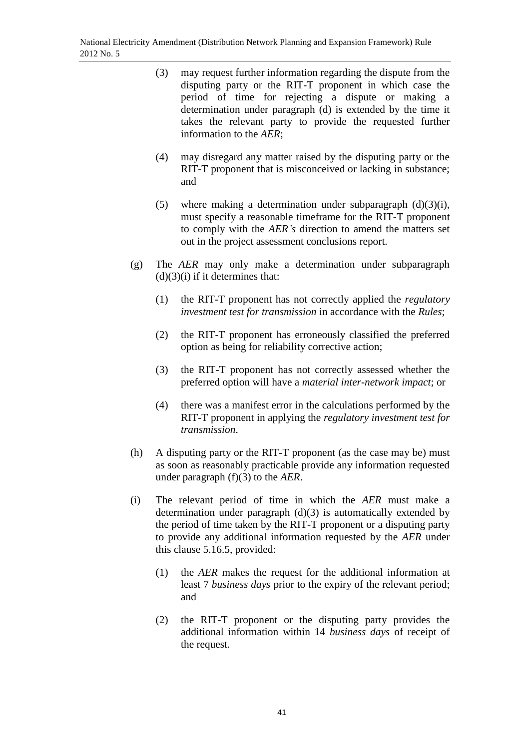- (3) may request further information regarding the dispute from the disputing party or the RIT-T proponent in which case the period of time for rejecting a dispute or making a determination under paragraph (d) is extended by the time it takes the relevant party to provide the requested further information to the *AER*;
- (4) may disregard any matter raised by the disputing party or the RIT-T proponent that is misconceived or lacking in substance; and
- (5) where making a determination under subparagraph  $(d)(3)(i)$ , must specify a reasonable timeframe for the RIT-T proponent to comply with the *AER's* direction to amend the matters set out in the project assessment conclusions report.
- (g) The *AER* may only make a determination under subparagraph  $(d)(3)(i)$  if it determines that:
	- (1) the RIT-T proponent has not correctly applied the *regulatory investment test for transmission* in accordance with the *Rules*;
	- (2) the RIT-T proponent has erroneously classified the preferred option as being for reliability corrective action;
	- (3) the RIT-T proponent has not correctly assessed whether the preferred option will have a *material inter-network impact*; or
	- (4) there was a manifest error in the calculations performed by the RIT-T proponent in applying the *regulatory investment test for transmission*.
- (h) A disputing party or the RIT-T proponent (as the case may be) must as soon as reasonably practicable provide any information requested under paragraph (f)(3) to the *AER*.
- (i) The relevant period of time in which the *AER* must make a determination under paragraph  $(d)(3)$  is automatically extended by the period of time taken by the RIT-T proponent or a disputing party to provide any additional information requested by the *AER* under this clause 5.16.5, provided:
	- (1) the *AER* makes the request for the additional information at least 7 *business days* prior to the expiry of the relevant period; and
	- (2) the RIT-T proponent or the disputing party provides the additional information within 14 *business days* of receipt of the request.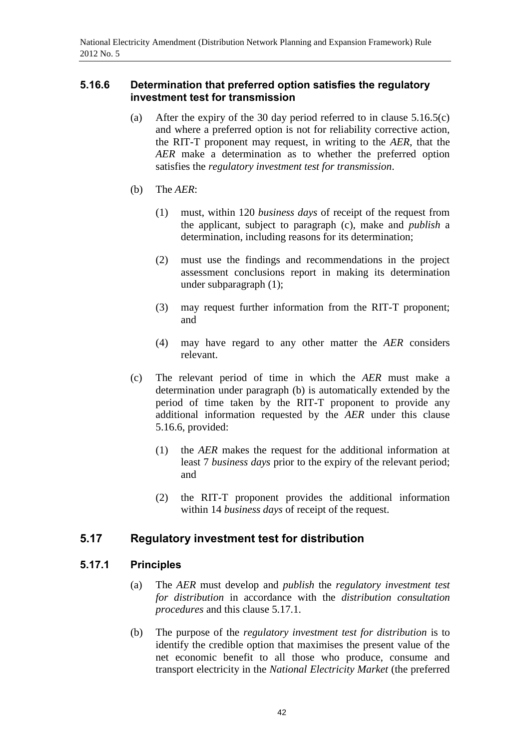## **5.16.6 Determination that preferred option satisfies the regulatory investment test for transmission**

- (a) After the expiry of the 30 day period referred to in clause  $5.16.5(c)$ and where a preferred option is not for reliability corrective action, the RIT-T proponent may request, in writing to the *AER*, that the *AER* make a determination as to whether the preferred option satisfies the *regulatory investment test for transmission*.
- (b) The *AER*:
	- (1) must, within 120 *business days* of receipt of the request from the applicant, subject to paragraph (c), make and *publish* a determination, including reasons for its determination;
	- (2) must use the findings and recommendations in the project assessment conclusions report in making its determination under subparagraph (1);
	- (3) may request further information from the RIT-T proponent; and
	- (4) may have regard to any other matter the *AER* considers relevant.
- (c) The relevant period of time in which the *AER* must make a determination under paragraph (b) is automatically extended by the period of time taken by the RIT-T proponent to provide any additional information requested by the *AER* under this clause 5.16.6, provided:
	- (1) the *AER* makes the request for the additional information at least 7 *business days* prior to the expiry of the relevant period; and
	- (2) the RIT-T proponent provides the additional information within 14 *business days* of receipt of the request.

# **5.17 Regulatory investment test for distribution**

## **5.17.1 Principles**

- (a) The *AER* must develop and *publish* the *regulatory investment test for distribution* in accordance with the *distribution consultation procedures* and this clause 5.17.1.
- (b) The purpose of the *regulatory investment test for distribution* is to identify the credible option that maximises the present value of the net economic benefit to all those who produce, consume and transport electricity in the *National Electricity Market* (the preferred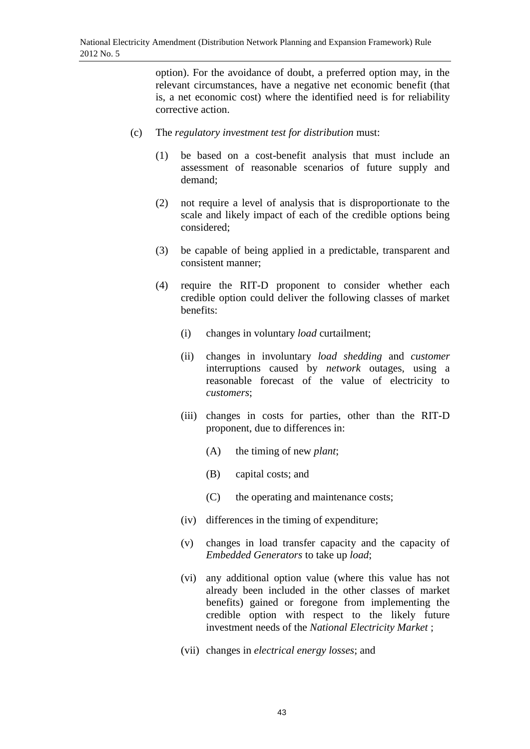option). For the avoidance of doubt, a preferred option may, in the relevant circumstances, have a negative net economic benefit (that is, a net economic cost) where the identified need is for reliability corrective action.

- (c) The *regulatory investment test for distribution* must:
	- (1) be based on a cost-benefit analysis that must include an assessment of reasonable scenarios of future supply and demand;
	- (2) not require a level of analysis that is disproportionate to the scale and likely impact of each of the credible options being considered;
	- (3) be capable of being applied in a predictable, transparent and consistent manner;
	- (4) require the RIT-D proponent to consider whether each credible option could deliver the following classes of market benefits:
		- (i) changes in voluntary *load* curtailment;
		- (ii) changes in involuntary *load shedding* and *customer* interruptions caused by *network* outages, using a reasonable forecast of the value of electricity to *customers*;
		- (iii) changes in costs for parties, other than the RIT-D proponent, due to differences in:
			- (A) the timing of new *plant*;
			- (B) capital costs; and
			- (C) the operating and maintenance costs;
		- (iv) differences in the timing of expenditure;
		- (v) changes in load transfer capacity and the capacity of *Embedded Generators* to take up *load*;
		- (vi) any additional option value (where this value has not already been included in the other classes of market benefits) gained or foregone from implementing the credible option with respect to the likely future investment needs of the *National Electricity Market* ;
		- (vii) changes in *electrical energy losses*; and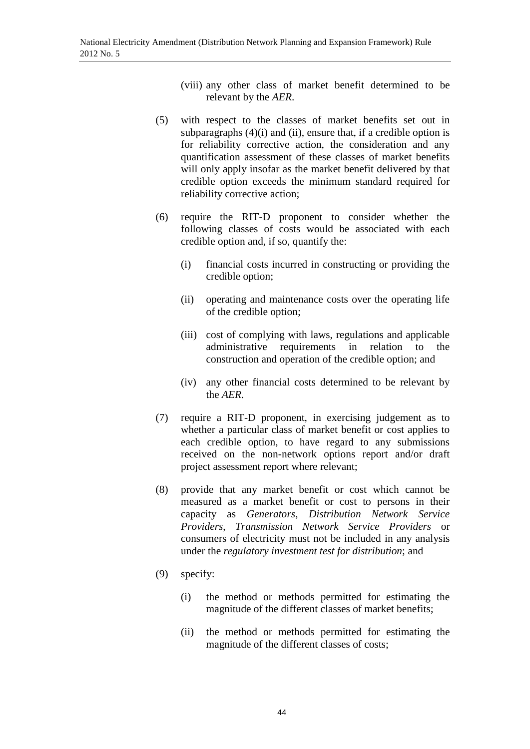- (viii) any other class of market benefit determined to be relevant by the *AER*.
- (5) with respect to the classes of market benefits set out in subparagraphs  $(4)(i)$  and  $(ii)$ , ensure that, if a credible option is for reliability corrective action, the consideration and any quantification assessment of these classes of market benefits will only apply insofar as the market benefit delivered by that credible option exceeds the minimum standard required for reliability corrective action;
- (6) require the RIT-D proponent to consider whether the following classes of costs would be associated with each credible option and, if so, quantify the:
	- (i) financial costs incurred in constructing or providing the credible option;
	- (ii) operating and maintenance costs over the operating life of the credible option;
	- (iii) cost of complying with laws, regulations and applicable administrative requirements in relation to the construction and operation of the credible option; and
	- (iv) any other financial costs determined to be relevant by the *AER*.
- (7) require a RIT-D proponent, in exercising judgement as to whether a particular class of market benefit or cost applies to each credible option, to have regard to any submissions received on the non-network options report and/or draft project assessment report where relevant;
- (8) provide that any market benefit or cost which cannot be measured as a market benefit or cost to persons in their capacity as *Generators*, *Distribution Network Service Providers*, *Transmission Network Service Providers* or consumers of electricity must not be included in any analysis under the *regulatory investment test for distribution*; and
- (9) specify:
	- (i) the method or methods permitted for estimating the magnitude of the different classes of market benefits;
	- (ii) the method or methods permitted for estimating the magnitude of the different classes of costs;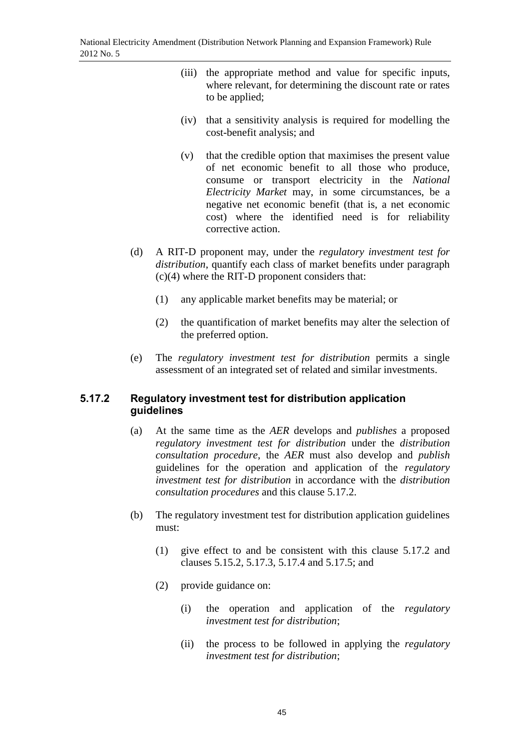- (iii) the appropriate method and value for specific inputs, where relevant, for determining the discount rate or rates to be applied;
- (iv) that a sensitivity analysis is required for modelling the cost-benefit analysis; and
- (v) that the credible option that maximises the present value of net economic benefit to all those who produce, consume or transport electricity in the *National Electricity Market* may, in some circumstances, be a negative net economic benefit (that is, a net economic cost) where the identified need is for reliability corrective action.
- (d) A RIT-D proponent may, under the *regulatory investment test for distribution*, quantify each class of market benefits under paragraph (c)(4) where the RIT-D proponent considers that:
	- (1) any applicable market benefits may be material; or
	- (2) the quantification of market benefits may alter the selection of the preferred option.
- (e) The *regulatory investment test for distribution* permits a single assessment of an integrated set of related and similar investments.

# **5.17.2 Regulatory investment test for distribution application guidelines**

- (a) At the same time as the *AER* develops and *publishes* a proposed *regulatory investment test for distribution* under the *distribution consultation procedure*, the *AER* must also develop and *publish* guidelines for the operation and application of the *regulatory investment test for distribution* in accordance with the *distribution consultation procedures* and this clause 5.17.2.
- (b) The regulatory investment test for distribution application guidelines must:
	- (1) give effect to and be consistent with this clause 5.17.2 and clauses 5.15.2, 5.17.3, 5.17.4 and 5.17.5; and
	- (2) provide guidance on:
		- (i) the operation and application of the *regulatory investment test for distribution*;
		- (ii) the process to be followed in applying the *regulatory investment test for distribution*;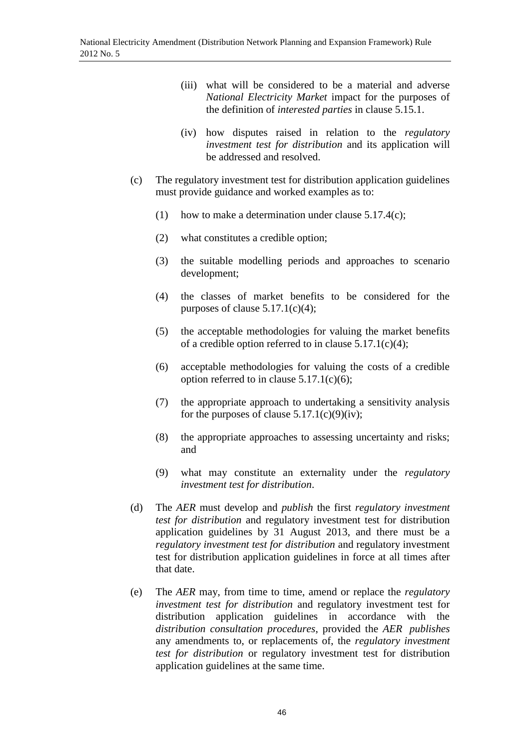- (iii) what will be considered to be a material and adverse *National Electricity Market* impact for the purposes of the definition of *interested parties* in clause 5.15.1.
- (iv) how disputes raised in relation to the *regulatory investment test for distribution* and its application will be addressed and resolved.
- (c) The regulatory investment test for distribution application guidelines must provide guidance and worked examples as to:
	- (1) how to make a determination under clause 5.17.4(c);
	- (2) what constitutes a credible option;
	- (3) the suitable modelling periods and approaches to scenario development;
	- (4) the classes of market benefits to be considered for the purposes of clause  $5.17.1(c)(4)$ ;
	- (5) the acceptable methodologies for valuing the market benefits of a credible option referred to in clause  $5.17.1(c)(4)$ ;
	- (6) acceptable methodologies for valuing the costs of a credible option referred to in clause 5.17.1(c)(6);
	- (7) the appropriate approach to undertaking a sensitivity analysis for the purposes of clause  $5.17.1(c)(9)(iv)$ ;
	- (8) the appropriate approaches to assessing uncertainty and risks; and
	- (9) what may constitute an externality under the *regulatory investment test for distribution*.
- (d) The *AER* must develop and *publish* the first *regulatory investment test for distribution* and regulatory investment test for distribution application guidelines by 31 August 2013, and there must be a *regulatory investment test for distribution* and regulatory investment test for distribution application guidelines in force at all times after that date.
- (e) The *AER* may, from time to time, amend or replace the *regulatory investment test for distribution* and regulatory investment test for distribution application guidelines in accordance with the *distribution consultation procedures*, provided the *AER publishes* any amendments to, or replacements of, the *regulatory investment test for distribution* or regulatory investment test for distribution application guidelines at the same time.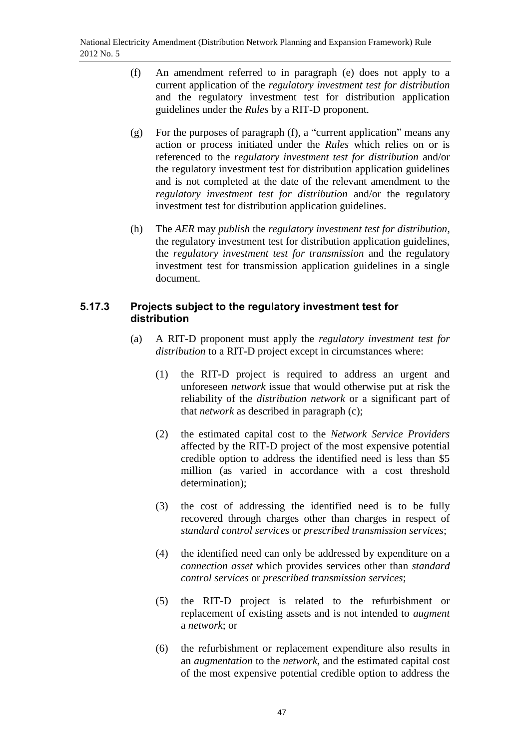- (f) An amendment referred to in paragraph (e) does not apply to a current application of the *regulatory investment test for distribution*  and the regulatory investment test for distribution application guidelines under the *Rules* by a RIT-D proponent.
- (g) For the purposes of paragraph (f), a "current application" means any action or process initiated under the *Rules* which relies on or is referenced to the *regulatory investment test for distribution* and/or the regulatory investment test for distribution application guidelines and is not completed at the date of the relevant amendment to the *regulatory investment test for distribution* and/or the regulatory investment test for distribution application guidelines.
- (h) The *AER* may *publish* the *regulatory investment test for distribution*, the regulatory investment test for distribution application guidelines, the *regulatory investment test for transmission* and the regulatory investment test for transmission application guidelines in a single document.

# **5.17.3 Projects subject to the regulatory investment test for distribution**

- (a) A RIT-D proponent must apply the *regulatory investment test for distribution* to a RIT-D project except in circumstances where:
	- (1) the RIT-D project is required to address an urgent and unforeseen *network* issue that would otherwise put at risk the reliability of the *distribution network* or a significant part of that *network* as described in paragraph (c);
	- (2) the estimated capital cost to the *Network Service Providers*  affected by the RIT-D project of the most expensive potential credible option to address the identified need is less than \$5 million (as varied in accordance with a cost threshold determination);
	- (3) the cost of addressing the identified need is to be fully recovered through charges other than charges in respect of *standard control services* or *prescribed transmission services*;
	- (4) the identified need can only be addressed by expenditure on a *connection asset* which provides services other than *standard control services* or *prescribed transmission services*;
	- (5) the RIT-D project is related to the refurbishment or replacement of existing assets and is not intended to *augment* a *network*; or
	- (6) the refurbishment or replacement expenditure also results in an *augmentation* to the *network*, and the estimated capital cost of the most expensive potential credible option to address the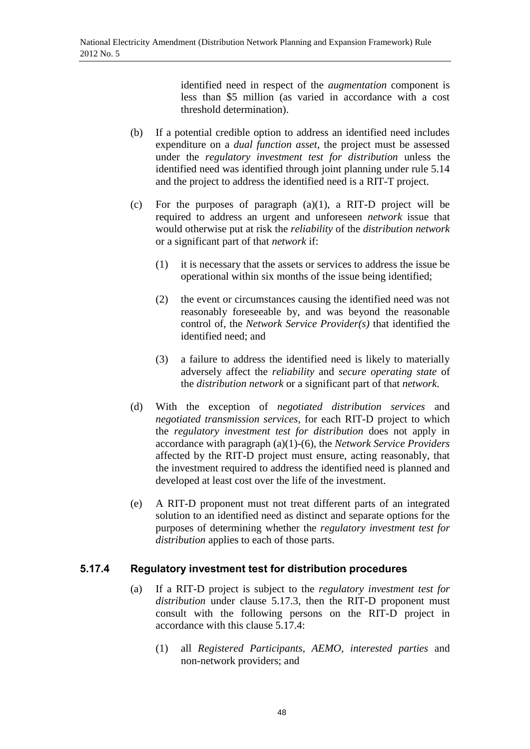identified need in respect of the *augmentation* component is less than \$5 million (as varied in accordance with a cost threshold determination).

- (b) If a potential credible option to address an identified need includes expenditure on a *dual function asset*, the project must be assessed under the *regulatory investment test for distribution* unless the identified need was identified through joint planning under rule 5.14 and the project to address the identified need is a RIT-T project.
- (c) For the purposes of paragraph  $(a)(1)$ , a RIT-D project will be required to address an urgent and unforeseen *network* issue that would otherwise put at risk the *reliability* of the *distribution network* or a significant part of that *network* if:
	- (1) it is necessary that the assets or services to address the issue be operational within six months of the issue being identified;
	- (2) the event or circumstances causing the identified need was not reasonably foreseeable by, and was beyond the reasonable control of, the *Network Service Provider(s)* that identified the identified need; and
	- (3) a failure to address the identified need is likely to materially adversely affect the *reliability* and *secure operating state* of the *distribution network* or a significant part of that *network*.
- (d) With the exception of *negotiated distribution services* and *negotiated transmission services*, for each RIT-D project to which the *regulatory investment test for distribution* does not apply in accordance with paragraph (a)(1)-(6), the *Network Service Providers* affected by the RIT-D project must ensure, acting reasonably, that the investment required to address the identified need is planned and developed at least cost over the life of the investment.
- (e) A RIT-D proponent must not treat different parts of an integrated solution to an identified need as distinct and separate options for the purposes of determining whether the *regulatory investment test for distribution* applies to each of those parts.

# **5.17.4 Regulatory investment test for distribution procedures**

- (a) If a RIT-D project is subject to the *regulatory investment test for distribution* under clause 5.17.3, then the RIT-D proponent must consult with the following persons on the RIT-D project in accordance with this clause 5.17.4:
	- (1) all *Registered Participants*, *AEMO*, *interested parties* and non-network providers; and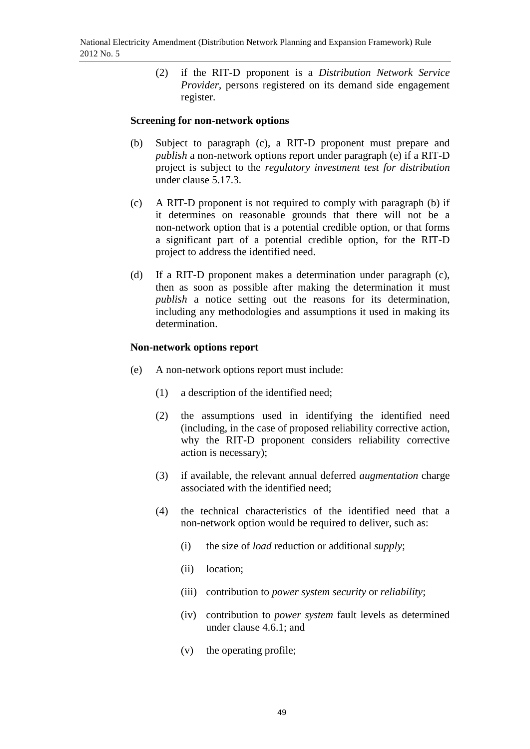(2) if the RIT-D proponent is a *Distribution Network Service Provider*, persons registered on its demand side engagement register.

### **Screening for non-network options**

- (b) Subject to paragraph (c), a RIT-D proponent must prepare and *publish* a non-network options report under paragraph (e) if a RIT-D project is subject to the *regulatory investment test for distribution*  under clause 5.17.3.
- (c) A RIT-D proponent is not required to comply with paragraph (b) if it determines on reasonable grounds that there will not be a non-network option that is a potential credible option, or that forms a significant part of a potential credible option, for the RIT-D project to address the identified need.
- (d) If a RIT-D proponent makes a determination under paragraph (c), then as soon as possible after making the determination it must *publish* a notice setting out the reasons for its determination, including any methodologies and assumptions it used in making its determination.

### **Non-network options report**

- (e) A non-network options report must include:
	- (1) a description of the identified need;
	- (2) the assumptions used in identifying the identified need (including, in the case of proposed reliability corrective action, why the RIT-D proponent considers reliability corrective action is necessary);
	- (3) if available, the relevant annual deferred *augmentation* charge associated with the identified need;
	- (4) the technical characteristics of the identified need that a non-network option would be required to deliver, such as:
		- (i) the size of *load* reduction or additional *supply*;
		- (ii) location;
		- (iii) contribution to *power system security* or *reliability*;
		- (iv) contribution to *power system* fault levels as determined under clause 4.6.1; and
		- (v) the operating profile;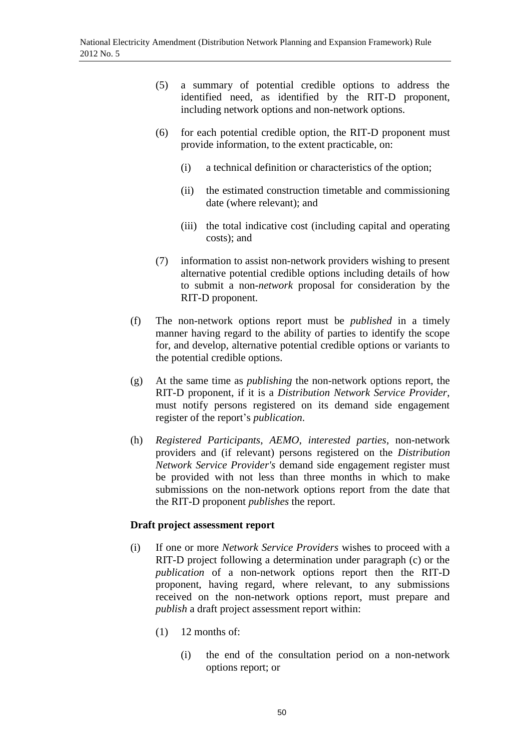- (5) a summary of potential credible options to address the identified need, as identified by the RIT-D proponent, including network options and non-network options.
- (6) for each potential credible option, the RIT-D proponent must provide information, to the extent practicable, on:
	- (i) a technical definition or characteristics of the option;
	- (ii) the estimated construction timetable and commissioning date (where relevant); and
	- (iii) the total indicative cost (including capital and operating costs); and
- (7) information to assist non-network providers wishing to present alternative potential credible options including details of how to submit a non-*network* proposal for consideration by the RIT-D proponent.
- (f) The non-network options report must be *published* in a timely manner having regard to the ability of parties to identify the scope for, and develop, alternative potential credible options or variants to the potential credible options.
- (g) At the same time as *publishing* the non-network options report, the RIT-D proponent, if it is a *Distribution Network Service Provider*, must notify persons registered on its demand side engagement register of the report's *publication*.
- (h) *Registered Participants*, *AEMO*, *interested parties*, non-network providers and (if relevant) persons registered on the *Distribution Network Service Provider's* demand side engagement register must be provided with not less than three months in which to make submissions on the non-network options report from the date that the RIT-D proponent *publishes* the report.

## **Draft project assessment report**

- (i) If one or more *Network Service Providers* wishes to proceed with a RIT-D project following a determination under paragraph (c) or the *publication* of a non-network options report then the RIT-D proponent, having regard, where relevant, to any submissions received on the non-network options report, must prepare and *publish* a draft project assessment report within:
	- $(1)$  12 months of:
		- (i) the end of the consultation period on a non-network options report; or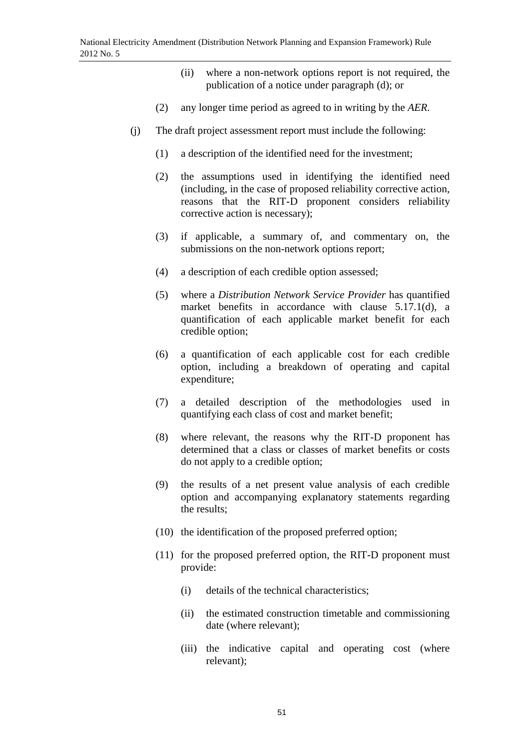- (ii) where a non-network options report is not required, the publication of a notice under paragraph (d); or
- (2) any longer time period as agreed to in writing by the *AER*.
- (j) The draft project assessment report must include the following:
	- (1) a description of the identified need for the investment;
	- (2) the assumptions used in identifying the identified need (including, in the case of proposed reliability corrective action, reasons that the RIT-D proponent considers reliability corrective action is necessary);
	- (3) if applicable, a summary of, and commentary on, the submissions on the non-network options report;
	- (4) a description of each credible option assessed;
	- (5) where a *Distribution Network Service Provider* has quantified market benefits in accordance with clause 5.17.1(d), a quantification of each applicable market benefit for each credible option;
	- (6) a quantification of each applicable cost for each credible option, including a breakdown of operating and capital expenditure;
	- (7) a detailed description of the methodologies used in quantifying each class of cost and market benefit;
	- (8) where relevant, the reasons why the RIT-D proponent has determined that a class or classes of market benefits or costs do not apply to a credible option;
	- (9) the results of a net present value analysis of each credible option and accompanying explanatory statements regarding the results;
	- (10) the identification of the proposed preferred option;
	- (11) for the proposed preferred option, the RIT-D proponent must provide:
		- (i) details of the technical characteristics;
		- (ii) the estimated construction timetable and commissioning date (where relevant);
		- (iii) the indicative capital and operating cost (where relevant);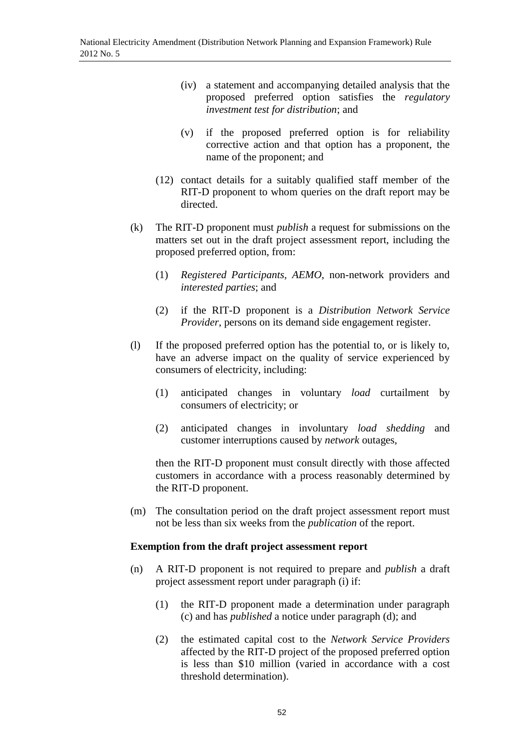- (iv) a statement and accompanying detailed analysis that the proposed preferred option satisfies the *regulatory investment test for distribution*; and
- (v) if the proposed preferred option is for reliability corrective action and that option has a proponent, the name of the proponent; and
- (12) contact details for a suitably qualified staff member of the RIT-D proponent to whom queries on the draft report may be directed.
- (k) The RIT-D proponent must *publish* a request for submissions on the matters set out in the draft project assessment report, including the proposed preferred option, from:
	- (1) *Registered Participants, AEMO*, non-network providers and *interested parties*; and
	- (2) if the RIT-D proponent is a *Distribution Network Service Provider*, persons on its demand side engagement register.
- (l) If the proposed preferred option has the potential to, or is likely to, have an adverse impact on the quality of service experienced by consumers of electricity, including:
	- (1) anticipated changes in voluntary *load* curtailment by consumers of electricity; or
	- (2) anticipated changes in involuntary *load shedding* and customer interruptions caused by *network* outages,

then the RIT-D proponent must consult directly with those affected customers in accordance with a process reasonably determined by the RIT-D proponent.

(m) The consultation period on the draft project assessment report must not be less than six weeks from the *publication* of the report.

## **Exemption from the draft project assessment report**

- (n) A RIT-D proponent is not required to prepare and *publish* a draft project assessment report under paragraph (i) if:
	- (1) the RIT-D proponent made a determination under paragraph (c) and has *published* a notice under paragraph (d); and
	- (2) the estimated capital cost to the *Network Service Providers* affected by the RIT-D project of the proposed preferred option is less than \$10 million (varied in accordance with a cost threshold determination).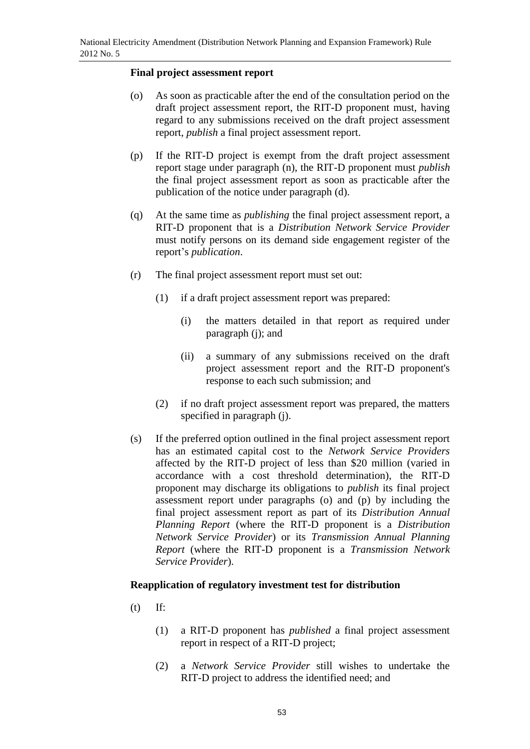## **Final project assessment report**

- (o) As soon as practicable after the end of the consultation period on the draft project assessment report, the RIT-D proponent must, having regard to any submissions received on the draft project assessment report, *publish* a final project assessment report.
- (p) If the RIT-D project is exempt from the draft project assessment report stage under paragraph (n), the RIT-D proponent must *publish* the final project assessment report as soon as practicable after the publication of the notice under paragraph (d).
- (q) At the same time as *publishing* the final project assessment report, a RIT-D proponent that is a *Distribution Network Service Provider* must notify persons on its demand side engagement register of the report's *publication*.
- (r) The final project assessment report must set out:
	- (1) if a draft project assessment report was prepared:
		- (i) the matters detailed in that report as required under paragraph (j); and
		- (ii) a summary of any submissions received on the draft project assessment report and the RIT-D proponent's response to each such submission; and
	- (2) if no draft project assessment report was prepared, the matters specified in paragraph (j).
- (s) If the preferred option outlined in the final project assessment report has an estimated capital cost to the *Network Service Providers*  affected by the RIT-D project of less than \$20 million (varied in accordance with a cost threshold determination), the RIT-D proponent may discharge its obligations to *publish* its final project assessment report under paragraphs (o) and (p) by including the final project assessment report as part of its *Distribution Annual Planning Report* (where the RIT-D proponent is a *Distribution Network Service Provider*) or its *Transmission Annual Planning Report* (where the RIT-D proponent is a *Transmission Network Service Provider*).

#### **Reapplication of regulatory investment test for distribution**

- (t) If:
	- (1) a RIT-D proponent has *published* a final project assessment report in respect of a RIT-D project;
	- (2) a *Network Service Provider* still wishes to undertake the RIT-D project to address the identified need; and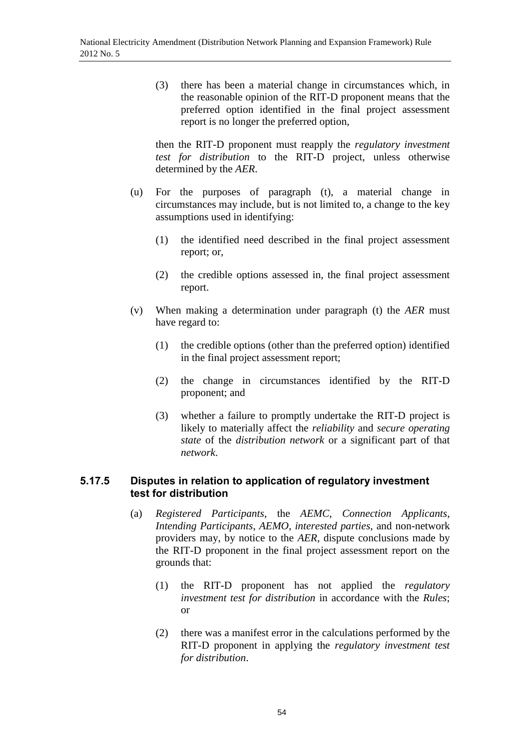(3) there has been a material change in circumstances which, in the reasonable opinion of the RIT-D proponent means that the preferred option identified in the final project assessment report is no longer the preferred option,

then the RIT-D proponent must reapply the *regulatory investment test for distribution* to the RIT-D project, unless otherwise determined by the *AER*.

- (u) For the purposes of paragraph (t), a material change in circumstances may include, but is not limited to, a change to the key assumptions used in identifying:
	- (1) the identified need described in the final project assessment report; or,
	- (2) the credible options assessed in, the final project assessment report.
- (v) When making a determination under paragraph (t) the *AER* must have regard to:
	- (1) the credible options (other than the preferred option) identified in the final project assessment report;
	- (2) the change in circumstances identified by the RIT-D proponent; and
	- (3) whether a failure to promptly undertake the RIT-D project is likely to materially affect the *reliability* and *secure operating state* of the *distribution network* or a significant part of that *network*.

## **5.17.5 Disputes in relation to application of regulatory investment test for distribution**

- (a) *Registered Participants*, the *AEMC*, *Connection Applicants*, *Intending Participants*, *AEMO*, *interested parties*, and non-network providers may, by notice to the *AER*, dispute conclusions made by the RIT-D proponent in the final project assessment report on the grounds that:
	- (1) the RIT-D proponent has not applied the *regulatory investment test for distribution* in accordance with the *Rules*; or
	- (2) there was a manifest error in the calculations performed by the RIT-D proponent in applying the *regulatory investment test for distribution*.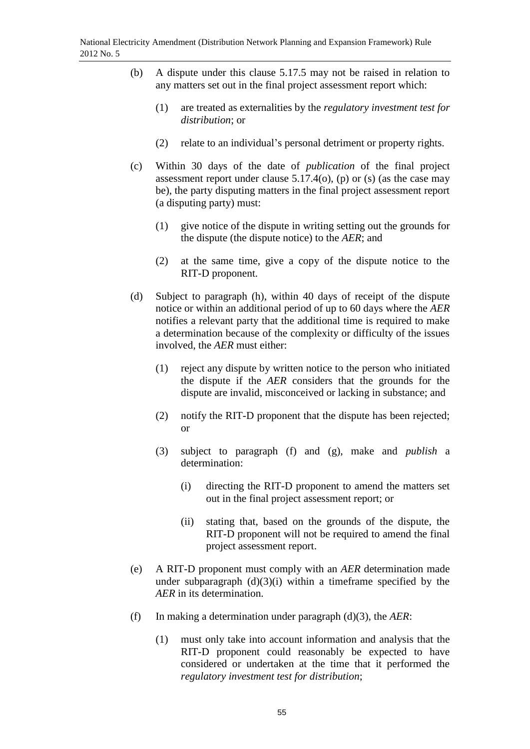- (b) A dispute under this clause 5.17.5 may not be raised in relation to any matters set out in the final project assessment report which:
	- (1) are treated as externalities by the *regulatory investment test for distribution*; or
	- (2) relate to an individual's personal detriment or property rights.
- (c) Within 30 days of the date of *publication* of the final project assessment report under clause  $5.17.4(o)$ , (p) or (s) (as the case may be), the party disputing matters in the final project assessment report (a disputing party) must:
	- (1) give notice of the dispute in writing setting out the grounds for the dispute (the dispute notice) to the *AER*; and
	- (2) at the same time, give a copy of the dispute notice to the RIT-D proponent.
- (d) Subject to paragraph (h), within 40 days of receipt of the dispute notice or within an additional period of up to 60 days where the *AER* notifies a relevant party that the additional time is required to make a determination because of the complexity or difficulty of the issues involved, the *AER* must either:
	- (1) reject any dispute by written notice to the person who initiated the dispute if the *AER* considers that the grounds for the dispute are invalid, misconceived or lacking in substance; and
	- (2) notify the RIT-D proponent that the dispute has been rejected; or
	- (3) subject to paragraph (f) and (g), make and *publish* a determination:
		- (i) directing the RIT-D proponent to amend the matters set out in the final project assessment report; or
		- (ii) stating that, based on the grounds of the dispute, the RIT-D proponent will not be required to amend the final project assessment report.
- (e) A RIT-D proponent must comply with an *AER* determination made under subparagraph  $(d)(3)(i)$  within a timeframe specified by the *AER* in its determination.
- (f) In making a determination under paragraph (d)(3), the *AER*:
	- (1) must only take into account information and analysis that the RIT-D proponent could reasonably be expected to have considered or undertaken at the time that it performed the *regulatory investment test for distribution*;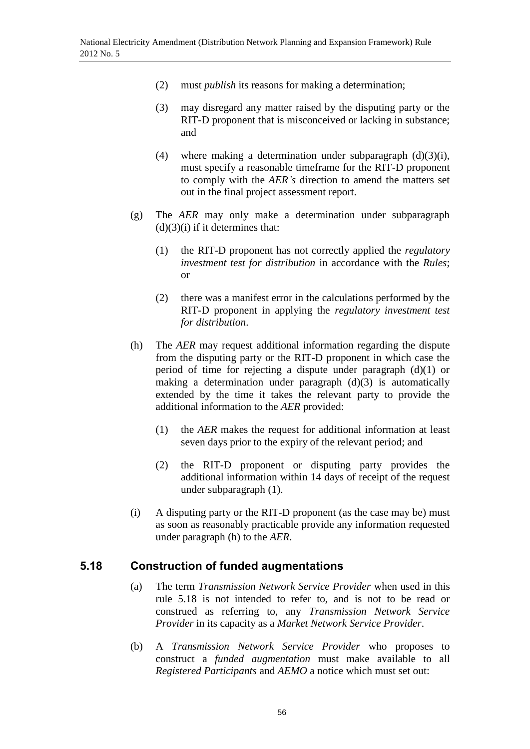- (2) must *publish* its reasons for making a determination;
- (3) may disregard any matter raised by the disputing party or the RIT-D proponent that is misconceived or lacking in substance; and
- (4) where making a determination under subparagraph  $(d)(3)(i)$ , must specify a reasonable timeframe for the RIT-D proponent to comply with the *AER's* direction to amend the matters set out in the final project assessment report.
- (g) The *AER* may only make a determination under subparagraph  $(d)(3)(i)$  if it determines that:
	- (1) the RIT-D proponent has not correctly applied the *regulatory investment test for distribution* in accordance with the *Rules*; or
	- (2) there was a manifest error in the calculations performed by the RIT-D proponent in applying the *regulatory investment test for distribution*.
- (h) The *AER* may request additional information regarding the dispute from the disputing party or the RIT-D proponent in which case the period of time for rejecting a dispute under paragraph (d)(1) or making a determination under paragraph (d)(3) is automatically extended by the time it takes the relevant party to provide the additional information to the *AER* provided:
	- (1) the *AER* makes the request for additional information at least seven days prior to the expiry of the relevant period; and
	- (2) the RIT-D proponent or disputing party provides the additional information within 14 days of receipt of the request under subparagraph (1).
- (i) A disputing party or the RIT-D proponent (as the case may be) must as soon as reasonably practicable provide any information requested under paragraph (h) to the *AER*.

# **5.18 Construction of funded augmentations**

- (a) The term *Transmission Network Service Provider* when used in this rule 5.18 is not intended to refer to, and is not to be read or construed as referring to, any *Transmission Network Service Provider* in its capacity as a *Market Network Service Provider*.
- (b) A *Transmission Network Service Provider* who proposes to construct a *funded augmentation* must make available to all *Registered Participants* and *AEMO* a notice which must set out: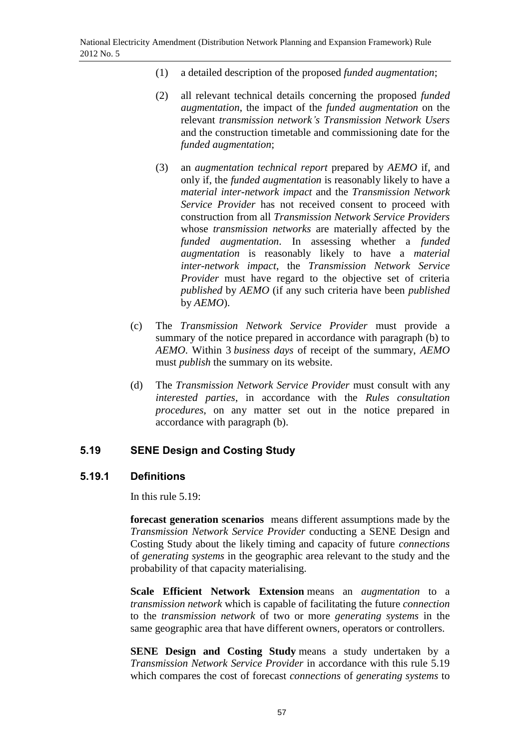- (1) a detailed description of the proposed *funded augmentation*;
- (2) all relevant technical details concerning the proposed *funded augmentation*, the impact of the *funded augmentation* on the relevant *transmission network's Transmission Network Users* and the construction timetable and commissioning date for the *funded augmentation*;
- (3) an *augmentation technical report* prepared by *AEMO* if, and only if, the *funded augmentation* is reasonably likely to have a *material inter-network impact* and the *Transmission Network Service Provider* has not received consent to proceed with construction from all *Transmission Network Service Providers* whose *transmission networks* are materially affected by the *funded augmentation*. In assessing whether a *funded augmentation* is reasonably likely to have a *material inter-network impact*, the *Transmission Network Service Provider* must have regard to the objective set of criteria *published* by *AEMO* (if any such criteria have been *published* by *AEMO*).
- (c) The *Transmission Network Service Provider* must provide a summary of the notice prepared in accordance with paragraph (b) to *AEMO*. Within 3 *business days* of receipt of the summary, *AEMO* must *publish* the summary on its website.
- (d) The *Transmission Network Service Provider* must consult with any *interested parties*, in accordance with the *Rules consultation procedures*, on any matter set out in the notice prepared in accordance with paragraph (b).

# **5.19 SENE Design and Costing Study**

# **5.19.1 Definitions**

In this rule 5.19:

**forecast generation scenarios** means different assumptions made by the *Transmission Network Service Provider* conducting a SENE Design and Costing Study about the likely timing and capacity of future *connections* of *generating systems* in the geographic area relevant to the study and the probability of that capacity materialising.

**Scale Efficient Network Extension** means an *augmentation* to a *transmission network* which is capable of facilitating the future *connection* to the *transmission network* of two or more *generating systems* in the same geographic area that have different owners, operators or controllers.

**SENE Design and Costing Study** means a study undertaken by a *Transmission Network Service Provider* in accordance with this rule 5.19 which compares the cost of forecast *connections* of *generating systems* to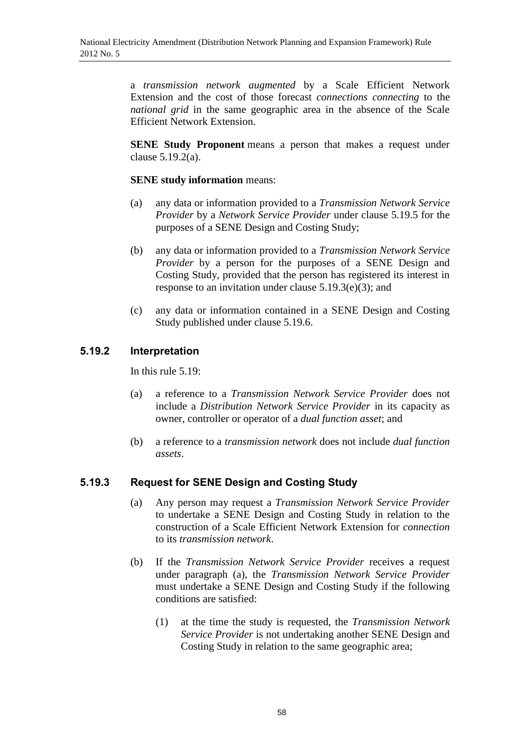a *transmission network augmented* by a Scale Efficient Network Extension and the cost of those forecast *connections connecting* to the *national grid* in the same geographic area in the absence of the Scale Efficient Network Extension.

**SENE Study Proponent** means a person that makes a request under clause 5.19.2(a).

## **SENE study information** means:

- (a) any data or information provided to a *Transmission Network Service Provider* by a *Network Service Provider* under clause 5.19.5 for the purposes of a SENE Design and Costing Study;
- (b) any data or information provided to a *Transmission Network Service Provider* by a person for the purposes of a SENE Design and Costing Study, provided that the person has registered its interest in response to an invitation under clause 5.19.3(e)(3); and
- (c) any data or information contained in a SENE Design and Costing Study published under clause 5.19.6.

# **5.19.2 Interpretation**

In this rule 5.19:

- (a) a reference to a *Transmission Network Service Provider* does not include a *Distribution Network Service Provider* in its capacity as owner, controller or operator of a *dual function asset*; and
- (b) a reference to a *transmission network* does not include *dual function assets*.

# **5.19.3 Request for SENE Design and Costing Study**

- (a) Any person may request a *Transmission Network Service Provider* to undertake a SENE Design and Costing Study in relation to the construction of a Scale Efficient Network Extension for *connection* to its *transmission network*.
- (b) If the *Transmission Network Service Provider* receives a request under paragraph (a), the *Transmission Network Service Provider* must undertake a SENE Design and Costing Study if the following conditions are satisfied:
	- (1) at the time the study is requested, the *Transmission Network Service Provider* is not undertaking another SENE Design and Costing Study in relation to the same geographic area;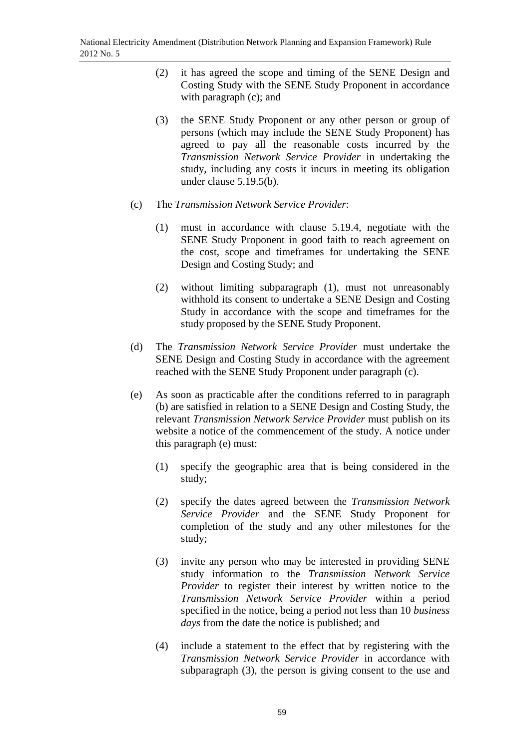- (2) it has agreed the scope and timing of the SENE Design and Costing Study with the SENE Study Proponent in accordance with paragraph (c); and
- (3) the SENE Study Proponent or any other person or group of persons (which may include the SENE Study Proponent) has agreed to pay all the reasonable costs incurred by the *Transmission Network Service Provider* in undertaking the study, including any costs it incurs in meeting its obligation under clause 5.19.5(b).
- (c) The *Transmission Network Service Provider*:
	- (1) must in accordance with clause 5.19.4, negotiate with the SENE Study Proponent in good faith to reach agreement on the cost, scope and timeframes for undertaking the SENE Design and Costing Study; and
	- (2) without limiting subparagraph (1), must not unreasonably withhold its consent to undertake a SENE Design and Costing Study in accordance with the scope and timeframes for the study proposed by the SENE Study Proponent.
- (d) The *Transmission Network Service Provider* must undertake the SENE Design and Costing Study in accordance with the agreement reached with the SENE Study Proponent under paragraph (c).
- (e) As soon as practicable after the conditions referred to in paragraph (b) are satisfied in relation to a SENE Design and Costing Study, the relevant *Transmission Network Service Provider* must publish on its website a notice of the commencement of the study. A notice under this paragraph (e) must:
	- (1) specify the geographic area that is being considered in the study;
	- (2) specify the dates agreed between the *Transmission Network Service Provider* and the SENE Study Proponent for completion of the study and any other milestones for the study;
	- (3) invite any person who may be interested in providing SENE study information to the *Transmission Network Service Provider* to register their interest by written notice to the *Transmission Network Service Provider* within a period specified in the notice, being a period not less than 10 *business days* from the date the notice is published; and
	- (4) include a statement to the effect that by registering with the *Transmission Network Service Provider* in accordance with subparagraph (3), the person is giving consent to the use and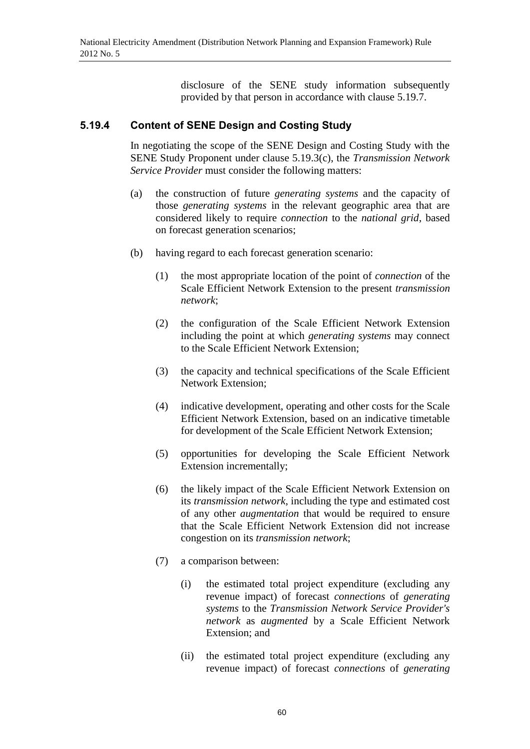disclosure of the SENE study information subsequently provided by that person in accordance with clause 5.19.7.

## **5.19.4 Content of SENE Design and Costing Study**

In negotiating the scope of the SENE Design and Costing Study with the SENE Study Proponent under clause 5.19.3(c), the *Transmission Network Service Provider* must consider the following matters:

- (a) the construction of future *generating systems* and the capacity of those *generating systems* in the relevant geographic area that are considered likely to require *connection* to the *national grid*, based on forecast generation scenarios;
- (b) having regard to each forecast generation scenario:
	- (1) the most appropriate location of the point of *connection* of the Scale Efficient Network Extension to the present *transmission network*;
	- (2) the configuration of the Scale Efficient Network Extension including the point at which *generating systems* may connect to the Scale Efficient Network Extension;
	- (3) the capacity and technical specifications of the Scale Efficient Network Extension;
	- (4) indicative development, operating and other costs for the Scale Efficient Network Extension, based on an indicative timetable for development of the Scale Efficient Network Extension;
	- (5) opportunities for developing the Scale Efficient Network Extension incrementally;
	- (6) the likely impact of the Scale Efficient Network Extension on its *transmission network*, including the type and estimated cost of any other *augmentation* that would be required to ensure that the Scale Efficient Network Extension did not increase congestion on its *transmission network*;
	- (7) a comparison between:
		- (i) the estimated total project expenditure (excluding any revenue impact) of forecast *connections* of *generating systems* to the *Transmission Network Service Provider's network* as *augmented* by a Scale Efficient Network Extension; and
		- (ii) the estimated total project expenditure (excluding any revenue impact) of forecast *connections* of *generating*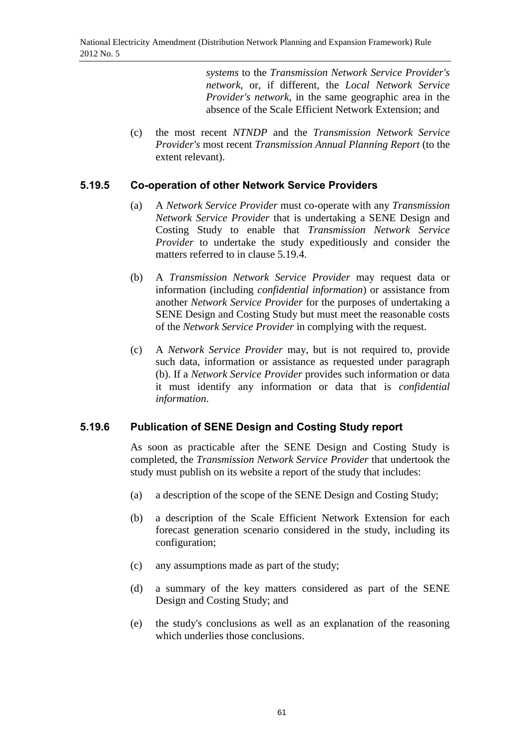*systems* to the *Transmission Network Service Provider's network*, or, if different, the *Local Network Service Provider's network*, in the same geographic area in the absence of the Scale Efficient Network Extension; and

(c) the most recent *NTNDP* and the *Transmission Network Service Provider's* most recent *Transmission Annual Planning Report* (to the extent relevant).

## **5.19.5 Co-operation of other Network Service Providers**

- (a) A *Network Service Provider* must co-operate with any *Transmission Network Service Provider* that is undertaking a SENE Design and Costing Study to enable that *Transmission Network Service Provider* to undertake the study expeditiously and consider the matters referred to in clause 5.19.4.
- (b) A *Transmission Network Service Provider* may request data or information (including *confidential information*) or assistance from another *Network Service Provider* for the purposes of undertaking a SENE Design and Costing Study but must meet the reasonable costs of the *Network Service Provider* in complying with the request.
- (c) A *Network Service Provider* may, but is not required to, provide such data, information or assistance as requested under paragraph (b). If a *Network Service Provider* provides such information or data it must identify any information or data that is *confidential information*.

# **5.19.6 Publication of SENE Design and Costing Study report**

As soon as practicable after the SENE Design and Costing Study is completed, the *Transmission Network Service Provider* that undertook the study must publish on its website a report of the study that includes:

- (a) a description of the scope of the SENE Design and Costing Study;
- (b) a description of the Scale Efficient Network Extension for each forecast generation scenario considered in the study, including its configuration;
- (c) any assumptions made as part of the study;
- (d) a summary of the key matters considered as part of the SENE Design and Costing Study; and
- (e) the study's conclusions as well as an explanation of the reasoning which underlies those conclusions.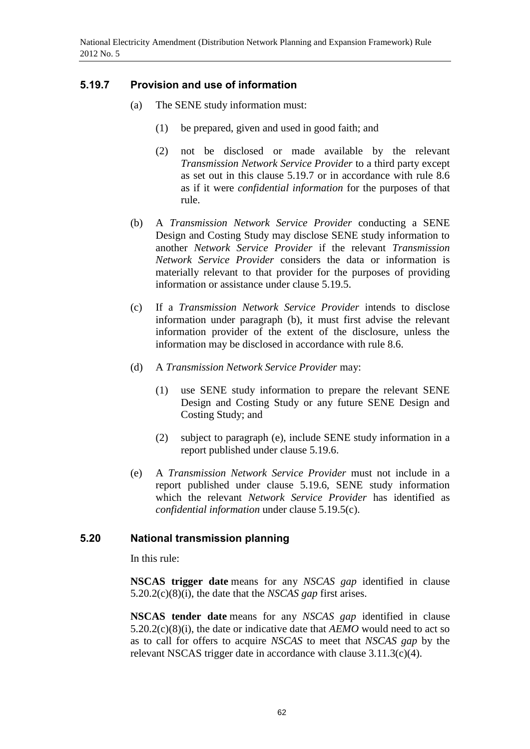# **5.19.7 Provision and use of information**

- (a) The SENE study information must:
	- (1) be prepared, given and used in good faith; and
	- (2) not be disclosed or made available by the relevant *Transmission Network Service Provider* to a third party except as set out in this clause 5.19.7 or in accordance with rule 8.6 as if it were *confidential information* for the purposes of that rule.
- (b) A *Transmission Network Service Provider* conducting a SENE Design and Costing Study may disclose SENE study information to another *Network Service Provider* if the relevant *Transmission Network Service Provider* considers the data or information is materially relevant to that provider for the purposes of providing information or assistance under clause 5.19.5.
- (c) If a *Transmission Network Service Provider* intends to disclose information under paragraph (b), it must first advise the relevant information provider of the extent of the disclosure, unless the information may be disclosed in accordance with rule 8.6.
- (d) A *Transmission Network Service Provider* may:
	- (1) use SENE study information to prepare the relevant SENE Design and Costing Study or any future SENE Design and Costing Study; and
	- (2) subject to paragraph (e), include SENE study information in a report published under clause 5.19.6.
- (e) A *Transmission Network Service Provider* must not include in a report published under clause 5.19.6, SENE study information which the relevant *Network Service Provider* has identified as *confidential information* under clause 5.19.5(c).

# **5.20 National transmission planning**

In this rule:

**NSCAS trigger date** means for any *NSCAS gap* identified in clause 5.20.2(c)(8)(i), the date that the *NSCAS gap* first arises.

**NSCAS tender date** means for any *NSCAS gap* identified in clause 5.20.2(c)(8)(i), the date or indicative date that *AEMO* would need to act so as to call for offers to acquire *NSCAS* to meet that *NSCAS gap* by the relevant NSCAS trigger date in accordance with clause 3.11.3(c)(4).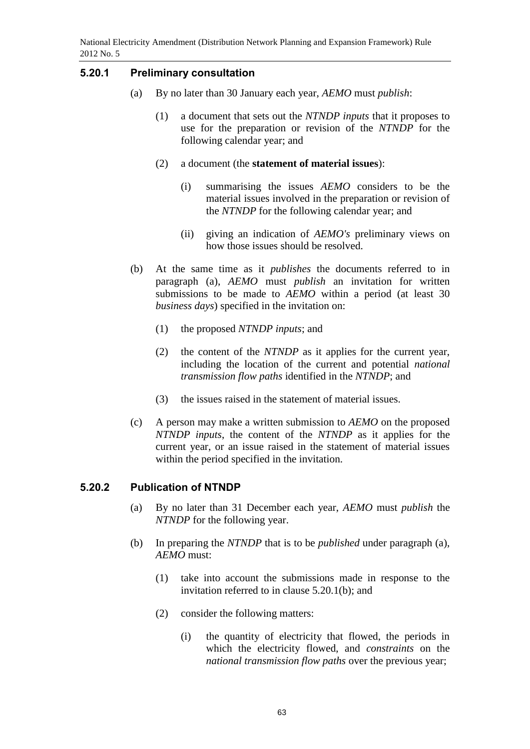## **5.20.1 Preliminary consultation**

- (a) By no later than 30 January each year, *AEMO* must *publish*:
	- (1) a document that sets out the *NTNDP inputs* that it proposes to use for the preparation or revision of the *NTNDP* for the following calendar year; and
	- (2) a document (the **statement of material issues**):
		- (i) summarising the issues *AEMO* considers to be the material issues involved in the preparation or revision of the *NTNDP* for the following calendar year; and
		- (ii) giving an indication of *AEMO's* preliminary views on how those issues should be resolved.
- (b) At the same time as it *publishes* the documents referred to in paragraph (a), *AEMO* must *publish* an invitation for written submissions to be made to *AEMO* within a period (at least 30 *business days*) specified in the invitation on:
	- (1) the proposed *NTNDP inputs*; and
	- (2) the content of the *NTNDP* as it applies for the current year, including the location of the current and potential *national transmission flow paths* identified in the *NTNDP*; and
	- (3) the issues raised in the statement of material issues.
- (c) A person may make a written submission to *AEMO* on the proposed *NTNDP inputs*, the content of the *NTNDP* as it applies for the current year, or an issue raised in the statement of material issues within the period specified in the invitation.

## **5.20.2 Publication of NTNDP**

- (a) By no later than 31 December each year, *AEMO* must *publish* the *NTNDP* for the following year.
- (b) In preparing the *NTNDP* that is to be *published* under paragraph (a), *AEMO* must:
	- (1) take into account the submissions made in response to the invitation referred to in clause 5.20.1(b); and
	- (2) consider the following matters:
		- (i) the quantity of electricity that flowed, the periods in which the electricity flowed, and *constraints* on the *national transmission flow paths* over the previous year;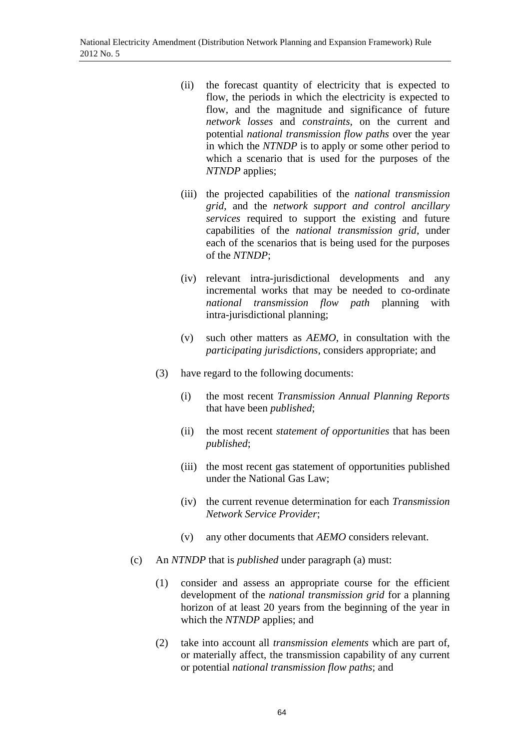- (ii) the forecast quantity of electricity that is expected to flow, the periods in which the electricity is expected to flow, and the magnitude and significance of future *network losses* and *constraints*, on the current and potential *national transmission flow paths* over the year in which the *NTNDP* is to apply or some other period to which a scenario that is used for the purposes of the *NTNDP* applies;
- (iii) the projected capabilities of the *national transmission grid*, and the *network support and control ancillary services* required to support the existing and future capabilities of the *national transmission grid*, under each of the scenarios that is being used for the purposes of the *NTNDP*;
- (iv) relevant intra-jurisdictional developments and any incremental works that may be needed to co-ordinate *national transmission flow path* planning with intra-jurisdictional planning;
- (v) such other matters as *AEMO*, in consultation with the *participating jurisdictions*, considers appropriate; and
- (3) have regard to the following documents:
	- (i) the most recent *Transmission Annual Planning Reports* that have been *published*;
	- (ii) the most recent *statement of opportunities* that has been *published*;
	- (iii) the most recent gas statement of opportunities published under the National Gas Law;
	- (iv) the current revenue determination for each *Transmission Network Service Provider*;
	- (v) any other documents that *AEMO* considers relevant.
- (c) An *NTNDP* that is *published* under paragraph (a) must:
	- (1) consider and assess an appropriate course for the efficient development of the *national transmission grid* for a planning horizon of at least 20 years from the beginning of the year in which the *NTNDP* applies; and
	- (2) take into account all *transmission elements* which are part of, or materially affect, the transmission capability of any current or potential *national transmission flow paths*; and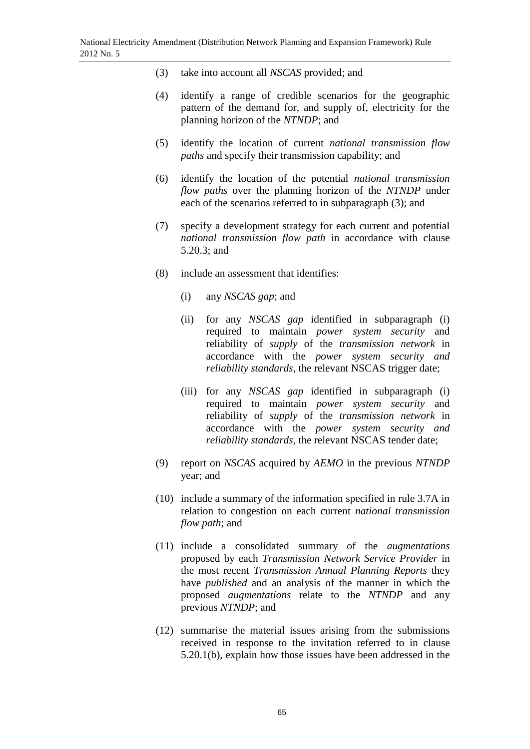- (3) take into account all *NSCAS* provided; and
- (4) identify a range of credible scenarios for the geographic pattern of the demand for, and supply of, electricity for the planning horizon of the *NTNDP*; and
- (5) identify the location of current *national transmission flow paths* and specify their transmission capability; and
- (6) identify the location of the potential *national transmission flow paths* over the planning horizon of the *NTNDP* under each of the scenarios referred to in subparagraph (3); and
- (7) specify a development strategy for each current and potential *national transmission flow path* in accordance with clause 5.20.3; and
- (8) include an assessment that identifies:
	- (i) any *NSCAS gap*; and
	- (ii) for any *NSCAS gap* identified in subparagraph (i) required to maintain *power system security* and reliability of *supply* of the *transmission network* in accordance with the *power system security and reliability standards*, the relevant NSCAS trigger date;
	- (iii) for any *NSCAS gap* identified in subparagraph (i) required to maintain *power system security* and reliability of *supply* of the *transmission network* in accordance with the *power system security and reliability standards*, the relevant NSCAS tender date;
- (9) report on *NSCAS* acquired by *AEMO* in the previous *NTNDP* year; and
- (10) include a summary of the information specified in rule 3.7A in relation to congestion on each current *national transmission flow path*; and
- (11) include a consolidated summary of the *augmentations* proposed by each *Transmission Network Service Provider* in the most recent *Transmission Annual Planning Reports* they have *published* and an analysis of the manner in which the proposed *augmentations* relate to the *NTNDP* and any previous *NTNDP*; and
- (12) summarise the material issues arising from the submissions received in response to the invitation referred to in clause 5.20.1(b), explain how those issues have been addressed in the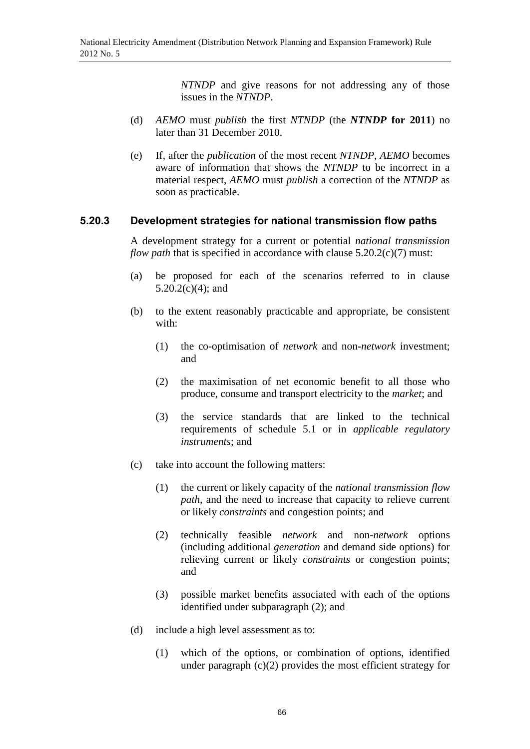*NTNDP* and give reasons for not addressing any of those issues in the *NTNDP*.

- (d) *AEMO* must *publish* the first *NTNDP* (the *NTNDP* **for 2011**) no later than 31 December 2010.
- (e) If, after the *publication* of the most recent *NTNDP*, *AEMO* becomes aware of information that shows the *NTNDP* to be incorrect in a material respect, *AEMO* must *publish* a correction of the *NTNDP* as soon as practicable.

### **5.20.3 Development strategies for national transmission flow paths**

A development strategy for a current or potential *national transmission flow path* that is specified in accordance with clause 5.20.2(c)(7) must:

- (a) be proposed for each of the scenarios referred to in clause  $5.20.2(c)(4)$ ; and
- (b) to the extent reasonably practicable and appropriate, be consistent with:
	- (1) the co-optimisation of *network* and non-*network* investment; and
	- (2) the maximisation of net economic benefit to all those who produce, consume and transport electricity to the *market*; and
	- (3) the service standards that are linked to the technical requirements of schedule 5.1 or in *applicable regulatory instruments*; and
- (c) take into account the following matters:
	- (1) the current or likely capacity of the *national transmission flow path*, and the need to increase that capacity to relieve current or likely *constraints* and congestion points; and
	- (2) technically feasible *network* and non-*network* options (including additional *generation* and demand side options) for relieving current or likely *constraints* or congestion points; and
	- (3) possible market benefits associated with each of the options identified under subparagraph (2); and
- (d) include a high level assessment as to:
	- (1) which of the options, or combination of options, identified under paragraph (c)(2) provides the most efficient strategy for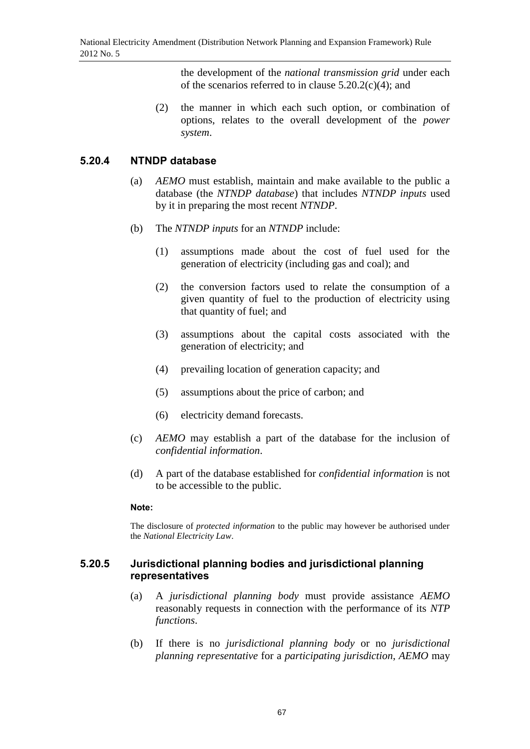the development of the *national transmission grid* under each of the scenarios referred to in clause  $5.20.2(c)(4)$ ; and

(2) the manner in which each such option, or combination of options, relates to the overall development of the *power system*.

## **5.20.4 NTNDP database**

- (a) *AEMO* must establish, maintain and make available to the public a database (the *NTNDP database*) that includes *NTNDP inputs* used by it in preparing the most recent *NTNDP*.
- (b) The *NTNDP inputs* for an *NTNDP* include:
	- (1) assumptions made about the cost of fuel used for the generation of electricity (including gas and coal); and
	- (2) the conversion factors used to relate the consumption of a given quantity of fuel to the production of electricity using that quantity of fuel; and
	- (3) assumptions about the capital costs associated with the generation of electricity; and
	- (4) prevailing location of generation capacity; and
	- (5) assumptions about the price of carbon; and
	- (6) electricity demand forecasts.
- (c) *AEMO* may establish a part of the database for the inclusion of *confidential information*.
- (d) A part of the database established for *confidential information* is not to be accessible to the public.

## **Note:**

The disclosure of *protected information* to the public may however be authorised under the *National Electricity Law*.

## **5.20.5 Jurisdictional planning bodies and jurisdictional planning representatives**

- (a) A *jurisdictional planning body* must provide assistance *AEMO* reasonably requests in connection with the performance of its *NTP functions*.
- (b) If there is no *jurisdictional planning body* or no *jurisdictional planning representative* for a *participating jurisdiction*, *AEMO* may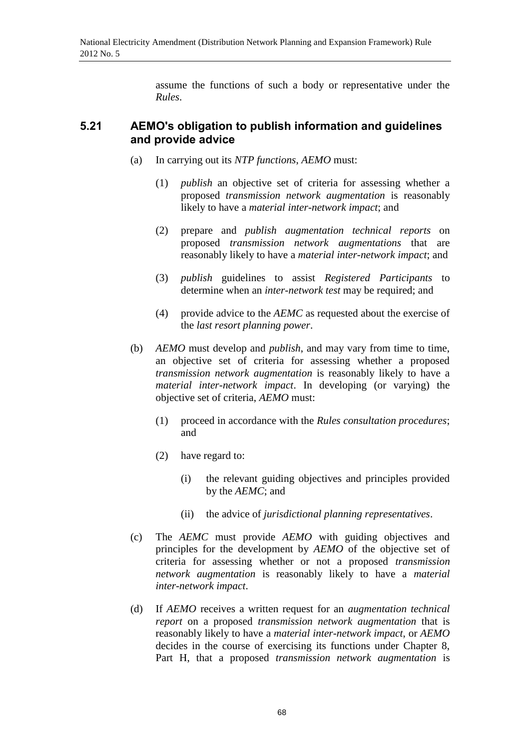assume the functions of such a body or representative under the *Rules*.

# **5.21 AEMO's obligation to publish information and guidelines and provide advice**

- (a) In carrying out its *NTP functions*, *AEMO* must:
	- (1) *publish* an objective set of criteria for assessing whether a proposed *transmission network augmentation* is reasonably likely to have a *material inter-network impact*; and
	- (2) prepare and *publish augmentation technical reports* on proposed *transmission network augmentations* that are reasonably likely to have a *material inter-network impact*; and
	- (3) *publish* guidelines to assist *Registered Participants* to determine when an *inter-network test* may be required; and
	- (4) provide advice to the *AEMC* as requested about the exercise of the *last resort planning power*.
- (b) *AEMO* must develop and *publish*, and may vary from time to time, an objective set of criteria for assessing whether a proposed *transmission network augmentation* is reasonably likely to have a *material inter-network impact*. In developing (or varying) the objective set of criteria, *AEMO* must:
	- (1) proceed in accordance with the *Rules consultation procedures*; and
	- (2) have regard to:
		- (i) the relevant guiding objectives and principles provided by the *AEMC*; and
		- (ii) the advice of *jurisdictional planning representatives*.
- (c) The *AEMC* must provide *AEMO* with guiding objectives and principles for the development by *AEMO* of the objective set of criteria for assessing whether or not a proposed *transmission network augmentation* is reasonably likely to have a *material inter-network impact*.
- (d) If *AEMO* receives a written request for an *augmentation technical report* on a proposed *transmission network augmentation* that is reasonably likely to have a *material inter-network impact*, or *AEMO* decides in the course of exercising its functions under Chapter 8, Part H, that a proposed *transmission network augmentation* is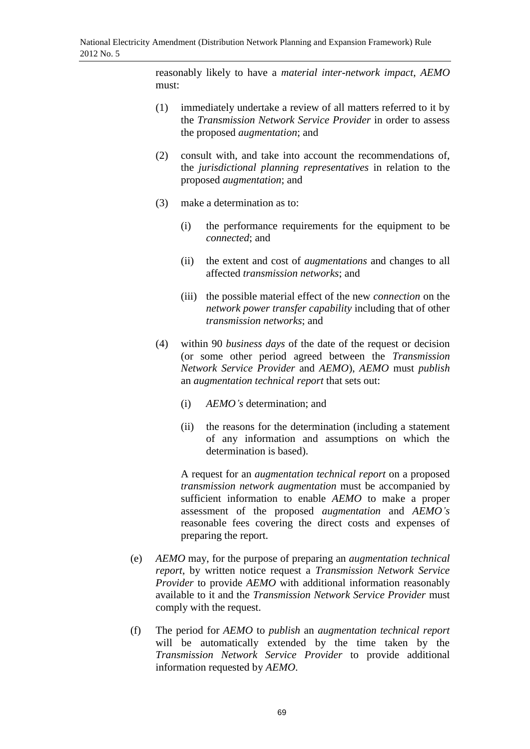reasonably likely to have a *material inter-network impact*, *AEMO* must:

- (1) immediately undertake a review of all matters referred to it by the *Transmission Network Service Provider* in order to assess the proposed *augmentation*; and
- (2) consult with, and take into account the recommendations of, the *jurisdictional planning representatives* in relation to the proposed *augmentation*; and
- (3) make a determination as to:
	- (i) the performance requirements for the equipment to be *connected*; and
	- (ii) the extent and cost of *augmentations* and changes to all affected *transmission networks*; and
	- (iii) the possible material effect of the new *connection* on the *network power transfer capability* including that of other *transmission networks*; and
- (4) within 90 *business days* of the date of the request or decision (or some other period agreed between the *Transmission Network Service Provider* and *AEMO*), *AEMO* must *publish* an *augmentation technical report* that sets out:
	- (i) *AEMO's* determination; and
	- (ii) the reasons for the determination (including a statement of any information and assumptions on which the determination is based).

A request for an *augmentation technical report* on a proposed *transmission network augmentation* must be accompanied by sufficient information to enable *AEMO* to make a proper assessment of the proposed *augmentation* and *AEMO's* reasonable fees covering the direct costs and expenses of preparing the report.

- (e) *AEMO* may, for the purpose of preparing an *augmentation technical report*, by written notice request a *Transmission Network Service Provider* to provide *AEMO* with additional information reasonably available to it and the *Transmission Network Service Provider* must comply with the request.
- (f) The period for *AEMO* to *publish* an *augmentation technical report* will be automatically extended by the time taken by the *Transmission Network Service Provider* to provide additional information requested by *AEMO*.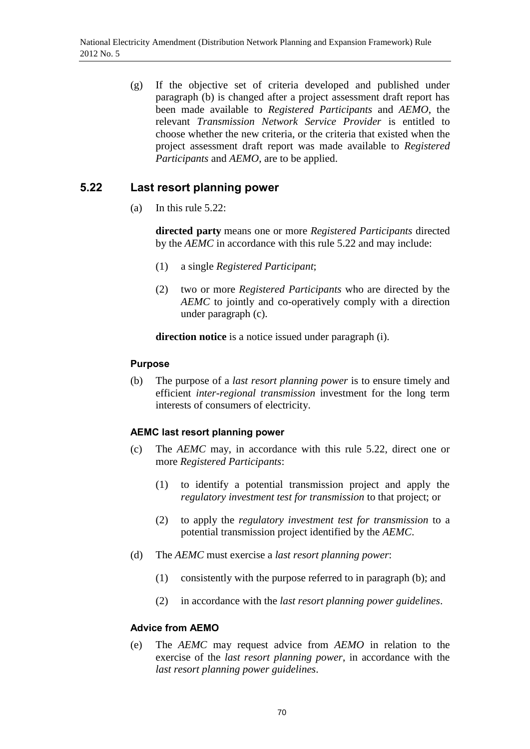(g) If the objective set of criteria developed and published under paragraph (b) is changed after a project assessment draft report has been made available to *Registered Participants* and *AEMO*, the relevant *Transmission Network Service Provider* is entitled to choose whether the new criteria, or the criteria that existed when the project assessment draft report was made available to *Registered Participants* and *AEMO*, are to be applied.

# **5.22 Last resort planning power**

(a) In this rule 5.22:

**directed party** means one or more *Registered Participants* directed by the *AEMC* in accordance with this rule 5.22 and may include:

- (1) a single *Registered Participant*;
- (2) two or more *Registered Participants* who are directed by the *AEMC* to jointly and co-operatively comply with a direction under paragraph (c).

**direction notice** is a notice issued under paragraph (i).

### **Purpose**

(b) The purpose of a *last resort planning power* is to ensure timely and efficient *inter-regional transmission* investment for the long term interests of consumers of electricity.

## **AEMC last resort planning power**

- (c) The *AEMC* may, in accordance with this rule 5.22, direct one or more *Registered Participants*:
	- (1) to identify a potential transmission project and apply the *regulatory investment test for transmission* to that project; or
	- (2) to apply the *regulatory investment test for transmission* to a potential transmission project identified by the *AEMC*.
- (d) The *AEMC* must exercise a *last resort planning power*:
	- (1) consistently with the purpose referred to in paragraph (b); and
	- (2) in accordance with the *last resort planning power guidelines*.

#### **Advice from AEMO**

(e) The *AEMC* may request advice from *AEMO* in relation to the exercise of the *last resort planning power*, in accordance with the *last resort planning power guidelines*.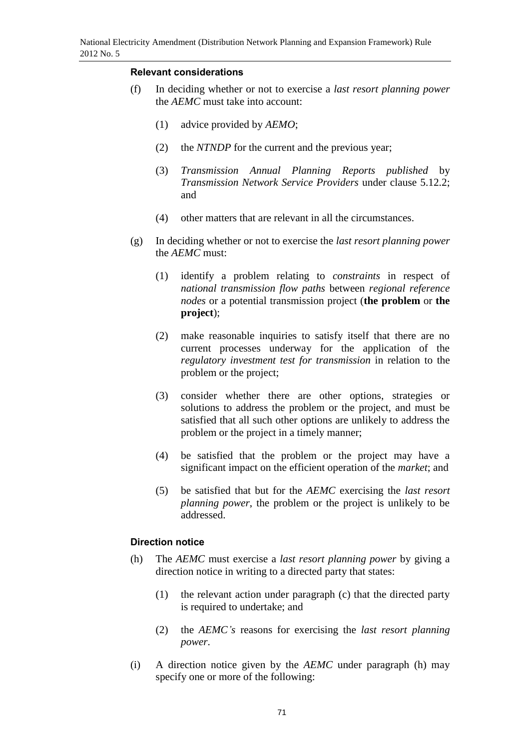### **Relevant considerations**

- (f) In deciding whether or not to exercise a *last resort planning power* the *AEMC* must take into account:
	- (1) advice provided by *AEMO*;
	- (2) the *NTNDP* for the current and the previous year;
	- (3) *Transmission Annual Planning Reports published* by *Transmission Network Service Providers* under clause 5.12.2; and
	- (4) other matters that are relevant in all the circumstances.
- (g) In deciding whether or not to exercise the *last resort planning power* the *AEMC* must:
	- (1) identify a problem relating to *constraints* in respect of *national transmission flow paths* between *regional reference nodes* or a potential transmission project (**the problem** or **the project**);
	- (2) make reasonable inquiries to satisfy itself that there are no current processes underway for the application of the *regulatory investment test for transmission* in relation to the problem or the project;
	- (3) consider whether there are other options, strategies or solutions to address the problem or the project, and must be satisfied that all such other options are unlikely to address the problem or the project in a timely manner;
	- (4) be satisfied that the problem or the project may have a significant impact on the efficient operation of the *market*; and
	- (5) be satisfied that but for the *AEMC* exercising the *last resort planning power*, the problem or the project is unlikely to be addressed.

## **Direction notice**

- (h) The *AEMC* must exercise a *last resort planning power* by giving a direction notice in writing to a directed party that states:
	- (1) the relevant action under paragraph (c) that the directed party is required to undertake; and
	- (2) the *AEMC's* reasons for exercising the *last resort planning power*.
- (i) A direction notice given by the *AEMC* under paragraph (h) may specify one or more of the following: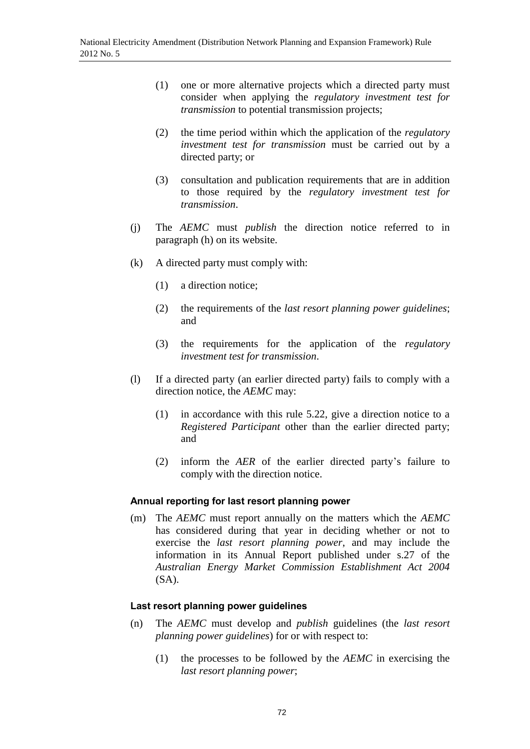- (1) one or more alternative projects which a directed party must consider when applying the *regulatory investment test for transmission* to potential transmission projects;
- (2) the time period within which the application of the *regulatory investment test for transmission* must be carried out by a directed party; or
- (3) consultation and publication requirements that are in addition to those required by the *regulatory investment test for transmission*.
- (j) The *AEMC* must *publish* the direction notice referred to in paragraph (h) on its website.
- (k) A directed party must comply with:
	- (1) a direction notice;
	- (2) the requirements of the *last resort planning power guidelines*; and
	- (3) the requirements for the application of the *regulatory investment test for transmission*.
- (l) If a directed party (an earlier directed party) fails to comply with a direction notice, the *AEMC* may:
	- (1) in accordance with this rule 5.22, give a direction notice to a *Registered Participant* other than the earlier directed party; and
	- (2) inform the *AER* of the earlier directed party's failure to comply with the direction notice.

#### **Annual reporting for last resort planning power**

(m) The *AEMC* must report annually on the matters which the *AEMC* has considered during that year in deciding whether or not to exercise the *last resort planning power*, and may include the information in its Annual Report published under s.27 of the *Australian Energy Market Commission Establishment Act 2004* (SA).

#### **Last resort planning power guidelines**

- (n) The *AEMC* must develop and *publish* guidelines (the *last resort planning power guidelines*) for or with respect to:
	- (1) the processes to be followed by the *AEMC* in exercising the *last resort planning power*;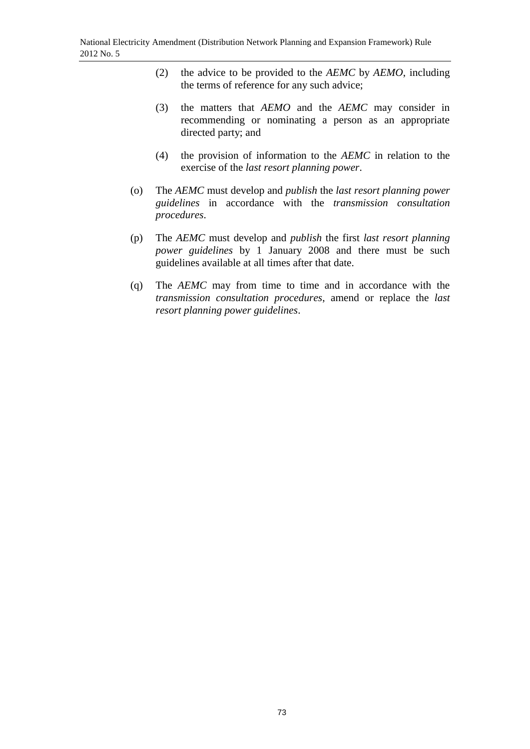- (2) the advice to be provided to the *AEMC* by *AEMO*, including the terms of reference for any such advice;
- (3) the matters that *AEMO* and the *AEMC* may consider in recommending or nominating a person as an appropriate directed party; and
- (4) the provision of information to the *AEMC* in relation to the exercise of the *last resort planning power*.
- (o) The *AEMC* must develop and *publish* the *last resort planning power guidelines* in accordance with the *transmission consultation procedures*.
- (p) The *AEMC* must develop and *publish* the first *last resort planning power guidelines* by 1 January 2008 and there must be such guidelines available at all times after that date.
- (q) The *AEMC* may from time to time and in accordance with the *transmission consultation procedures*, amend or replace the *last resort planning power guidelines*.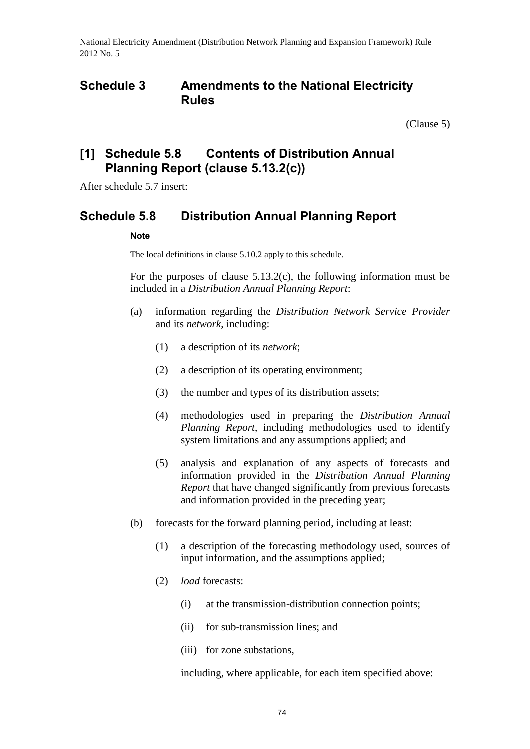## **Schedule 3 Amendments to the National Electricity Rules**

[\(Clause 5\)](#page-1-0)

# **[1] Schedule 5.8 Contents of Distribution Annual Planning Report (clause 5.13.2(c))**

After schedule 5.7 insert:

## **Schedule 5.8 Distribution Annual Planning Report**

### **Note**

The local definitions in clause 5.10.2 apply to this schedule.

For the purposes of clause 5.13.2(c), the following information must be included in a *Distribution Annual Planning Report*:

- (a) information regarding the *Distribution Network Service Provider* and its *network*, including:
	- (1) a description of its *network*;
	- (2) a description of its operating environment;
	- (3) the number and types of its distribution assets;
	- (4) methodologies used in preparing the *Distribution Annual Planning Report*, including methodologies used to identify system limitations and any assumptions applied; and
	- (5) analysis and explanation of any aspects of forecasts and information provided in the *Distribution Annual Planning Report* that have changed significantly from previous forecasts and information provided in the preceding year;
- (b) forecasts for the forward planning period, including at least:
	- (1) a description of the forecasting methodology used, sources of input information, and the assumptions applied;
	- (2) *load* forecasts:
		- (i) at the transmission-distribution connection points;
		- (ii) for sub-transmission lines; and
		- (iii) for zone substations,

including, where applicable, for each item specified above: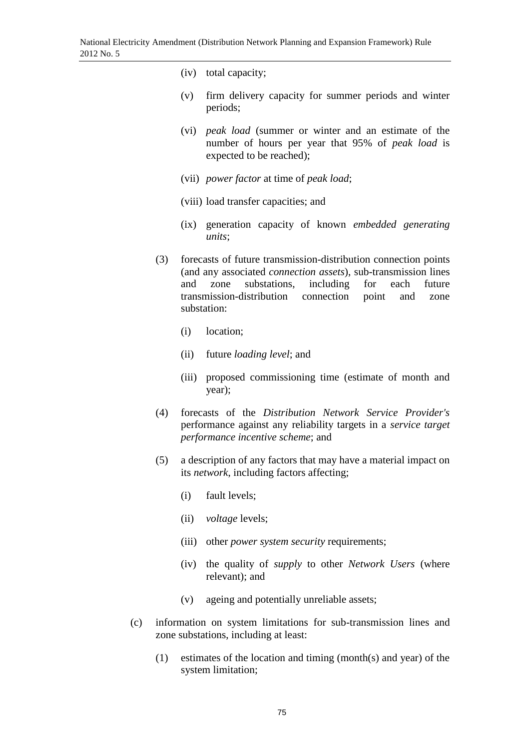- (iv) total capacity;
- (v) firm delivery capacity for summer periods and winter periods;
- (vi) *peak load* (summer or winter and an estimate of the number of hours per year that 95% of *peak load* is expected to be reached);
- (vii) *power factor* at time of *peak load*;
- (viii) load transfer capacities; and
- (ix) generation capacity of known *embedded generating units*;
- (3) forecasts of future transmission-distribution connection points (and any associated *connection assets*), sub-transmission lines and zone substations, including for each future transmission-distribution connection point and zone substation:
	- (i) location;
	- (ii) future *loading level*; and
	- (iii) proposed commissioning time (estimate of month and year);
- (4) forecasts of the *Distribution Network Service Provider's* performance against any reliability targets in a *service target performance incentive scheme*; and
- (5) a description of any factors that may have a material impact on its *network*, including factors affecting;
	- (i) fault levels;
	- (ii) *voltage* levels;
	- (iii) other *power system security* requirements;
	- (iv) the quality of *supply* to other *Network Users* (where relevant); and
	- (v) ageing and potentially unreliable assets;
- (c) information on system limitations for sub-transmission lines and zone substations, including at least:
	- (1) estimates of the location and timing (month(s) and year) of the system limitation;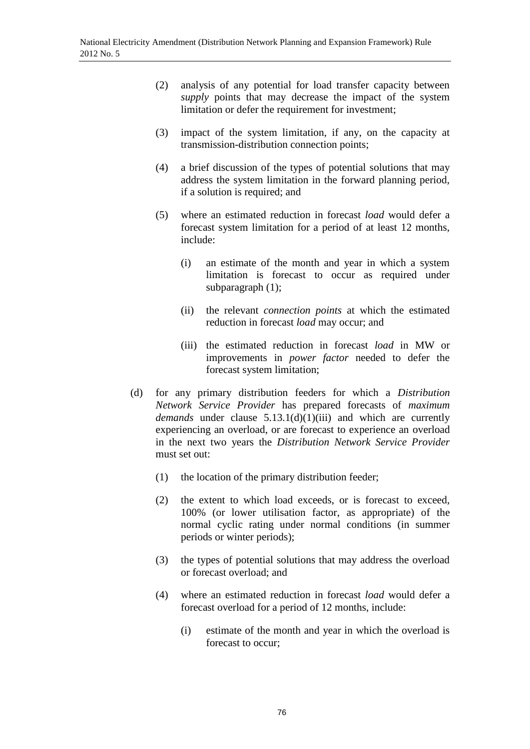- (2) analysis of any potential for load transfer capacity between *supply* points that may decrease the impact of the system limitation or defer the requirement for investment;
- (3) impact of the system limitation, if any, on the capacity at transmission-distribution connection points;
- (4) a brief discussion of the types of potential solutions that may address the system limitation in the forward planning period, if a solution is required; and
- (5) where an estimated reduction in forecast *load* would defer a forecast system limitation for a period of at least 12 months, include:
	- (i) an estimate of the month and year in which a system limitation is forecast to occur as required under subparagraph (1);
	- (ii) the relevant *connection points* at which the estimated reduction in forecast *load* may occur; and
	- (iii) the estimated reduction in forecast *load* in MW or improvements in *power factor* needed to defer the forecast system limitation;
- (d) for any primary distribution feeders for which a *Distribution Network Service Provider* has prepared forecasts of *maximum demands* under clause 5.13.1(d)(1)(iii) and which are currently experiencing an overload, or are forecast to experience an overload in the next two years the *Distribution Network Service Provider* must set out:
	- (1) the location of the primary distribution feeder;
	- (2) the extent to which load exceeds, or is forecast to exceed, 100% (or lower utilisation factor, as appropriate) of the normal cyclic rating under normal conditions (in summer periods or winter periods);
	- (3) the types of potential solutions that may address the overload or forecast overload; and
	- (4) where an estimated reduction in forecast *load* would defer a forecast overload for a period of 12 months, include:
		- (i) estimate of the month and year in which the overload is forecast to occur;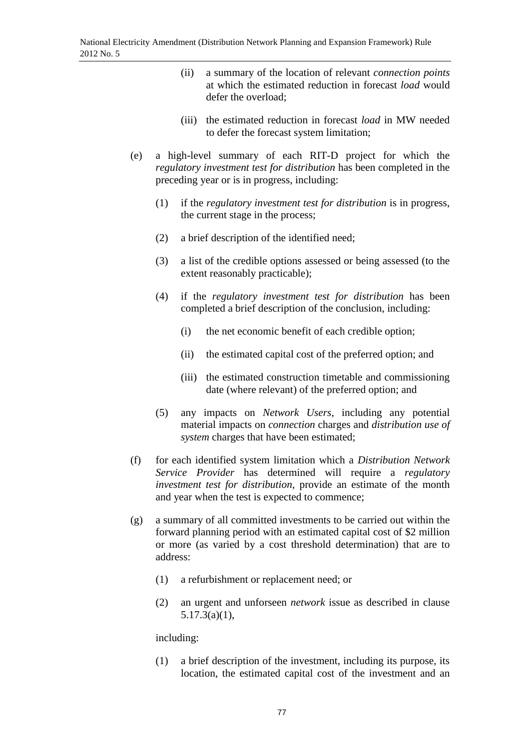- (ii) a summary of the location of relevant *connection points* at which the estimated reduction in forecast *load* would defer the overload;
- (iii) the estimated reduction in forecast *load* in MW needed to defer the forecast system limitation;
- (e) a high-level summary of each RIT-D project for which the *regulatory investment test for distribution* has been completed in the preceding year or is in progress, including:
	- (1) if the *regulatory investment test for distribution* is in progress, the current stage in the process;
	- (2) a brief description of the identified need;
	- (3) a list of the credible options assessed or being assessed (to the extent reasonably practicable);
	- (4) if the *regulatory investment test for distribution* has been completed a brief description of the conclusion, including:
		- (i) the net economic benefit of each credible option;
		- (ii) the estimated capital cost of the preferred option; and
		- (iii) the estimated construction timetable and commissioning date (where relevant) of the preferred option; and
	- (5) any impacts on *Network Users*, including any potential material impacts on *connection* charges and *distribution use of system* charges that have been estimated;
- (f) for each identified system limitation which a *Distribution Network Service Provider* has determined will require a *regulatory investment test for distribution*, provide an estimate of the month and year when the test is expected to commence;
- (g) a summary of all committed investments to be carried out within the forward planning period with an estimated capital cost of \$2 million or more (as varied by a cost threshold determination) that are to address:
	- (1) a refurbishment or replacement need; or
	- (2) an urgent and unforseen *network* issue as described in clause 5.17.3(a)(1),

### including:

(1) a brief description of the investment, including its purpose, its location, the estimated capital cost of the investment and an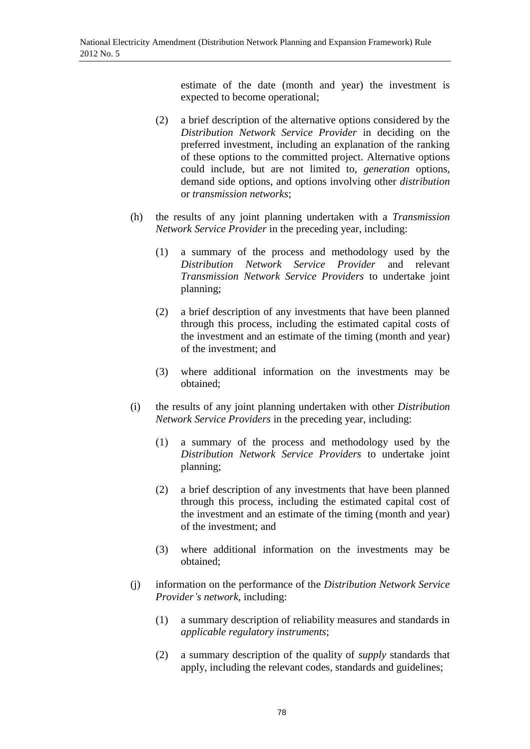estimate of the date (month and year) the investment is expected to become operational;

- (2) a brief description of the alternative options considered by the *Distribution Network Service Provider* in deciding on the preferred investment, including an explanation of the ranking of these options to the committed project. Alternative options could include, but are not limited to, *generation* options, demand side options, and options involving other *distribution* or *transmission networks*;
- (h) the results of any joint planning undertaken with a *Transmission Network Service Provider* in the preceding year, including:
	- (1) a summary of the process and methodology used by the *Distribution Network Service Provider* and relevant *Transmission Network Service Providers* to undertake joint planning;
	- (2) a brief description of any investments that have been planned through this process, including the estimated capital costs of the investment and an estimate of the timing (month and year) of the investment; and
	- (3) where additional information on the investments may be obtained;
- (i) the results of any joint planning undertaken with other *Distribution Network Service Providers* in the preceding year, including:
	- (1) a summary of the process and methodology used by the *Distribution Network Service Providers* to undertake joint planning;
	- (2) a brief description of any investments that have been planned through this process, including the estimated capital cost of the investment and an estimate of the timing (month and year) of the investment; and
	- (3) where additional information on the investments may be obtained;
- (j) information on the performance of the *Distribution Network Service Provider's network*, including:
	- (1) a summary description of reliability measures and standards in *applicable regulatory instruments*;
	- (2) a summary description of the quality of *supply* standards that apply, including the relevant codes, standards and guidelines;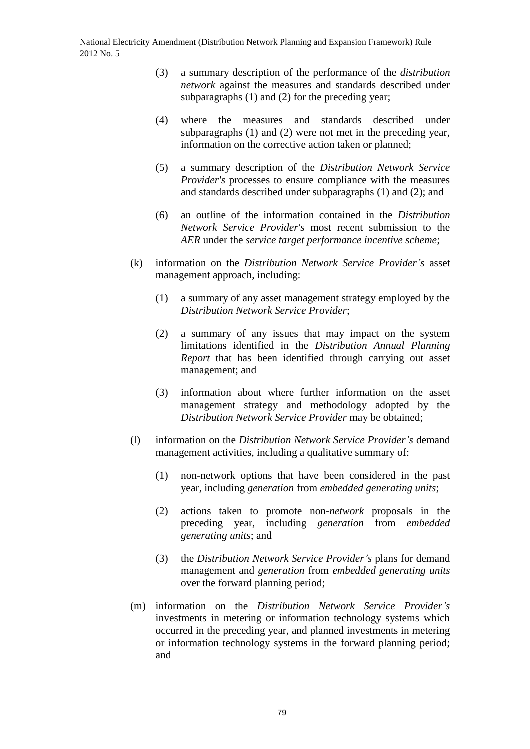- (3) a summary description of the performance of the *distribution network* against the measures and standards described under subparagraphs (1) and (2) for the preceding year;
- (4) where the measures and standards described under subparagraphs (1) and (2) were not met in the preceding year, information on the corrective action taken or planned;
- (5) a summary description of the *Distribution Network Service Provider's* processes to ensure compliance with the measures and standards described under subparagraphs (1) and (2); and
- (6) an outline of the information contained in the *Distribution Network Service Provider's* most recent submission to the *AER* under the *service target performance incentive scheme*;
- (k) information on the *Distribution Network Service Provider's* asset management approach, including:
	- (1) a summary of any asset management strategy employed by the *Distribution Network Service Provider*;
	- (2) a summary of any issues that may impact on the system limitations identified in the *Distribution Annual Planning Report* that has been identified through carrying out asset management; and
	- (3) information about where further information on the asset management strategy and methodology adopted by the *Distribution Network Service Provider* may be obtained;
- (l) information on the *Distribution Network Service Provider's* demand management activities, including a qualitative summary of:
	- (1) non-network options that have been considered in the past year, including *generation* from *embedded generating units*;
	- (2) actions taken to promote non-*network* proposals in the preceding year, including *generation* from *embedded generating units*; and
	- (3) the *Distribution Network Service Provider's* plans for demand management and *generation* from *embedded generating units* over the forward planning period;
- (m) information on the *Distribution Network Service Provider's* investments in metering or information technology systems which occurred in the preceding year, and planned investments in metering or information technology systems in the forward planning period; and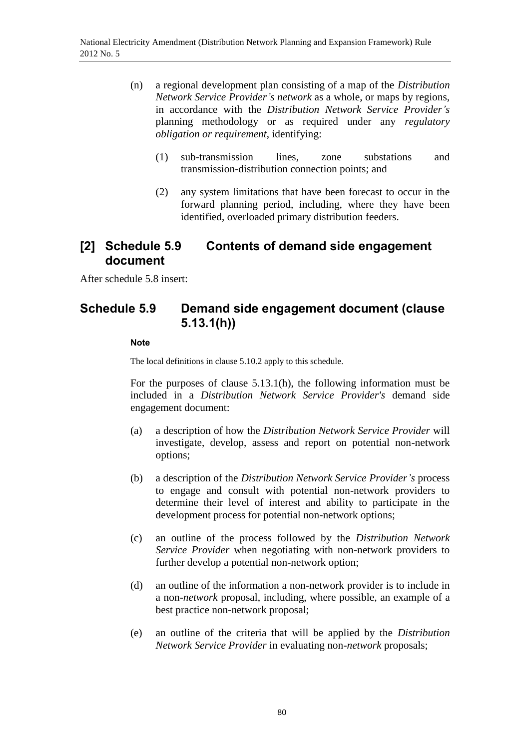- (n) a regional development plan consisting of a map of the *Distribution Network Service Provider's network* as a whole, or maps by regions, in accordance with the *Distribution Network Service Provider's*  planning methodology or as required under any *regulatory obligation or requirement*, identifying:
	- (1) sub-transmission lines, zone substations and transmission-distribution connection points; and
	- (2) any system limitations that have been forecast to occur in the forward planning period, including, where they have been identified, overloaded primary distribution feeders.

## **[2] Schedule 5.9 Contents of demand side engagement document**

After schedule 5.8 insert:

# **Schedule 5.9 Demand side engagement document (clause 5.13.1(h))**

### **Note**

The local definitions in clause 5.10.2 apply to this schedule.

For the purposes of clause 5.13.1(h), the following information must be included in a *Distribution Network Service Provider's* demand side engagement document:

- (a) a description of how the *Distribution Network Service Provider* will investigate, develop, assess and report on potential non-network options;
- (b) a description of the *Distribution Network Service Provider's* process to engage and consult with potential non-network providers to determine their level of interest and ability to participate in the development process for potential non-network options;
- (c) an outline of the process followed by the *Distribution Network Service Provider* when negotiating with non-network providers to further develop a potential non-network option;
- (d) an outline of the information a non-network provider is to include in a non-*network* proposal, including, where possible, an example of a best practice non-network proposal;
- (e) an outline of the criteria that will be applied by the *Distribution Network Service Provider* in evaluating non-*network* proposals;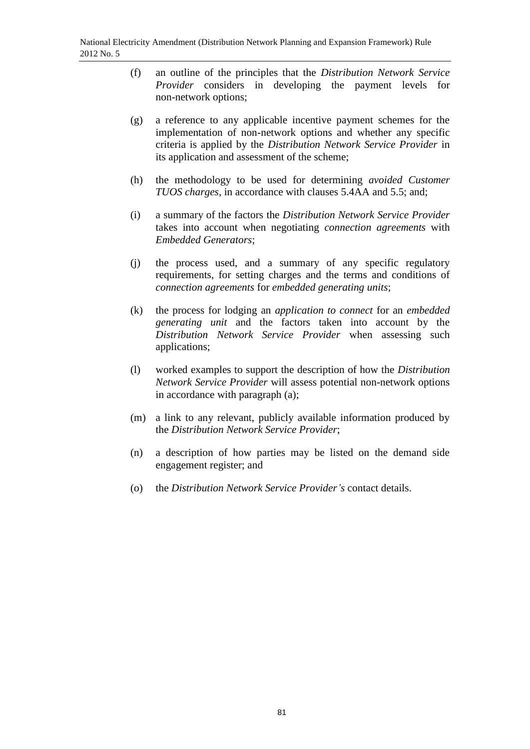- (f) an outline of the principles that the *Distribution Network Service Provider* considers in developing the payment levels for non-network options;
- (g) a reference to any applicable incentive payment schemes for the implementation of non-network options and whether any specific criteria is applied by the *Distribution Network Service Provider* in its application and assessment of the scheme;
- (h) the methodology to be used for determining *avoided Customer TUOS charges*, in accordance with clauses 5.4AA and 5.5; and;
- (i) a summary of the factors the *Distribution Network Service Provider* takes into account when negotiating *connection agreements* with *Embedded Generators*;
- (j) the process used, and a summary of any specific regulatory requirements, for setting charges and the terms and conditions of *connection agreements* for *embedded generating units*;
- (k) the process for lodging an *application to connect* for an *embedded generating unit* and the factors taken into account by the *Distribution Network Service Provider* when assessing such applications;
- (l) worked examples to support the description of how the *Distribution Network Service Provider* will assess potential non-network options in accordance with paragraph (a);
- (m) a link to any relevant, publicly available information produced by the *Distribution Network Service Provider*;
- (n) a description of how parties may be listed on the demand side engagement register; and
- (o) the *Distribution Network Service Provider's* contact details.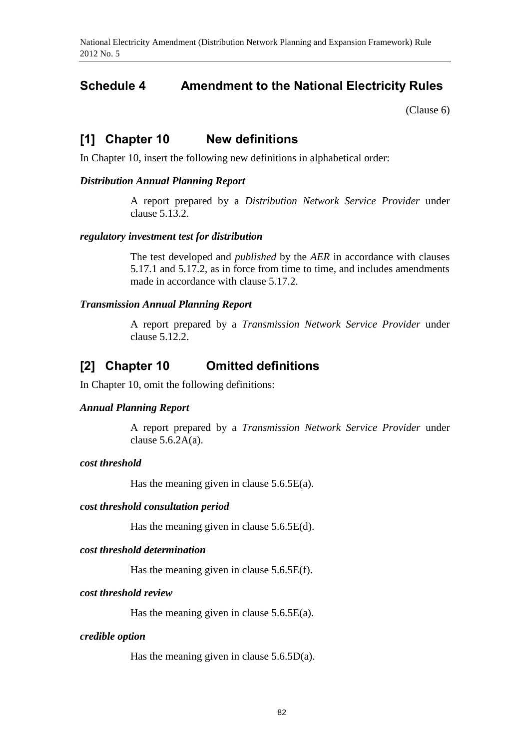# **Schedule 4 Amendment to the National Electricity Rules**

[\(Clause 6\)](#page-1-1)

## **[1] Chapter 10 New definitions**

In Chapter 10, insert the following new definitions in alphabetical order:

### *Distribution Annual Planning Report*

A report prepared by a *Distribution Network Service Provider* under clause 5.13.2.

### *regulatory investment test for distribution*

The test developed and *published* by the *AER* in accordance with clauses 5.17.1 and 5.17.2, as in force from time to time, and includes amendments made in accordance with clause 5.17.2.

### *Transmission Annual Planning Report*

A report prepared by a *Transmission Network Service Provider* under clause 5.12.2.

## **[2] Chapter 10 Omitted definitions**

In Chapter 10, omit the following definitions:

### *Annual Planning Report*

A report prepared by a *Transmission Network Service Provider* under clause  $5.6.2A(a)$ .

## *cost threshold*

Has the meaning given in clause  $5.6.5E(a)$ .

### *cost threshold consultation period*

Has the meaning given in clause  $5.6.5E(d)$ .

### *cost threshold determination*

Has the meaning given in clause 5.6.5E(f).

### *cost threshold review*

Has the meaning given in clause  $5.6.5E(a)$ .

#### *credible option*

Has the meaning given in clause  $5.6.5D(a)$ .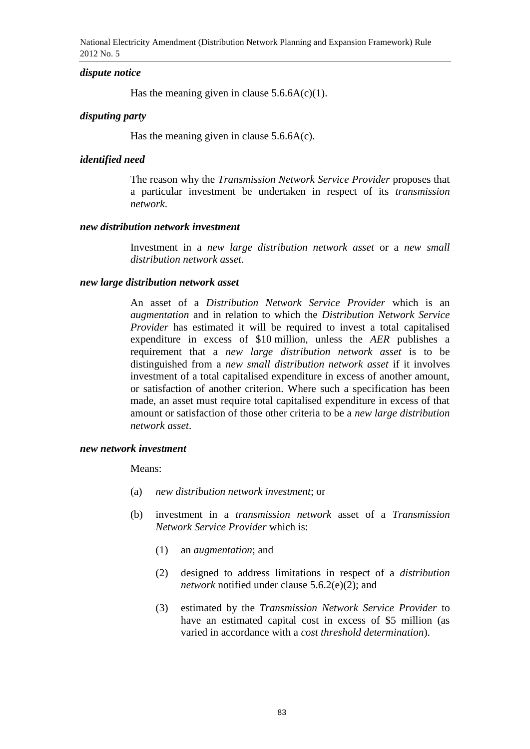National Electricity Amendment (Distribution Network Planning and Expansion Framework) Rule 2012 No. 5

#### *dispute notice*

Has the meaning given in clause  $5.6.6A(c)(1)$ .

### *disputing party*

Has the meaning given in clause  $5.6.6A(c)$ .

#### *identified need*

The reason why the *Transmission Network Service Provider* proposes that a particular investment be undertaken in respect of its *transmission network*.

#### *new distribution network investment*

Investment in a *new large distribution network asset* or a *new small distribution network asset*.

### *new large distribution network asset*

An asset of a *Distribution Network Service Provider* which is an *augmentation* and in relation to which the *Distribution Network Service Provider* has estimated it will be required to invest a total capitalised expenditure in excess of \$10 million, unless the *AER* publishes a requirement that a *new large distribution network asset* is to be distinguished from a *new small distribution network asset* if it involves investment of a total capitalised expenditure in excess of another amount, or satisfaction of another criterion. Where such a specification has been made, an asset must require total capitalised expenditure in excess of that amount or satisfaction of those other criteria to be a *new large distribution network asset*.

#### *new network investment*

Means:

- (a) *new distribution network investment*; or
- (b) investment in a *transmission network* asset of a *Transmission Network Service Provider* which is:
	- (1) an *augmentation*; and
	- (2) designed to address limitations in respect of a *distribution network* notified under clause 5.6.2(e)(2); and
	- (3) estimated by the *Transmission Network Service Provider* to have an estimated capital cost in excess of \$5 million (as varied in accordance with a *cost threshold determination*).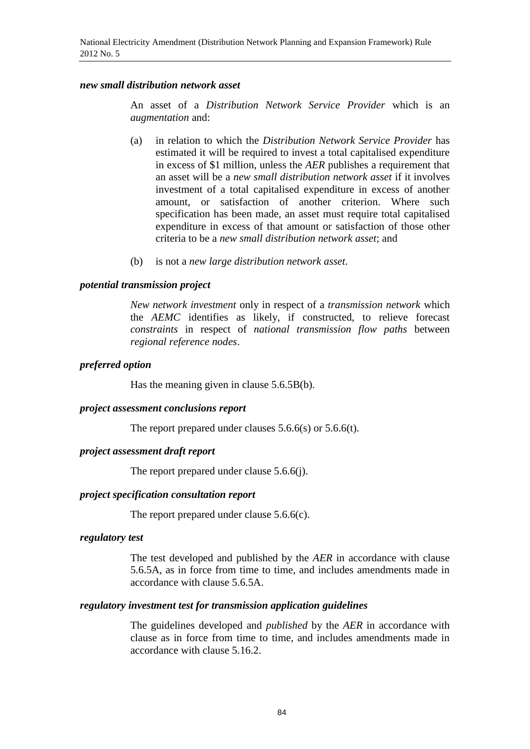### *new small distribution network asset*

An asset of a *Distribution Network Service Provider* which is an *augmentation* and:

- (a) in relation to which the *Distribution Network Service Provider* has estimated it will be required to invest a total capitalised expenditure in excess of \$1 million, unless the *AER* publishes a requirement that an asset will be a *new small distribution network asset* if it involves investment of a total capitalised expenditure in excess of another amount, or satisfaction of another criterion. Where such specification has been made, an asset must require total capitalised expenditure in excess of that amount or satisfaction of those other criteria to be a *new small distribution network asset*; and
- (b) is not a *new large distribution network asset*.

#### *potential transmission project*

*New network investment* only in respect of a *transmission network* which the *AEMC* identifies as likely, if constructed, to relieve forecast *constraints* in respect of *national transmission flow paths* between *regional reference nodes*.

### *preferred option*

Has the meaning given in clause 5.6.5B(b).

#### *project assessment conclusions report*

The report prepared under clauses 5.6.6(s) or 5.6.6(t).

### *project assessment draft report*

The report prepared under clause 5.6.6(j).

### *project specification consultation report*

The report prepared under clause 5.6.6(c).

#### *regulatory test*

The test developed and published by the *AER* in accordance with clause 5.6.5A, as in force from time to time, and includes amendments made in accordance with clause 5.6.5A.

#### *regulatory investment test for transmission application guidelines*

The guidelines developed and *published* by the *AER* in accordance with clause as in force from time to time, and includes amendments made in accordance with clause 5.16.2.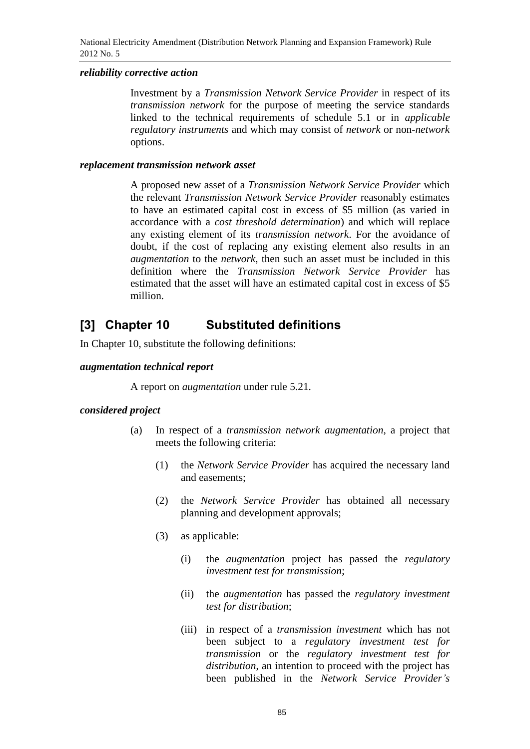### *reliability corrective action*

Investment by a *Transmission Network Service Provider* in respect of its *transmission network* for the purpose of meeting the service standards linked to the technical requirements of schedule 5.1 or in *applicable regulatory instruments* and which may consist of *network* or non-*network* options.

### *replacement transmission network asset*

A proposed new asset of a *Transmission Network Service Provider* which the relevant *Transmission Network Service Provider* reasonably estimates to have an estimated capital cost in excess of \$5 million (as varied in accordance with a *cost threshold determination*) and which will replace any existing element of its *transmission network*. For the avoidance of doubt, if the cost of replacing any existing element also results in an *augmentation* to the *network*, then such an asset must be included in this definition where the *Transmission Network Service Provider* has estimated that the asset will have an estimated capital cost in excess of \$5 million.

# **[3] Chapter 10 Substituted definitions**

In Chapter 10, substitute the following definitions:

### *augmentation technical report*

A report on *augmentation* under rule 5.21.

## *considered project*

- (a) In respect of a *transmission network augmentation*, a project that meets the following criteria:
	- (1) the *Network Service Provider* has acquired the necessary land and easements;
	- (2) the *Network Service Provider* has obtained all necessary planning and development approvals;
	- (3) as applicable:
		- (i) the *augmentation* project has passed the *regulatory investment test for transmission*;
		- (ii) the *augmentation* has passed the *regulatory investment test for distribution*;
		- (iii) in respect of a *transmission investment* which has not been subject to a *regulatory investment test for transmission* or the *regulatory investment test for distribution*, an intention to proceed with the project has been published in the *Network Service Provider's*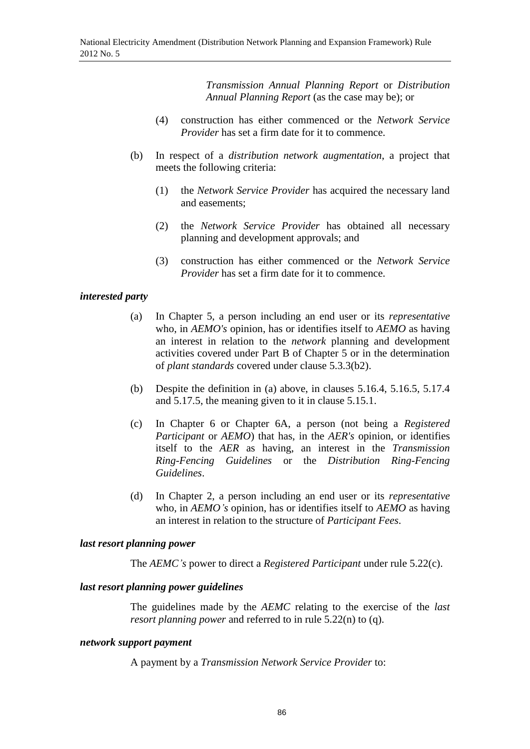*Transmission Annual Planning Report* or *Distribution Annual Planning Report* (as the case may be); or

- (4) construction has either commenced or the *Network Service Provider* has set a firm date for it to commence.
- (b) In respect of a *distribution network augmentation*, a project that meets the following criteria:
	- (1) the *Network Service Provider* has acquired the necessary land and easements;
	- (2) the *Network Service Provider* has obtained all necessary planning and development approvals; and
	- (3) construction has either commenced or the *Network Service Provider* has set a firm date for it to commence.

### *interested party*

- (a) In Chapter 5, a person including an end user or its *representative* who, in *AEMO's* opinion, has or identifies itself to *AEMO* as having an interest in relation to the *network* planning and development activities covered under Part B of Chapter 5 or in the determination of *plant standards* covered under clause 5.3.3(b2).
- (b) Despite the definition in (a) above, in clauses 5.16.4, 5.16.5, 5.17.4 and 5.17.5, the meaning given to it in clause 5.15.1.
- (c) In Chapter 6 or Chapter 6A, a person (not being a *Registered Participant* or *AEMO*) that has, in the *AER's* opinion, or identifies itself to the *AER* as having, an interest in the *Transmission Ring-Fencing Guidelines* or the *Distribution Ring-Fencing Guidelines*.
- (d) In Chapter 2, a person including an end user or its *representative* who, in *AEMO's* opinion, has or identifies itself to *AEMO* as having an interest in relation to the structure of *Participant Fees*.

### *last resort planning power*

The *AEMC's* power to direct a *Registered Participant* under rule 5.22(c).

### *last resort planning power guidelines*

The guidelines made by the *AEMC* relating to the exercise of the *last resort planning power* and referred to in rule 5.22(n) to (q).

### *network support payment*

A payment by a *Transmission Network Service Provider* to: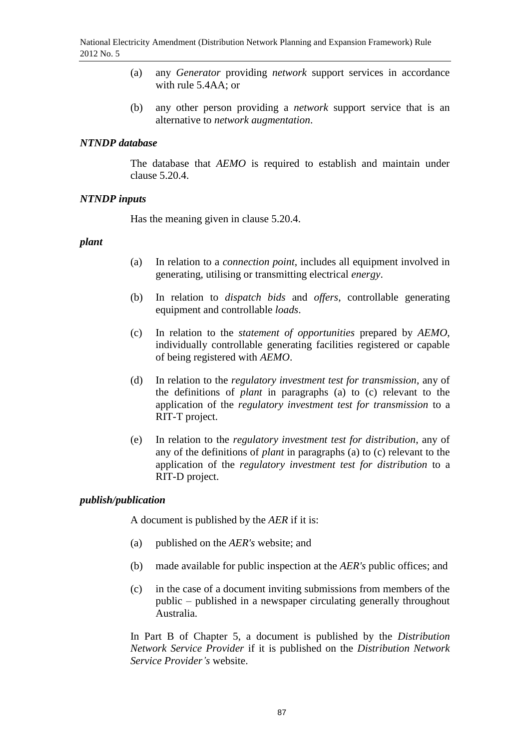- (a) any *Generator* providing *network* support services in accordance with rule 5.4AA; or
- (b) any other person providing a *network* support service that is an alternative to *network augmentation*.

## *NTNDP database*

The database that *AEMO* is required to establish and maintain under clause 5.20.4.

## *NTNDP inputs*

Has the meaning given in clause 5.20.4.

## *plant*

- (a) In relation to a *connection point*, includes all equipment involved in generating, utilising or transmitting electrical *energy*.
- (b) In relation to *dispatch bids* and *offers*, controllable generating equipment and controllable *loads*.
- (c) In relation to the *statement of opportunities* prepared by *AEMO*, individually controllable generating facilities registered or capable of being registered with *AEMO*.
- (d) In relation to the *regulatory investment test for transmission*, any of the definitions of *plant* in paragraphs (a) to (c) relevant to the application of the *regulatory investment test for transmission* to a RIT-T project.
- (e) In relation to the *regulatory investment test for distribution*, any of any of the definitions of *plant* in paragraphs (a) to (c) relevant to the application of the *regulatory investment test for distribution* to a RIT-D project.

## *publish/publication*

A document is published by the *AER* if it is:

- (a) published on the *AER's* website; and
- (b) made available for public inspection at the *AER's* public offices; and
- (c) in the case of a document inviting submissions from members of the public – published in a newspaper circulating generally throughout Australia.

In Part B of Chapter 5, a document is published by the *Distribution Network Service Provider* if it is published on the *Distribution Network Service Provider's* website.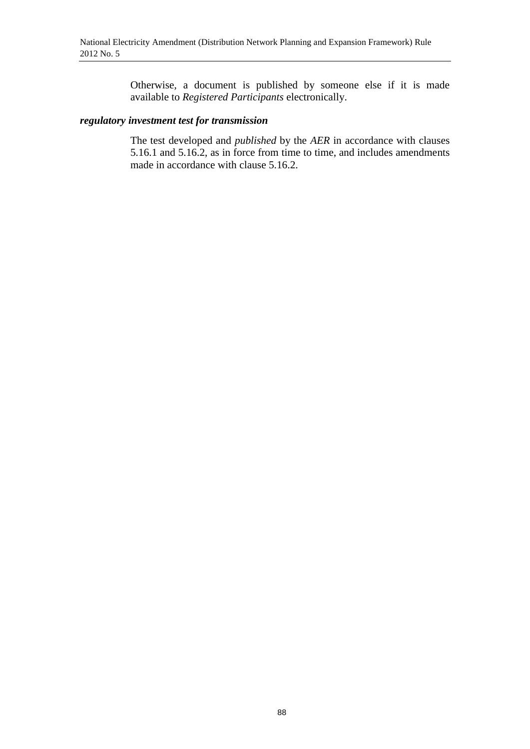Otherwise, a document is published by someone else if it is made available to *Registered Participants* electronically.

### *regulatory investment test for transmission*

The test developed and *published* by the *AER* in accordance with clauses 5.16.1 and 5.16.2, as in force from time to time, and includes amendments made in accordance with clause 5.16.2.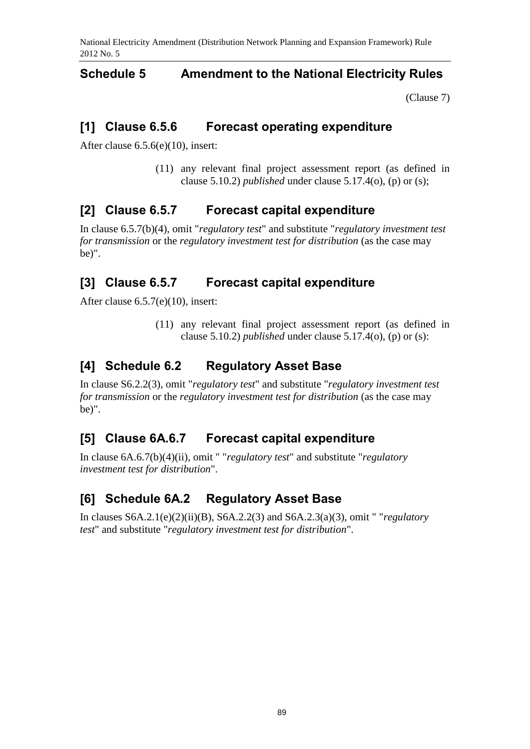## **Schedule 5 Amendment to the National Electricity Rules**

[\(Clause 7\)](#page-1-2)

# **[1] Clause 6.5.6 Forecast operating expenditure**

After clause 6.5.6(e)(10), insert:

(11) any relevant final project assessment report (as defined in clause 5.10.2) *published* under clause 5.17.4(o), (p) or (s);

# **[2] Clause 6.5.7 Forecast capital expenditure**

In clause 6.5.7(b)(4), omit "*regulatory test*" and substitute "*regulatory investment test for transmission* or the *regulatory investment test for distribution* (as the case may be)".

# **[3] Clause 6.5.7 Forecast capital expenditure**

After clause 6.5.7(e)(10), insert:

(11) any relevant final project assessment report (as defined in clause 5.10.2) *published* under clause 5.17.4(o), (p) or (s):

# **[4] Schedule 6.2 Regulatory Asset Base**

In clause S6.2.2(3), omit "*regulatory test*" and substitute "*regulatory investment test for transmission* or the *regulatory investment test for distribution* (as the case may be)".

# **[5] Clause 6A.6.7 Forecast capital expenditure**

In clause 6A.6.7(b)(4)(ii), omit " "*regulatory test*" and substitute "*regulatory investment test for distribution*".

# **[6] Schedule 6A.2 Regulatory Asset Base**

In clauses S6A.2.1(e)(2)(ii)(B), S6A.2.2(3) and S6A.2.3(a)(3), omit " "*regulatory test*" and substitute "*regulatory investment test for distribution*".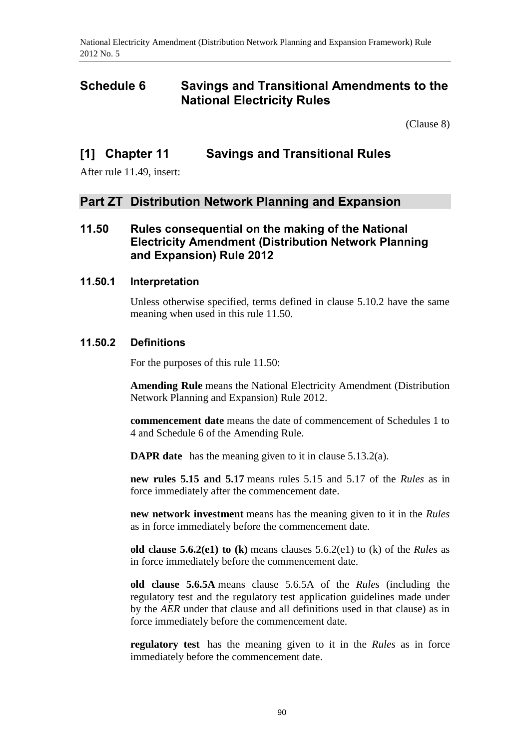# **Schedule 6 Savings and Transitional Amendments to the National Electricity Rules**

[\(Clause 8\)](#page-1-3)

## **[1] Chapter 11 Savings and Transitional Rules**

After rule 11.49, insert:

## **Part ZT Distribution Network Planning and Expansion**

## **11.50 Rules consequential on the making of the National Electricity Amendment (Distribution Network Planning and Expansion) Rule 2012**

## **11.50.1 Interpretation**

Unless otherwise specified, terms defined in clause 5.10.2 have the same meaning when used in this rule 11.50.

## **11.50.2 Definitions**

For the purposes of this rule 11.50:

**Amending Rule** means the National Electricity Amendment (Distribution Network Planning and Expansion) Rule 2012.

**commencement date** means the date of commencement of Schedules 1 to 4 and Schedule 6 of the Amending Rule.

**DAPR date** has the meaning given to it in clause 5.13.2(a).

**new rules 5.15 and 5.17** means rules 5.15 and 5.17 of the *Rules* as in force immediately after the commencement date.

**new network investment** means has the meaning given to it in the *Rules* as in force immediately before the commencement date.

**old clause 5.6.2(e1) to (k)** means clauses 5.6.2(e1) to (k) of the *Rules* as in force immediately before the commencement date.

**old clause 5.6.5A** means clause 5.6.5A of the *Rules* (including the regulatory test and the regulatory test application guidelines made under by the *AER* under that clause and all definitions used in that clause) as in force immediately before the commencement date.

**regulatory test** has the meaning given to it in the *Rules* as in force immediately before the commencement date.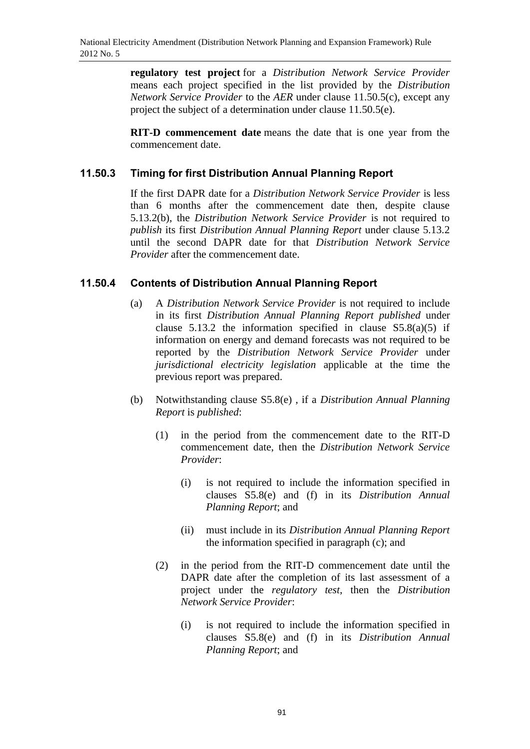**regulatory test project** for a *Distribution Network Service Provider* means each project specified in the list provided by the *Distribution Network Service Provider* to the *AER* under clause 11.50.5(c), except any project the subject of a determination under clause 11.50.5(e).

**RIT-D commencement date** means the date that is one year from the commencement date.

## **11.50.3 Timing for first Distribution Annual Planning Report**

If the first DAPR date for a *Distribution Network Service Provider* is less than 6 months after the commencement date then, despite clause 5.13.2(b), the *Distribution Network Service Provider* is not required to *publish* its first *Distribution Annual Planning Report* under clause 5.13.2 until the second DAPR date for that *Distribution Network Service Provider* after the commencement date.

## **11.50.4 Contents of Distribution Annual Planning Report**

- (a) A *Distribution Network Service Provider* is not required to include in its first *Distribution Annual Planning Report published* under clause 5.13.2 the information specified in clause  $S5.8(a)(5)$  if information on energy and demand forecasts was not required to be reported by the *Distribution Network Service Provider* under *jurisdictional electricity legislation* applicable at the time the previous report was prepared.
- (b) Notwithstanding clause S5.8(e) , if a *Distribution Annual Planning Report* is *published*:
	- (1) in the period from the commencement date to the RIT-D commencement date, then the *Distribution Network Service Provider*:
		- (i) is not required to include the information specified in clauses S5.8(e) and (f) in its *Distribution Annual Planning Report*; and
		- (ii) must include in its *Distribution Annual Planning Report* the information specified in paragraph (c); and
	- (2) in the period from the RIT-D commencement date until the DAPR date after the completion of its last assessment of a project under the *regulatory test*, then the *Distribution Network Service Provider*:
		- (i) is not required to include the information specified in clauses S5.8(e) and (f) in its *Distribution Annual Planning Report*; and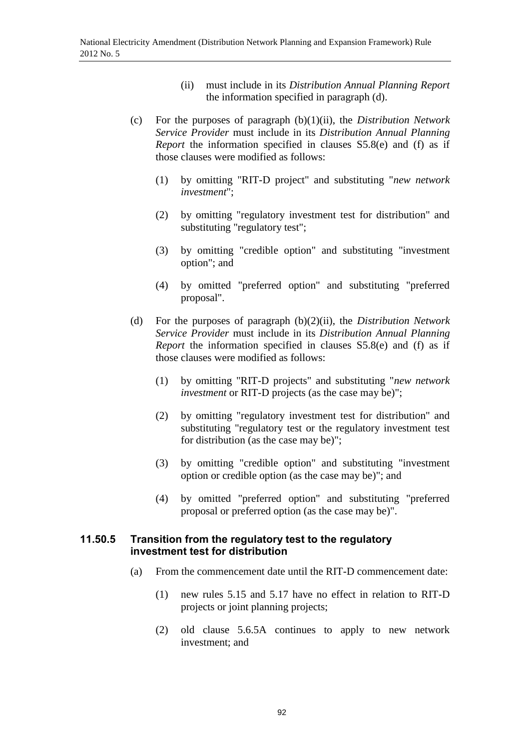- (ii) must include in its *Distribution Annual Planning Report* the information specified in paragraph (d).
- (c) For the purposes of paragraph (b)(1)(ii), the *Distribution Network Service Provider* must include in its *Distribution Annual Planning Report* the information specified in clauses S5.8(e) and (f) as if those clauses were modified as follows:
	- (1) by omitting "RIT-D project" and substituting "*new network investment*";
	- (2) by omitting "regulatory investment test for distribution" and substituting "regulatory test";
	- (3) by omitting "credible option" and substituting "investment option"; and
	- (4) by omitted "preferred option" and substituting "preferred proposal".
- (d) For the purposes of paragraph (b)(2)(ii), the *Distribution Network Service Provider* must include in its *Distribution Annual Planning Report* the information specified in clauses S5.8(e) and (f) as if those clauses were modified as follows:
	- (1) by omitting "RIT-D projects" and substituting "*new network investment* or RIT-D projects (as the case may be)";
	- (2) by omitting "regulatory investment test for distribution" and substituting "regulatory test or the regulatory investment test for distribution (as the case may be)";
	- (3) by omitting "credible option" and substituting "investment option or credible option (as the case may be)"; and
	- (4) by omitted "preferred option" and substituting "preferred proposal or preferred option (as the case may be)".

## **11.50.5 Transition from the regulatory test to the regulatory investment test for distribution**

- (a) From the commencement date until the RIT-D commencement date:
	- (1) new rules 5.15 and 5.17 have no effect in relation to RIT-D projects or joint planning projects;
	- (2) old clause 5.6.5A continues to apply to new network investment; and